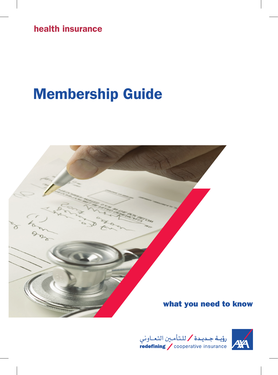health insurance

# Membership Guide





رؤيــة جــديـدة / للـتأمــين التـعــاوني<br>| redefining / cooperative insurance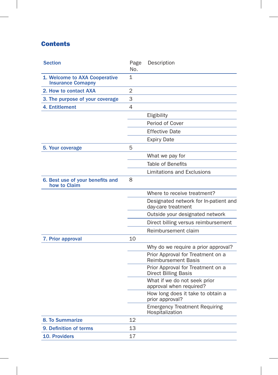## **Contents**

| <b>Section</b>                                            | Page<br>No. | Description                                                      |
|-----------------------------------------------------------|-------------|------------------------------------------------------------------|
| 1. Welcome to AXA Cooperative<br><b>Insurance Comapny</b> | 1           |                                                                  |
| 2. How to contact AXA                                     | 2           |                                                                  |
| 3. The purpose of your coverage                           | 3           |                                                                  |
| 4. Entitlement                                            | 4           |                                                                  |
|                                                           |             | Eligibility                                                      |
|                                                           |             | Period of Cover                                                  |
|                                                           |             | <b>Effective Date</b>                                            |
|                                                           |             | <b>Expiry Date</b>                                               |
| 5. Your coverage                                          | 5           |                                                                  |
|                                                           |             | What we pay for                                                  |
|                                                           |             | <b>Table of Benefits</b>                                         |
|                                                           |             | <b>Limitations and Exclusions</b>                                |
| 6. Best use of your benefits and<br>how to Claim          | 8           |                                                                  |
|                                                           |             | Where to receive treatment?                                      |
|                                                           |             | Designated network for In-patient and<br>day-care treatment      |
|                                                           |             | Outside your designated network                                  |
|                                                           |             | Direct billing versus reimbursement                              |
|                                                           |             | Reimbursement claim                                              |
| 7. Prior approval                                         | 10          |                                                                  |
|                                                           |             | Why do we require a prior approval?                              |
|                                                           |             | Prior Approval for Treatment on a<br><b>Reimbursement Basis</b>  |
|                                                           |             | Prior Approval for Treatment on a<br><b>Direct Billing Basis</b> |
|                                                           |             | What if we do not seek prior<br>approval when required?          |
|                                                           |             | How long does it take to obtain a<br>prior approval?             |
|                                                           |             | <b>Emergency Treatment Requiring</b><br>Hospitalization          |
| 8. To Summarize                                           | 12          |                                                                  |
| 9. Definition of terms                                    | 13          |                                                                  |
| <b>10. Providers</b>                                      | 17          |                                                                  |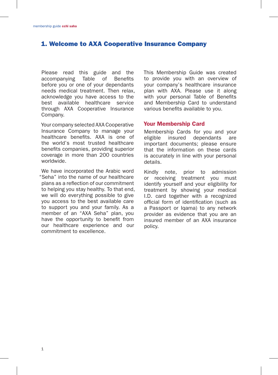## 1. Welcome to AXA Cooperative Insurance Company

Please read this guide and the accompanying Table of Benefits before you or one of your dependants needs medical treatment. Then relax, acknowledge you have access to the best available healthcare service through AXA Cooperative Insurance Company.

Your company selected AXA Cooperative Insurance Company to manage your healthcare benefits. AXA is one of the world's most trusted healthcare benefits companies, providing superior coverage in more than 200 countries worldwide.

We have incorporated the Arabic word "Seha" into the name of our healthcare plans as a reflection of our commitment to helping you stay healthy. To that end, we will do everything possible to give you access to the best available care to support you and your family. As a member of an "AXA Seha" plan, you have the opportunity to benefit from our healthcare experience and our commitment to excellence.

This Membership Guide was created to provide you with an overview of your company's healthcare insurance plan with AXA. Please use it along with your personal Table of Benefits and Membership Card to understand various benefits available to you.

#### Your Membership Card

Membership Cards for you and your eligible insured dependants are important documents; please ensure that the information on these cards is accurately in line with your personal details.

Kindly note, prior to admission or receiving treatment you must identify yourself and your eligibility for treatment by showing your medical I.D. card together with a recognized official form of identification (such as a Passport or Iqama) to any network provider as evidence that you are an insured member of an AXA insurance policy.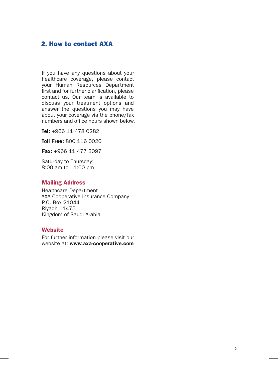## 2. How to contact AXA

If you have any questions about your healthcare coverage, please contact your Human Resources Department first and for further clarification, please contact us. Our team is available to discuss your treatment options and answer the questions you may have about your coverage via the phone/fax numbers and office hours shown below.

Tel: +966 11 478 0282

Toll Free: 800 116 0020

Fax: +966 11 477 3097

Saturday to Thursday: 8:00 am to 11:00 pm

#### Mailing Address

Healthcare Department AXA Cooperative Insurance Company P.O. Box 21044 Riyadh 11475 Kingdom of Saudi Arabia

#### **Website**

For further information please visit our website at: www.axa-cooperative.com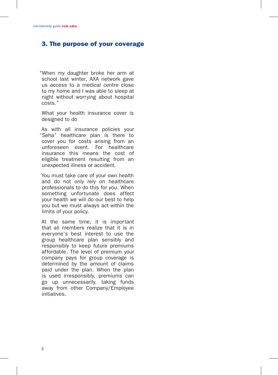## 3. The purpose of your coverage

"When my daughter broke her arm at school last winter, AXA network gave us access to a medical centre close to my home and I was able to sleep at night without worrying about hospital costs."

What your health insurance cover is designed to do

As with all insurance policies your "Seha" healthcare plan is there to cover you for costs arising from an unforeseen event. For healthcare insurance this means the cost of eligible treatment resulting from an unexpected illness or accident.

You must take care of your own health and do not only rely on healthcare professionals to do this for you. When something unfortunate does affect your health we will do our best to help you but we must always act within the limits of your policy.

At the same time, it is important that all members realize that it is in everyone's best interest to use the group healthcare plan sensibly and responsibly to keep future premiums affordable. The level of premium your company pays for group coverage is determined by the amount of claims paid under the plan. When the plan is used irresponsibly, premiums can go up unnecessarily, taking funds away from other Company/Employee initiatives.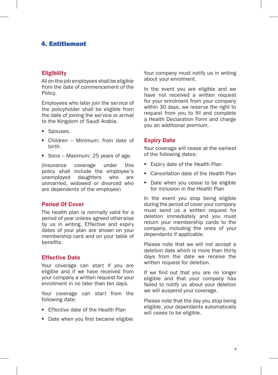## 4. Entitlement

#### **Eligibility**

All on-the-job employees shall be eligible from the date of commencement of the Policy.

Employees who later join the service of the policyholder shall be eligible from the date of joining the service or arrival to the Kingdom of Saudi Arabia.

- **Spouses.**
- Children Minimum: from date of birth.
- Sons Maximum: 25 years of age.

(Insurance coverage under this policy shall include the employee's<br>unemployed daughters who are daughters who unmarried, widowed or divorced who are dependents of the employee)

#### Period Of Cover

The health plan is normally valid for a period of year unless agreed otherwise by us in writing. Effective and expiry dates of your plan are shown on your membership card and on your table of benefits.

#### Effective Date

Your coverage can start if you are eligible and if we have received from your company a written request for your enrollment in no later than ten days.

Your coverage can start from the following date:

- **Ffective date of the Health Plan**
- Date when you first became eligible

Your company must notify us in writing about your enrolment.

In the event you are eligible and we have not received a written request for your enrolment from your company within 30 days, we reserve the right to request from you to fill and complete a Health Declaration Form and charge you an additional premium.

#### Expiry Date

Your coverage will cease at the earliest of the following dates:

- Expiry date of the Health Plan
- Cancellation date of the Health Plan
- Date when you cease to be eligible for inclusion in the Health Plan

In the event you stop being eligible during the period of cover your company must send us a written request for deletion immediately and you must return your membership cards to the company, including the ones of your dependants if applicable.

Please note that we will not accept a deletion date which is more than thirty days from the date we receive the written request for deletion.

If we find out that you are no longer eligible and that your company has failed to notify us about your deletion we will suspend your coverage.

Please note that the day you stop being eligible, your dependants automatically will cease to be eligible.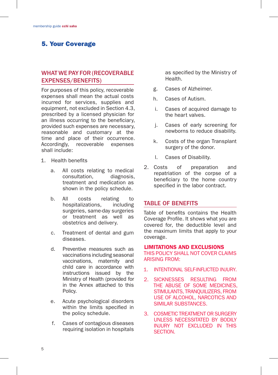## 5. Your Coverage

## WHAT WE PAY FOR (RECOVERABLE EXPENSES/BENEFITS)

For purposes of this policy, recoverable expenses shall mean the actual costs incurred for services, supplies and equipment, not excluded in Section 4.3, prescribed by a licensed physician for an illness occurring to the beneficiary, provided such expenses are necessary, reasonable and customary at the time and place of their occurrence. Accordingly, recoverable expenses shall include:

- 1. Health benefits
	- a. All costs relating to medical consultation, diagnosis, treatment and medication as shown in the policy schedule.
	- b. All costs relating to<br>hospitalizations, including hospitalizations, surgeries, same-day surgeries or treatment as well as obstetrics and delivery.
	- c. Treatment of dental and gum diseases.
	- d. Preventive measures such as vaccinations including seasonal vaccinations, maternity and child care in accordance with instructions issued by the Ministry of Health (provided for in the Annex attached to this Policy.
	- e. Acute psychological disorders within the limits specified in the policy schedule.
	- f. Cases of contagious diseases requiring isolation in hospitals

as specified by the Ministry of **Health** 

- g. Cases of Alzheimer.
- h. Cases of Autism.
- i. Cases of acquired damage to the heart valves.
- j. Cases of early screening for newborns to reduce disability.
- k. Costs of the organ Transplant surgery of the donor.
- l. Cases of Disability.
- 2. Costs of preparation and repatriation of the corpse of a beneficiary to the home country specified in the labor contract.

#### TABLE OF BENEFITS

Table of benefits contains the Health Coverage Profile. It shows what you are covered for, the deductible level and the maximum limits that apply to your coverage.

#### LIMITATIONS AND EXCLUSIONS

THIS POLICY SHALL NOT COVER CLAIMS ARISING FROM:

- 1. INTENTIONAL SELF-INFLICTED INJURY.
- 2. SICKNESSES RESULTING FROM THE ABUSE OF SOME MEDICINES, STIMULANTS, TRANQUILIZERS, FROM USE OF ALCOHOL, NARCOTICS AND SIMILAR SUBSTANCES.
- 3. COSMETIC TREATMENT OR SURGERY UNLESS NECESSITATED BY BODILY INJURY NOT EXCLUDED IN THIS SECTION.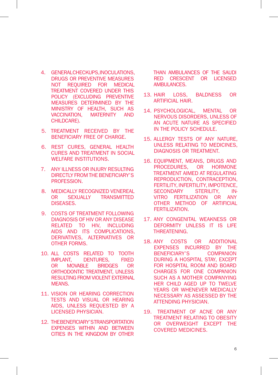- 4 GENERAL CHECKUPS, INOCULATIONS DRUGS OR PREVENTIVE MEASURES NOT REQUIRED FOR MEDICAL TREATMENT COVERED UNDER THIS POLICY (EXCLUDING PREVENTIVE MEASURES DETERMINED BY THE MINISTRY OF HEALTH, SUCH AS VACCINATION, MATERNITY AND CHILDCARE).
- 5. TREATMENT RECEIVED BY THE BENEFICIARY FREE OF CHARGE.
- 6. REST CURES, GENERAL HEALTH CURES AND TREATMENT IN SOCIAL WELFARE INSTITUTIONS.
- 7. ANY ILLNESS OR INJURY RESULTING DIRECTLY FROM THE BENEFICIARY'S PROFESSION.
- 8. MEDICALLY RECOGNIZED VENEREAL OR SEXUALLY TRANSMITTED DISEASES.
- 9. COSTS OF TREATMENT FOLLOWING DIAGNOSIS OF HIV OR ANY DISEASE RELATED TO HIV, INCLUDING AIDS AND ITS COMPLICATIONS, DERIVATIVES, ALTERNATIVES OR OTHER FORMS.
- 10. ALL COSTS RELATED TO TOOTH IMPLANT, DENTURES, FIXED OR MOVABLE BRIDGES OR ORTHODONTIC TREATMENT, UNLESS RESULTING FROM VIOLENT EXTERNAL MEANS.
- 11. VISION OR HEARING CORRECTION TESTS AND VISUAL OR HEARING AIDS, UNLESS REQUESTED BY A LICENSED PHYSICIAN.
- 12. THE BENEFICIARY'S TRANSPORTATION EXPENSES WITHIN AND BETWEEN CITIES IN THE KINGDOM BY OTHER

THAN AMBULANCES OF THE SAUDI RED CRESCENT OR LICENSED AMBULANCES.

- 13. HAIR LOSS, BALDNESS OR ARTIFICIAL HAIR.
- 14. PSYCHOLOGICAL, MENTAL OR NERVOUS DISORDERS, UNLESS OF AN ACUTE NATURE AS SPECIFIED IN THE POLICY SCHEDULE.
- 15. ALLERGY TESTS OF ANY NATURE, UNLESS RELATING TO MEDICINES, DIAGNOSIS OR TREATMENT.
- 16. EQUIPMENT, MEANS, DRUGS AND PROCEDURES, OR HORMONE TREATMENT AIMED AT REGULATING REPRODUCTION, CONTRACEPTION, FERTILITY, INFERTILITY, IMPOTENCE, SECONDARY STERILITY, IN-VITRO FERTILIZATION OR ANY OTHER METHOD OF ARTIFICIAL FERTILIZATION.
- 17. ANY CONGENITAL WEAKNESS OR DEFORMITY UNLESS IT IS LIFE THREATENING.
- 18. ANY COSTS OR ADDITIONAL EXPENSES INCURRED BY THE BENEFICIARY'S COMPANION DURING A HOSPITAL STAY, EXCEPT FOR HOSPITAL ROOM AND BOARD CHARGES FOR ONE COMPANION SUCH AS A MOTHER COMPANYING HER CHILD AGED UP TO TWELVE YEARS OR WHENEVER MEDICALLY NECESSARY AS ASSESSED BY THE ATTENDING PHYSICIAN.
- 19. TREATMENT OF ACNE OR ANY TREATMENT RELATING TO OBESITY OR OVERWEIGHT EXCEPT THE COVERED MEDICINES.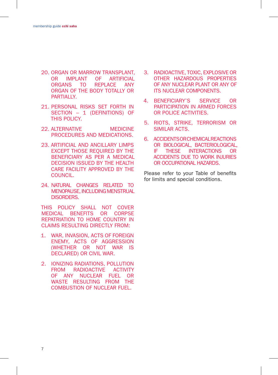- 20. ORGAN OR MARROW TRANSPLANT, OR IMPLANT OF ARTIFICIAL<br>ORGANS TO REPLACE ANY REPLACE ANY ORGAN OF THE BODY TOTALLY OR PARTIAL LY
- 21. PERSONAL RISKS SET FORTH IN SECTION – 1 (DEFINITIONS) OF THIS POLICY.
- 22 ALTERNATIVE MEDICINE PROCEDURES AND MEDICATIONS.
- 23. ARTIFICIAL AND ANCILLARY LIMPS EXCEPT THOSE REQUIRED BY THE BENEFICIARY AS PER A MEDICAL DECISION ISSUED BY THE HEALTH CARE FACILITY APPROVED BY THE COUNCIL.
- 24. NATURAL CHANGES RELATED TO MENOPAUSE, INCLUDING MENSTRUAL DISORDERS.

THIS POLICY SHALL NOT COVER MEDICAL BENEFITS OR CORPSE REPATRIATION TO HOME COUNTRY IN CLAIMS RESULTING DIRECTLY FROM:

- 1. WAR, INVASION, ACTS OF FOREIGN ENEMY, ACTS OF AGGRESSION (WHETHER OR NOT WAR IS DECLARED) OR CIVIL WAR.
- 2. IONIZING RADIATIONS, POLLUTION FROM RADIOACTIVE ACTIVITY OF ANY NUCLEAR FUEL OR WASTE RESULTING FROM THE COMBUSTION OF NUCLEAR FUEL.
- 3. RADIOACTIVE, TOXIC, EXPLOSIVE OR OTHER HAZARDOUS PROPERTIES OF ANY NUCLEAR PLANT OR ANY OF ITS NUCLEAR COMPONENTS.
- 4. BENEFICIARY'S SERVICE OR PARTICIPATION IN ARMED FORCES OR POLICE ACTIVITIES.
- 5. RIOTS, STRIKE, TERRORISM OR SIMILAR ACTS.
- 6. ACCIDENTS OR CHEMICAL REACTIONS OR BIOLOGICAL, BACTERIOLOGICAL, IF THESE INTERACTIONS OR ACCIDENTS DUE TO WORK INJURIES OR OCCUPATIONAL HAZARDS.

Please refer to your Table of benefits for limits and special conditions.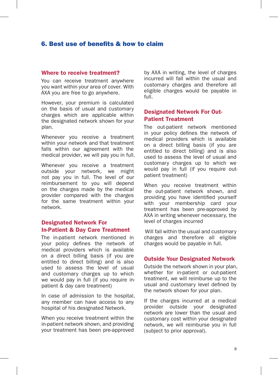## 6. Best use of benefits & how to claim

#### Where to receive treatment?

You can receive treatment anywhere you want within your area of cover. With AXA you are free to go anywhere.

However, your premium is calculated on the basis of usual and customary charges which are applicable within the designated network shown for your plan.

Whenever you receive a treatment within your network and that treatment falls within our agreement with the medical provider, we will pay you in full.

Whenever you receive a treatment outside your network, we might not pay you in full. The level of our reimbursement to you will depend on the charges made by the medical provider compared with the charges for the same treatment within your network.

#### Designated Network For In-Patient & Day Care Treatment

The in-patient network mentioned in your policy defines the network of medical providers which is available on a direct billing basis (if you are entitled to direct billing) and is also used to assess the level of usual and customary charges up to which we would pay in full (if you require inpatient & day care treatment)

In case of admission to the hospital, any member can have access to any hospital of his designated Network.

When you receive treatment within the in-patient network shown, and providing your treatment has been pre-approved

by AXA in writing, the level of charges incurred will fall within the usual and customary charges and therefore all eligible charges would be payable in full.

#### Designated Network For Out-Patient Treatment

The out-patient network mentioned in your policy defines the network of medical providers which is available on a direct billing basis (if you are entitled to direct billing) and is also used to assess the level of usual and customary charges up to which we would pay in full (if you require outpatient treatment)

When you receive treatment within the out-patient network shown, and providing you have identified yourself with your membership card your treatment has been pre-approved by AXA in writing whenever necessary, the level of charges incurred

 Will fall within the usual and customary charges and therefore all eligible charges would be payable in full.

#### Outside Your Designated Network

Outside the network shown in your plan, whether for in-patient or out-patient treatment, we will reimburse up to the usual and customary level defined by the network shown for your plan.

If the charges incurred at a medical provider outside your designated network are lower than the usual and customary cost within your designated network, we will reimburse you in full (subject to prior approval).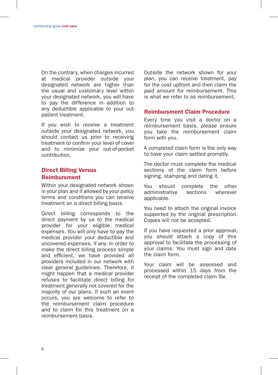On the contrary, when charges incurred at medical provider outside your designated network are higher than the usual and customary level within your designated network, you will have to pay the difference in addition to any deductible applicable to your outpatient treatment.

If you wish to receive a treatment outside your designated network, you should contact us prior to receiving treatment to confirm your level of cover and to minimize your out-of-pocket contribution.

#### Direct Billing Versus Reimbursment

Within your designated network shown in your plan and if allowed by your policy terms and conditions you can receive treatment on a direct billing basis.

Direct billing corresponds to the direct payment by us to the medical provider for your eligible medical expenses. You will only have to pay the medical provider your deductible and uncovered expenses, if any. In order to make the direct billing process simple and efficient, we have provided all providers included in our network with clear general guidelines. Therefore, it might happen that a medical provider refuses to facilitate direct billing for treatment generally not covered for the majority of our plans. If such an event occurs, you are welcome to refer to the reimbursement claim procedure and to claim for this treatment on a reimbursement basis.

Outside the network shown for your plan, you can receive treatment, pay for the cost upfront and then claim the paid amount for reimbursement. This is what we refer to as reimbursement.

#### Reimbursment Claim Procedure

Every time you visit a doctor on a reimbursement basis, please ensure you take the reimbursement claim form with you.

A completed claim form is the only way to have your claim settled promptly.

The doctor must complete the medical sections of the claim form before signing, stamping and dating it.

You should complete the other<br>administrative sections wherever administrative applicable.

You need to attach the original invoice supported by the original prescription. Copies will not be accepted.

If you have requested a prior approval, you should attach a copy of this approval to facilitate the processing of your claims. You must sign and date the claim form.

Your claim will be assessed and processed within 15 days from the receipt of the completed claim file.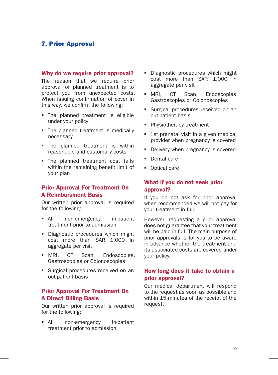## 7. Prior Approval

#### Why do we require prior approval?

The reason that we require prior approval of planned treatment is to protect you from unexpected costs. When issuing confirmation of cover in this way, we confirm the following:

- The planned treatment is eligible under your policy
- The planned treatment is medically necessary
- **The planned treatment is within** reasonable and customary costs
- The planned treatment cost falls within the remaining benefit limit of your plan

#### Prior Approval For Treatment On A Reimbursment Basis

Our written prior approval is required for the following:

- All non-emergency in-patient treatment prior to admission
- Diagnostic procedures which might cost more than SAR 1,000 in aggregate per visit
- **MRI, CT Scan, Endoscopies,** Gastroscopies or Colonoscopies
- **Surgical procedures received on an** out-patient basis

#### Prior Approval For Treatment On A Direct Billing Basis

Our written prior approval is required for the following:

 All non-emergency in-patient treatment prior to admission

- Diagnostic procedures which might cost more than SAR 1,000 in aggregate per visit
- MRI, CT Scan, Endoscopies, Gastroscopies or Colonoscopies
- **Surgical procedures received on an** out-patient basis
- **Physiotherapy treatment**
- **1st prenatal visit in a given medical** provider when pregnancy is covered
- Delivery when pregnancy is covered
- **Dental care**
- Optical care

#### What if you do not seek prior approval?

If you do not ask for prior approval when recommended we will not pay for your treatment in full.

However, requesting a prior approval does not guarantee that your treatment will be paid in full. The main purpose of prior approvals is for you to be aware in advance whether the treatment and its associated costs are covered under your policy.

#### How long does it take to obtain a prior approval?

Our medical department will respond to the request as soon as possible and within 15 minutes of the receipt of the request.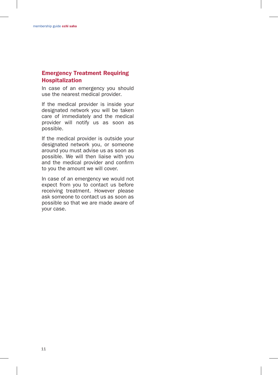## Emergency Treatment Requiring Hospitalization

In case of an emergency you should use the nearest medical provider.

If the medical provider is inside your designated network you will be taken care of immediately and the medical provider will notify us as soon as possible.

If the medical provider is outside your designated network you, or someone around you must advise us as soon as possible. We will then liaise with you and the medical provider and confirm to you the amount we will cover.

In case of an emergency we would not expect from you to contact us before receiving treatment. However please ask someone to contact us as soon as possible so that we are made aware of your case.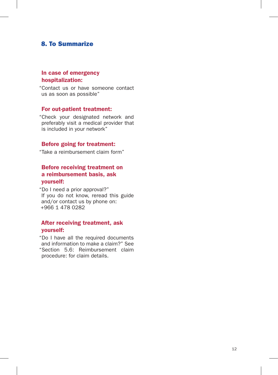## 8. To Summarize

#### In case of emergency hospitalization:

"Contact us or have someone contact us as soon as possible"

#### For out-patient treatment:

"Check your designated network and preferably visit a medical provider that is included in your network"

#### Before going for treatment:

"Take a reimbursement claim form"

## Before receiving treatment on a reimbursement basis, ask yourself:

"Do I need a prior approval?" If you do not know, reread this guide and/or contact us by phone on: +966 1 478 0282

#### After receiving treatment, ask yourself:

"Do I have all the required documents and information to make a claim?" See "Section 5.6: Reimbursement claim procedure: for claim details.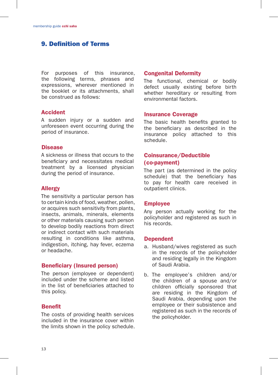## 9. Definition of Terms

For purposes of this insurance, the following terms, phrases and expressions, wherever mentioned in the booklet or its attachments, shall be construed as follows:

#### Accident

A sudden injury or a sudden and unforeseen event occurring during the period of insurance.

#### Disease

A sickness or illness that occurs to the beneficiary and necessitates medical treatment by a licensed physician during the period of insurance.

#### Allergy

The sensitivity a particular person has to certain kinds of food, weather, pollen, or acquires such sensitivity from plants, insects, animals, minerals, elements or other materials causing such person to develop bodily reactions from direct or indirect contact with such materials resulting in conditions like asthma, indigestion, itching, hay fever, eczema or headache.

#### Beneficiary (Insured person)

The person (employee or dependent) included under the scheme and listed in the list of beneficiaries attached to this policy.

#### **Benefit**

The costs of providing health services included in the insurance cover within the limits shown in the policy schedule.

#### Congenital Deformity

The functional, chemical or bodily defect usually existing before birth whether hereditary or resulting from environmental factors.

#### Insurance Coverage

The basic health benefits granted to the beneficiary as described in the insurance policy attached to this schedule.

#### Coinsurance/Deductible (co-payment)

The part (as determined in the policy schedule) that the beneficiary has to pay for health care received in outpatient clinics.

#### Employee

Any person actually working for the policyholder and registered as such in his records.

#### Dependent

- a. Husband/wives registered as such in the records of the policyholder and residing legally in the Kingdom of Saudi Arabia.
- b. The employee's children and/or the children of a spouse and/or children officially sponsored that are residing in the Kingdom of Saudi Arabia, depending upon the employee or their subsistence and registered as such in the records of the policyholder.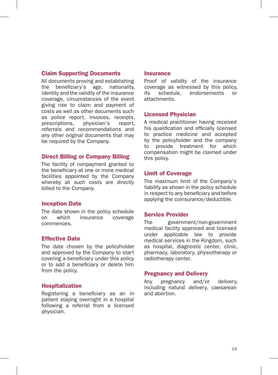#### Claim Supporting Documents

All documents proving and establishing the beneficiary's age, nationality, identity and the validity of the insurance coverage, circumstances of the event giving rise to claim and payment of costs as well as other documents such as police report, invoices, receipts, prescriptions, physician's report, referrals and recommendations and any other original documents that may be required by the Company.

#### Direct Billing or Company Billing

The facility of nonpayment granted to the beneficiary at one or more medical facilities appointed by the Company whereby all such costs are directly billed to the Company.

#### Inception Date

The date shown in the policy schedule on which insurance coverage commences.

#### Effective Date

The date chosen by the policyholder and approved by the Company to start covering a beneficiary under this policy or to add a beneficiary or delete him from the policy.

#### Hospitalization

Registering a beneficiary as an inpatient staying overnight in a hospital following a referral from a licensed physician.

#### **Insurance**

Proof of validity of the insurance coverage as witnessed by this policy, its schedule, endorsements or attachments.

#### Licensed Physician

A medical practitioner having received his qualification and officially licensed to practice medicine and accepted by the policyholder and the company to provide treatment for which compensation might be claimed under this policy.

#### Limit of Coverage

The maximum limit of the Company's liability as shown in the policy schedule in respect to any beneficiary and before applying the coinsurance/deductible.

#### Service Provider

The government/non-government medical facility approved and licensed under applicable law to provide medical services in the Kingdom, such as hospital, diagnostic center, clinic, pharmacy, laboratory, physiotherapy or radiotherapy center.

#### Pregnancy and Delivery

Any pregnancy and/or delivery, including natural delivery, caesarean and abortion.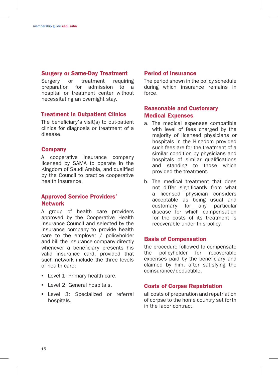#### Surgery or Same-Day Treatment

Surgery or treatment requiring preparation for admission to a hospital or treatment center without necessitating an overnight stay.

#### Treatment in Outpatient Clinics

The beneficiary's visit(s) to out-patient clinics for diagnosis or treatment of a disease.

#### **Company**

A cooperative insurance company licensed by SAMA to operate in the Kingdom of Saudi Arabia, and qualified by the Council to practice cooperative health insurance.

#### Approved Service Providers' Network

A group of health care providers approved by the Cooperative Health Insurance Council and selected by the insurance company to provide health care to the employer / policyholder and bill the insurance company directly whenever a beneficiary presents his valid insurance card, provided that such network include the three levels of health care:

- **Level 1: Primary health care.**
- **Level 2: General hospitals.**
- **Level 3: Specialized or referral** hospitals.

#### Period of Insurance

The period shown in the policy schedule during which insurance remains in force.

#### Reasonable and Customary Medical Expenses

- a. The medical expenses compatible with level of fees charged by the majority of licensed physicians or hospitals in the Kingdom provided such fees are for the treatment of a similar condition by physicians and hospitals of similar qualifications and standing to those which provided the treatment.
- b. The medical treatment that does not differ significantly from what a licensed physician considers acceptable as being usual and customary for any particular disease for which compensation for the costs of its treatment is recoverable under this policy.

#### Basis of Compensation

the procedure followed to compensate the policyholder for recoverable expenses paid by the beneficiary and claimed by him, after satisfying the coinsurance/deductible.

#### Costs of Corpse Repatriation

all costs of preparation and repatriation of corpse to the home country set forth in the labor contract.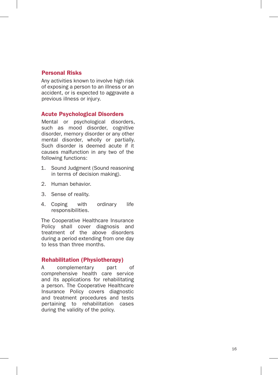#### Personal Risks

Any activities known to involve high risk of exposing a person to an illness or an accident, or is expected to aggravate a previous illness or injury.

#### Acute Psychological Disorders

Mental or psychological disorders, such as mood disorder, cognitive disorder, memory disorder or any other mental disorder, wholly or partially. Such disorder is deemed acute if it causes malfunction in any two of the following functions:

- 1. Sound Judgment (Sound reasoning in terms of decision making).
- 2. Human behavior.
- 3. Sense of reality.
- 4. Coping with ordinary life responsibilities.

The Cooperative Healthcare Insurance Policy shall cover diagnosis and treatment of the above disorders during a period extending from one day to less than three months.

#### Rehabilitation (Physiotherapy)

A complementary part of comprehensive health care service and its applications for rehabilitating a person. The Cooperative Healthcare Insurance Policy covers diagnostic and treatment procedures and tests pertaining to rehabilitation cases during the validity of the policy.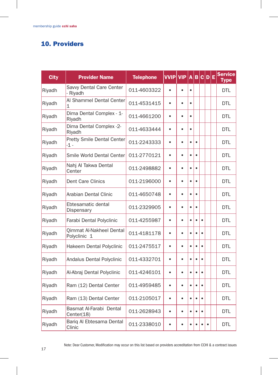## 10. Providers

| <b>City</b> | <b>Provider Name</b>                     | <b>Telephone</b> | <b>VVIP</b> | <b>VIP</b> | A         | B         |           | C D E | <b>Service</b><br><b>Type</b> |
|-------------|------------------------------------------|------------------|-------------|------------|-----------|-----------|-----------|-------|-------------------------------|
| Riyadh      | Savvy Dental Care Center<br>- Riyadh     | 011-4603322      | $\bullet$   | $\bullet$  | $\bullet$ |           |           |       | <b>DTL</b>                    |
| Riyadh      | Al Shammel Dental Center<br>1            | 011-4531415      | $\bullet$   | $\bullet$  | $\bullet$ |           |           |       | DTL                           |
| Riyadh      | Dima Dental Complex - 1-<br>Riyadh       | 011-4661200      | $\bullet$   | $\bullet$  | $\bullet$ |           |           |       | <b>DTL</b>                    |
| Riyadh      | Dima Dental Complex -2-<br>Riyadh        | 011-4633444      | $\bullet$   | $\bullet$  | $\bullet$ |           |           |       | <b>DTL</b>                    |
| Riyadh      | Pretty Smile Dental Center<br>-1 -       | 011-2243333      | $\bullet$   | $\bullet$  | $\bullet$ | $\bullet$ |           |       | <b>DTL</b>                    |
| Riyadh      | Smile World Dental Center                | 011-2770121      | $\bullet$   | ė          | $\bullet$ | $\bullet$ |           |       | <b>DTL</b>                    |
| Riyadh      | Nahj Al Takwa Dental<br>Center           | 011-2498882      | $\bullet$   | $\bullet$  | $\bullet$ | $\bullet$ |           |       | <b>DTL</b>                    |
| Riyadh      | <b>Dent Care Clinics</b>                 | 011-2196000      | $\bullet$   | $\bullet$  | $\bullet$ | $\bullet$ |           |       | <b>DTL</b>                    |
| Riyadh      | Arabian Dental Clinic                    | 011-4650748      | $\bullet$   | $\bullet$  | $\bullet$ | $\bullet$ |           |       | <b>DTL</b>                    |
| Riyadh      | Ebtesamatic dental<br>Dispensary         | 011-2329905      | $\bullet$   | $\bullet$  | $\bullet$ | $\bullet$ |           |       | <b>DTL</b>                    |
| Riyadh      | Farabi Dental Polyclinic                 | 011-4255987      | $\bullet$   | $\bullet$  | $\bullet$ | $\bullet$ | $\bullet$ |       | DTI                           |
| Riyadh      | Qimmat Al-Nakheel Dental<br>Polyclinic 1 | 011-4181178      | $\bullet$   | $\bullet$  | $\bullet$ | $\bullet$ |           |       | <b>DTL</b>                    |
| Riyadh      | Hakeem Dental Polyclinic                 | 011-2475517      | $\bullet$   | $\bullet$  | $\bullet$ | $\bullet$ |           |       | <b>DTL</b>                    |
| Riyadh      | Andalus Dental Polyclinic                | 011-4332701      | $\bullet$   | $\bullet$  | $\bullet$ | $\bullet$ |           |       | <b>DTL</b>                    |
| Riyadh      | Al-Abraj Dental Polyclinic               | 011-4246101      | $\bullet$   | $\bullet$  | $\bullet$ | $\bullet$ |           |       | <b>DTL</b>                    |
| Riyadh      | Ram (12) Dental Center                   | 011-4959485      | $\bullet$   | $\bullet$  | $\bullet$ | $\bullet$ |           |       | <b>DTL</b>                    |
| Riyadh      | Ram (13) Dental Center                   | 011-2105017      | $\bullet$   | $\bullet$  | $\bullet$ | $\bullet$ | $\bullet$ |       | <b>DTL</b>                    |
| Riyadh      | Basmat Al-Farabi Dental<br>Center(18)    | 011-2628943      | $\bullet$   | $\bullet$  | $\bullet$ | $\bullet$ | $\bullet$ |       | <b>DTL</b>                    |
| Riyadh      | Bariq Al Ebtesama Dental<br>Clinic       | 011-2338010      |             | ė          |           |           |           |       | <b>DTL</b>                    |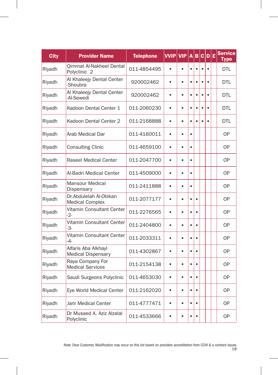| <b>City</b> | <b>Provider Name</b>                                | <b>Telephone</b> | <b>VVIP</b> | <b>VIP</b> | A         | B         | $\mathbf c$ | $\mathbf{D}$ | Ε | <b>Service</b><br><b>Type</b> |
|-------------|-----------------------------------------------------|------------------|-------------|------------|-----------|-----------|-------------|--------------|---|-------------------------------|
| Riyadh      | Qimmat Al-Nakheel Dental<br>Polyclinic <sub>2</sub> | 011-4854495      | $\bullet$   | $\bullet$  | $\bullet$ | $\bullet$ | $\bullet$   |              |   | <b>DTL</b>                    |
| Riyadh      | Al Khaleejy Dental Center<br>-Shoubra               | 920002462        | $\bullet$   | $\bullet$  | $\bullet$ | $\bullet$ |             |              |   | DTL                           |
| Riyadh      | Al Khaleejy Dental Center<br>-Al-Sewedi             | 920002462        | $\bullet$   | $\bullet$  | $\bullet$ | $\bullet$ | $\bullet$   |              |   | <b>DTL</b>                    |
| Riyadh      | Kadoon Dental Center 1                              | 011-2060230      | $\bullet$   | $\bullet$  | $\bullet$ | $\bullet$ | ٠           |              |   | <b>DTL</b>                    |
| Riyadh      | Kadoon Dental Center 2                              | 011-2168888      | $\bullet$   | $\bullet$  | $\bullet$ | $\bullet$ | $\bullet$   |              |   | <b>DTL</b>                    |
| Riyadh      | Arab Medical Dar                                    | 011-4160011      | $\bullet$   | $\bullet$  | $\bullet$ |           |             |              |   | 0P                            |
| Riyadh      | <b>Consulting Clinic</b>                            | 011-4659100      | $\bullet$   | $\bullet$  | $\bullet$ |           |             |              |   | 0P                            |
| Riyadh      | <b>Raseel Medical Center</b>                        | 011-2047700      | $\bullet$   | ٠          | $\bullet$ |           |             |              |   | 0P                            |
| Riyadh      | Al-Badri Medical Center                             | 011-4509000      | $\bullet$   | $\bullet$  | $\bullet$ |           |             |              |   | <b>OP</b>                     |
| Riyadh      | Mansour Medical<br>Dispensary                       | 011-2411888      | $\bullet$   | $\bullet$  | $\bullet$ |           |             |              |   | 0P                            |
| Riyadh      | Dr.Abdulelah Al-Obikan<br><b>Medical Complex</b>    | 011-2077177      | $\bullet$   | $\bullet$  | $\bullet$ | $\bullet$ |             |              |   | 0P                            |
| Riyadh      | Vitamin Consultant Center<br>$-2-$                  | 011-2276565      | $\bullet$   | $\bullet$  | $\bullet$ | $\bullet$ |             |              |   | 0P                            |
| Riyadh      | Vitamin Consultant Center<br>-3-                    | 011-2404800      | $\bullet$   | $\bullet$  | $\bullet$ | $\bullet$ |             |              |   | <b>OP</b>                     |
| Riyadh      | Vitamin Consultant Center<br>-4-                    | 011-2033311      | $\bullet$   | $\bullet$  | $\bullet$ | $\bullet$ |             |              |   | <b>OP</b>                     |
| Riyadh      | Alfaris Aba Alkhayl<br><b>Medical Dispensary</b>    | 011-4302867      | $\bullet$   | $\bullet$  | $\bullet$ | $\bullet$ |             |              |   | 0P                            |
| Riyadh      | Raya Company For<br><b>Medical Services</b>         | 011-2154138      | $\bullet$   | $\bullet$  | $\bullet$ | $\bullet$ |             |              |   | <b>OP</b>                     |
| Riyadh      | Saudi Surgeons Polyclinic                           | 011-4653030      | $\bullet$   | $\bullet$  | $\bullet$ | $\bullet$ |             |              |   | 0P                            |
| Riyadh      | Eye World Medical Center                            | 011-2162020      | $\bullet$   | $\bullet$  | $\bullet$ | $\bullet$ |             |              |   | <b>OP</b>                     |
| Riyadh      | Jarir Medical Center                                | 011-4777471      | $\bullet$   | ė          | $\bullet$ | $\bullet$ |             |              |   | 0P                            |
| Riyadh      | Dr Musaed A. Aziz Alzalal<br>Polyclinic             | 011-4533666      | $\bullet$   | $\bullet$  | $\bullet$ | $\bullet$ |             |              |   | <b>OP</b>                     |

 $\overline{\phantom{a}}$ 

H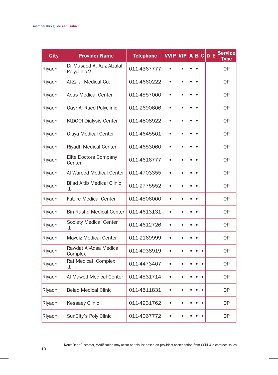| <b>City</b> | <b>Provider Name</b>                       | <b>Telephone</b> | <b>VVIP VIP</b> |           | $\overline{A}$ | B         | C D E     |  | <b>Service</b><br>Type |
|-------------|--------------------------------------------|------------------|-----------------|-----------|----------------|-----------|-----------|--|------------------------|
| Riyadh      | Dr Musaed A. Aziz Alzalal<br>Polyclinic-2- | 011-4367777      |                 |           | $\bullet$      | $\bullet$ |           |  | <b>OP</b>              |
| Riyadh      | Al-Zalal Medical Co.                       | 011-4660222      | $\bullet$       | $\bullet$ | $\bullet$      | $\bullet$ |           |  | <b>OP</b>              |
| Riyadh      | Abas Medical Center                        | 011-4557000      | $\bullet$       | $\bullet$ | $\bullet$      | $\bullet$ |           |  | <b>OP</b>              |
| Riyadh      | Qasr Al Raed Polyclinic                    | 011-2690606      | $\bullet$       |           | $\bullet$      | $\bullet$ |           |  | <b>OP</b>              |
| Riyadh      | KtDOQI Dialysis Center                     | 011-4808922      | $\bullet$       | $\bullet$ | $\bullet$      | $\bullet$ |           |  | <b>OP</b>              |
| Riyadh      | Olaya Medical Center                       | 011-4645501      | $\bullet$       | ٠         | $\bullet$      | $\bullet$ |           |  | 0P                     |
| Riyadh      | Riyadh Medical Center                      | 011-4653060      | $\bullet$       | $\bullet$ | $\bullet$      | $\bullet$ |           |  | <b>OP</b>              |
| Riyadh      | Elite Doctors Company<br>Center            | 011-4616777      | $\bullet$       |           | $\bullet$      | $\bullet$ |           |  | <b>OP</b>              |
| Riyadh      | Al Warood Medical Center                   | 011-4703355      | $\bullet$       | $\bullet$ | $\bullet$      | $\bullet$ |           |  | 0P                     |
| Riyadh      | <b>Bilad Altib Medical Clinic</b><br>-1-   | 011-2775552      | $\bullet$       | $\bullet$ | $\bullet$      | $\bullet$ |           |  | <b>OP</b>              |
| Riyadh      | <b>Future Medical Center</b>               | 011-4506000      | $\bullet$       | $\bullet$ | $\bullet$      | $\bullet$ |           |  | 0P                     |
| Riyadh      | <b>Bin Rushd Medical Center</b>            | 011-4613131      | $\bullet$       | $\bullet$ | $\bullet$      | $\bullet$ |           |  | <b>OP</b>              |
| Riyadh      | Society Medical Center<br>-1 -             | 011-4612726      | $\bullet$       | $\bullet$ | $\bullet$      | $\bullet$ |           |  | OP                     |
| Riyadh      | Mayeiz Medical Center                      | 011-2169999      | $\bullet$       | ė         | $\bullet$      | $\bullet$ |           |  | <b>OP</b>              |
| Riyadh      | Rawdat Al-Aqsa Medical<br>Complex          | 011-4938919      | $\bullet$       | $\bullet$ | $\bullet$      | $\bullet$ | $\bullet$ |  | <b>OP</b>              |
| Riyadh      | Raf Medical Complex<br>-1                  | 011-4473407      | $\bullet$       | $\bullet$ | $\bullet$      | $\bullet$ | ٠         |  | 0P                     |
| Riyadh      | Al Mawed Medical Center                    | 011-4531714      | $\bullet$       | ٠         | $\bullet$      | $\bullet$ | $\bullet$ |  | <b>OP</b>              |
| Riyadh      | <b>Belad Medical Clinic</b>                | 011-4511831      | $\bullet$       | $\bullet$ | $\bullet$      | $\bullet$ |           |  | 0P                     |
| Riyadh      | Kessaey Clinic                             | 011-4931762      | $\bullet$       | $\bullet$ | $\bullet$      | $\bullet$ | $\bullet$ |  | 0P                     |
| Riyadh      | SunCity's Poly Clinic                      | 011-4067772      | $\bullet$       | $\bullet$ | $\bullet$      | $\bullet$ | $\bullet$ |  | <b>OP</b>              |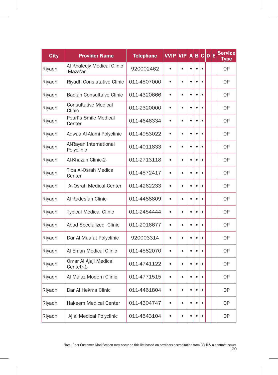| <b>City</b> | <b>Provider Name</b>                     | <b>Telephone</b> | <b>VVIP</b> | <b>VIP</b> | A         | B         |           | C D | Ε | <b>Service</b><br><b>Type</b> |
|-------------|------------------------------------------|------------------|-------------|------------|-----------|-----------|-----------|-----|---|-------------------------------|
| Riyadh      | Al Khaleejy Medical Clinic<br>-Maza'ar - | 920002462        | $\bullet$   | $\bullet$  | $\bullet$ | $\bullet$ | $\bullet$ |     |   | <b>OP</b>                     |
| Riyadh      | Riyadh Conslutative Clinic               | 011-4507000      | $\bullet$   | $\bullet$  | $\bullet$ | $\bullet$ |           |     |   | <b>OP</b>                     |
| Riyadh      | <b>Badiah Consultaive Clinic</b>         | 011-4320666      | $\bullet$   | $\bullet$  | $\bullet$ | $\bullet$ |           |     |   | <b>OP</b>                     |
| Riyadh      | <b>Consultative Medical</b><br>Clinic    | 011-2320000      | $\bullet$   | $\bullet$  | $\bullet$ | $\bullet$ |           |     |   | 0P                            |
| Riyadh      | Pearl's Smile Medical<br>Center          | 011-4646334      | $\bullet$   | $\bullet$  | $\bullet$ | $\bullet$ | $\bullet$ |     |   | <b>OP</b>                     |
| Riyadh      | Adwaa Al-Alami Polyclinic                | 011-4953022      | $\bullet$   | $\bullet$  | $\bullet$ | $\bullet$ | ٠         |     |   | <b>OP</b>                     |
| Riyadh      | Al-Rayan International<br>Polyclinic     | 011-4011833      | $\bullet$   | $\bullet$  | $\bullet$ | $\bullet$ |           |     |   | 0P                            |
| Riyadh      | Al-Khazan Clinic-2-                      | 011-2713118      | $\bullet$   | ٠          | $\bullet$ | $\bullet$ |           |     |   | 0P                            |
| Riyadh      | Tiba Al-Osrah Medical<br>Center          | 011-4572417      | $\bullet$   | $\bullet$  | $\bullet$ | $\bullet$ | $\bullet$ |     |   | <b>OP</b>                     |
| Riyadh      | Al-Osrah Medical Center                  | 011-4262233      | $\bullet$   | $\bullet$  | $\bullet$ | $\bullet$ |           |     |   | 0P                            |
| Riyadh      | Al Kadesiah Clinic                       | 011-4488809      | $\bullet$   | $\bullet$  | $\bullet$ | $\bullet$ |           |     |   | 0P                            |
| Riyadh      | <b>Typical Medical Clinic</b>            | 011-2454444      | $\bullet$   | $\bullet$  | $\bullet$ | $\bullet$ | $\bullet$ |     |   | <b>OP</b>                     |
| Riyadh      | Abad Specialized Clinic                  | 011-2016677      | $\bullet$   | $\bullet$  | $\bullet$ | $\bullet$ | $\bullet$ |     |   | <b>OP</b>                     |
| Riyadh      | Dar Al Muafat Polyclinic                 | 920003314        | $\bullet$   | $\bullet$  | $\bullet$ | $\bullet$ | $\bullet$ |     |   | <b>OP</b>                     |
| Riyadh      | Al Eman Medical Clinic                   | 011-4582070      | $\bullet$   | $\bullet$  | $\bullet$ | $\bullet$ |           |     |   | 0P                            |
| Riyadh      | Omar Al Ajaji Medical<br>Centetr-1-      | 011-4741122      | $\bullet$   | $\bullet$  | $\bullet$ | $\bullet$ | $\bullet$ |     |   | <b>OP</b>                     |
| Riyadh      | Al Malaz Modern Clinic                   | 011-4771515      | $\bullet$   | ٠          | $\bullet$ | $\bullet$ | $\bullet$ |     |   | <b>OP</b>                     |
| Riyadh      | Dar Al Hekma Clinic                      | 011-4461804      | $\bullet$   | $\bullet$  | $\bullet$ | $\bullet$ |           |     |   | <b>OP</b>                     |
| Riyadh      | <b>Hakeem Medical Center</b>             | 011-4304747      | $\bullet$   | $\bullet$  | $\bullet$ | $\bullet$ |           |     |   | 0P                            |
| Riyadh      | Ajial Medical Polyclinic                 | 011-4543104      | $\bullet$   | $\bullet$  | $\bullet$ | $\bullet$ | $\bullet$ |     |   | <b>OP</b>                     |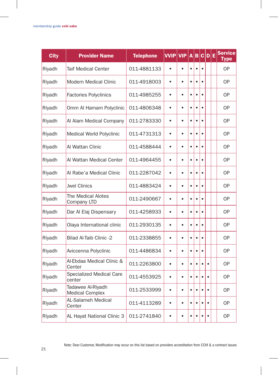| <b>City</b> | <b>Provider Name</b>                        | <b>Telephone</b> | <b>VVIP</b> | <b>VIP</b> | A         | B         | c         | D E       | <b>Service</b><br>Type |
|-------------|---------------------------------------------|------------------|-------------|------------|-----------|-----------|-----------|-----------|------------------------|
| Riyadh      | Taif Medical Center                         | 011-4881133      | $\bullet$   | ä          | $\bullet$ | $\bullet$ | $\bullet$ |           | <b>OP</b>              |
| Riyadh      | <b>Modern Medical Clinic</b>                | 011-4918003      | $\bullet$   | $\bullet$  | ٠         | $\bullet$ | ٠         |           | 0P                     |
| Riyadh      | <b>Factories Polyclinics</b>                | 011-4985255      | $\bullet$   | $\bullet$  | $\bullet$ | $\bullet$ | $\bullet$ |           | 0P                     |
| Riyadh      | Omm Al Hamam Polyclinic                     | 011-4806348      | $\bullet$   | $\bullet$  | $\bullet$ | $\bullet$ | $\bullet$ |           | <b>OP</b>              |
| Riyadh      | Al Alam Medical Company                     | 011-2783330      | $\bullet$   | $\bullet$  | $\bullet$ | $\bullet$ | $\bullet$ |           | 0P                     |
| Riyadh      | Medical World Polyclinic                    | 011-4731313      | $\bullet$   | $\bullet$  | $\bullet$ | $\bullet$ | $\bullet$ |           | <b>OP</b>              |
| Riyadh      | Al Wattan Clinic                            | 011-4588444      | $\bullet$   | $\bullet$  | $\bullet$ | $\bullet$ | $\bullet$ |           | 0P                     |
| Riyadh      | Al Wattan Medical Center                    | 011-4964455      | $\bullet$   | $\bullet$  | $\bullet$ | $\bullet$ | $\bullet$ |           | <b>OP</b>              |
| Riyadh      | Al Rabe'a Medical Clinic                    | 011-2287042      | $\bullet$   | $\bullet$  | $\bullet$ | $\bullet$ | $\bullet$ |           | <b>OP</b>              |
| Riyadh      | <b>Jwel Clinics</b>                         | 011-4883424      | $\bullet$   | $\bullet$  | $\bullet$ | $\bullet$ | $\bullet$ |           | <b>OP</b>              |
| Riyadh      | The Medical Alotes<br>Company LTD           | 011-2490667      | $\bullet$   | $\bullet$  | $\bullet$ | $\bullet$ | $\bullet$ |           | <b>OP</b>              |
| Riyadh      | Dar Al Elaj Dispensary                      | 011-4258933      | $\bullet$   | $\bullet$  | $\bullet$ | $\bullet$ | $\bullet$ |           | <b>OP</b>              |
| Riyadh      | Olaya International clinic                  | 011-2930135      | $\bullet$   | ٠          | $\bullet$ | $\bullet$ | $\bullet$ |           | 0P                     |
| Riyadh      | Bilad Al-Taib Clinic -2                     | 011-2338855      | $\bullet$   | $\bullet$  | $\bullet$ | $\bullet$ |           |           | <b>OP</b>              |
| Riyadh      | Aviccenna Polyclinic                        | 011-4486834      | $\bullet$   | $\bullet$  | $\bullet$ | $\bullet$ | $\bullet$ |           | <b>OP</b>              |
| Riyadh      | Al-Ebdaa Medical Clinic &<br>Center         | 011-2263800      | $\bullet$   | $\bullet$  | $\bullet$ | $\bullet$ | $\bullet$ |           | 0P                     |
| Riyadh      | <b>Specialized Medical Care</b><br>center   | 011-4553925      | $\bullet$   | $\bullet$  | $\bullet$ | $\bullet$ | $\bullet$ | ٠         | <b>OP</b>              |
| Riyadh      | Tadawee Al-Riyadh<br><b>Medical Complex</b> | 011-2533999      | $\bullet$   | $\bullet$  | $\bullet$ | $\bullet$ | $\bullet$ |           | <b>OP</b>              |
| Riyadh      | AL-Salameh Medical<br>Center                | 011-4113289      | $\bullet$   | $\bullet$  | $\bullet$ | $\bullet$ | $\bullet$ | $\bullet$ | <b>OP</b>              |
| Riyadh      | AL Hayat National Clinic 3                  | 011-2741840      |             | ٠          | ٠         | $\bullet$ | ٠         | ٠         | <b>OP</b>              |

Note: Dear Customer, Modification may occur on this list based on providers accreditation from CCHI & a contract issues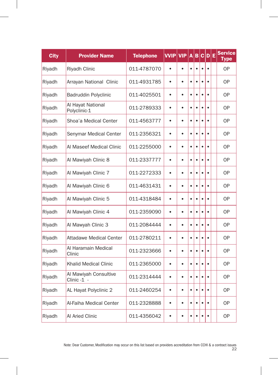| <b>City</b> | <b>Provider Name</b>                 | <b>Telephone</b> | <b>VVIP</b> | <b>VIP</b> | A         | B         | c         | $\mathbf{D}$ | Ε | <b>Service</b><br><b>Type</b> |
|-------------|--------------------------------------|------------------|-------------|------------|-----------|-----------|-----------|--------------|---|-------------------------------|
| Riyadh      | Riyadh Clinic                        | 011-4787070      | $\bullet$   | $\bullet$  | $\bullet$ | $\bullet$ | $\bullet$ |              |   | <b>OP</b>                     |
| Riyadh      | Arrayan National Clinic              | 011-4931785      | $\bullet$   | $\bullet$  | $\bullet$ | $\bullet$ |           |              |   | <b>OP</b>                     |
| Riyadh      | <b>Badruddin Polyclinic</b>          | 011-4025501      | $\bullet$   | $\bullet$  | $\bullet$ | $\bullet$ |           |              |   | <b>OP</b>                     |
| Riyadh      | Al Hayat National<br>Polyclinic-1    | 011-2789333      | $\bullet$   | $\bullet$  | $\bullet$ | $\bullet$ | ٠         |              |   | <b>OP</b>                     |
| Riyadh      | Shoa'a Medical Center                | 011-4563777      | $\bullet$   | $\bullet$  | $\bullet$ | $\bullet$ | $\bullet$ | ٠            |   | <b>OP</b>                     |
| Riyadh      | Senymar Medical Center               | 011-2356321      | $\bullet$   | $\bullet$  | $\bullet$ | $\bullet$ |           |              |   | <b>OP</b>                     |
| Riyadh      | Al Maseef Medical Clinic             | 011-2255000      | $\bullet$   | $\bullet$  | $\bullet$ | $\bullet$ | $\bullet$ | $\bullet$    |   | <b>OP</b>                     |
| Riyadh      | Al Mawiyah Clinic 8                  | 011-2337777      | $\bullet$   | $\bullet$  | $\bullet$ | $\bullet$ | é         | ٠            |   | 0P                            |
| Riyadh      | Al Mawiyah Clinic 7                  | 011-2272333      | $\bullet$   | $\bullet$  | $\bullet$ | $\bullet$ |           |              |   | <b>OP</b>                     |
| Riyadh      | Al Mawiyah Clinic 6                  | 011-4631431      | $\bullet$   | $\bullet$  | $\bullet$ | $\bullet$ |           |              |   | 0P                            |
| Riyadh      | Al Mawiyah Clinic 5                  | 011-4318484      | $\bullet$   | $\bullet$  | $\bullet$ | $\bullet$ | $\bullet$ |              |   | <b>OP</b>                     |
| Riyadh      | Al Mawiyah Clinic 4                  | 011-2359090      | $\bullet$   | $\bullet$  | $\bullet$ | $\bullet$ | $\bullet$ | ٠            |   | <b>OP</b>                     |
| Riyadh      | Al Mawyah Clinic 3                   | 011-2084444      | $\bullet$   | $\bullet$  | $\bullet$ | $\bullet$ |           |              |   | 0P                            |
| Riyadh      | <b>Attadawe Medical Center</b>       | 011-2780211      | $\bullet$   | $\bullet$  | $\bullet$ | $\bullet$ | $\bullet$ |              |   | <b>OP</b>                     |
| Riyadh      | Al Haramain Medical<br>Clinic        | 011-2323666      | $\bullet$   | $\bullet$  | $\bullet$ | $\bullet$ |           |              |   | 0P                            |
| Riyadh      | <b>Khalid Medical Clinic</b>         | 011-2365000      | $\bullet$   | $\bullet$  | $\bullet$ | $\bullet$ |           |              |   | <b>OP</b>                     |
| Riyadh      | Al Mawiyah Consultive<br>Clinic -1 - | 011-2314444      | $\bullet$   | $\bullet$  | $\bullet$ | $\bullet$ |           |              |   | <b>OP</b>                     |
| Riyadh      | AL Hayat Polyclinic 2                | 011-2460254      | $\bullet$   | $\bullet$  | ٠         | $\bullet$ | ٠         |              |   | 0P                            |
| Riyadh      | Al-Faiha Medical Center              | 011-2328888      | $\bullet$   | $\bullet$  | $\bullet$ | $\bullet$ | $\bullet$ | $\bullet$    |   | 0P                            |
| Riyadh      | Al Aried Clinic                      | 011-4356042      |             | ė          | $\bullet$ | $\bullet$ |           |              |   | <b>OP</b>                     |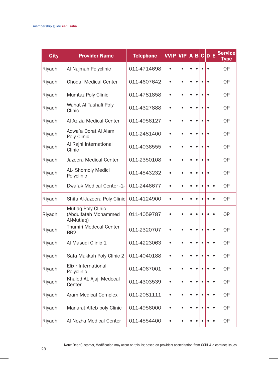| <b>City</b> | <b>Provider Name</b>                                     | <b>Telephone</b> | <b>VVIP</b> | <b>VIP</b> | $\overline{A}$ | B         | c         | D E       |           | <b>Service</b><br>Type |
|-------------|----------------------------------------------------------|------------------|-------------|------------|----------------|-----------|-----------|-----------|-----------|------------------------|
| Riyadh      | Al Najmah Polyclinic                                     | 011-4714698      | $\bullet$   |            | $\bullet$      | $\bullet$ | $\bullet$ |           |           | <b>OP</b>              |
| Riyadh      | <b>Ghodaf Medical Center</b>                             | 011-4607642      | $\bullet$   | $\bullet$  | $\bullet$      | $\bullet$ |           |           |           | <b>OP</b>              |
| Riyadh      | <b>Mumtaz Poly Clinic</b>                                | 011-4781858      | $\bullet$   | $\bullet$  | $\bullet$      | $\bullet$ |           | $\bullet$ |           | 0P                     |
| Riyadh      | Wahat Al Tashafi Poly<br>Clinic                          | 011-4327888      | $\bullet$   | $\bullet$  | $\bullet$      | $\bullet$ |           |           |           | <b>OP</b>              |
| Riyadh      | Al Azizia Medical Center                                 | 011-4956127      | $\bullet$   | $\bullet$  | $\bullet$      | $\bullet$ |           | $\bullet$ |           | 0P                     |
| Riyadh      | Adwa'a Dorat Al Alami<br>Poly Clinic                     | 011-2481400      | $\bullet$   | $\bullet$  | $\bullet$      | $\bullet$ | $\bullet$ |           |           | 0P                     |
| Riyadh      | Al Rajhi International<br>Clinic                         | 011-4036555      | $\bullet$   | $\bullet$  | $\bullet$      | $\bullet$ |           | $\bullet$ |           | 0P                     |
| Riyadh      | Jazeera Medical Center                                   | 011-2350108      | $\bullet$   | $\bullet$  | $\bullet$      | $\bullet$ | $\bullet$ |           |           | 0P                     |
| Riyadh      | AL- Shomoly Medicl<br>Polyclinic                         | 011-4543232      | $\bullet$   | $\bullet$  | $\bullet$      | $\bullet$ |           | $\bullet$ |           | <b>OP</b>              |
| Riyadh      | Dwa'ak Medical Center -1-                                | 011-2446677      | $\bullet$   | $\bullet$  | $\bullet$      | $\bullet$ | $\bullet$ |           | $\bullet$ | 0P                     |
| Riyadh      | Shifa Al-Jazeera Poly Clinic                             | 011-4124900      | $\bullet$   |            | $\bullet$      | $\bullet$ | $\bullet$ |           | $\bullet$ | 0P                     |
| Riyadh      | Mutlaq Poly Clinic<br>(Abdulfatah Mohammed<br>Al-Mutlaq) | 011-4059787      | $\bullet$   | $\bullet$  | $\bullet$      | $\bullet$ | ۰         |           | $\bullet$ | 0P                     |
| Riyadh      | Thumiri Medecal Center<br><b>BR2-</b>                    | 011-2320707      | $\bullet$   | $\bullet$  | $\bullet$      | $\bullet$ | $\bullet$ | $\bullet$ | $\bullet$ | 0P                     |
| Riyadh      | Al Masudi Clinic 1                                       | 011-4223063      | $\bullet$   | $\bullet$  | $\bullet$      | $\bullet$ | $\bullet$ | $\bullet$ | $\bullet$ | 0P                     |
| Riyadh      | Safa Makkah Poly Clinic 2                                | 011-4040188      | $\bullet$   | $\bullet$  | $\bullet$      | $\bullet$ | $\bullet$ | $\bullet$ | $\bullet$ | 0P                     |
| Riyadh      | Elixir International<br>Polyclinic                       | 011-4067001      | $\bullet$   | $\bullet$  | $\bullet$      | $\bullet$ | $\bullet$ |           | $\bullet$ | <b>OP</b>              |
| Riyadh      | Khaled AL Ajaji Medecal<br>Center                        | 011-4303539      | $\bullet$   | $\bullet$  | $\bullet$      | $\bullet$ | ٠         | $\bullet$ | $\bullet$ | 0P                     |
| Riyadh      | Aram Medical Complex                                     | 011-2081111      | $\bullet$   | $\bullet$  | $\bullet$      | $\bullet$ | $\bullet$ |           | $\bullet$ | 0P                     |
| Riyadh      | Manarat Alteb poly Clinic                                | 011-4956000      | $\bullet$   | $\bullet$  | $\bullet$      | $\bullet$ | ٠         | ٠         | $\bullet$ | <b>OP</b>              |
| Riyadh      | Al Nozha Medical Center                                  | 011-4554400      | ٠           | ٠          | $\bullet$      | $\bullet$ |           |           | $\bullet$ | <b>OP</b>              |

 $\overline{\phantom{a}}$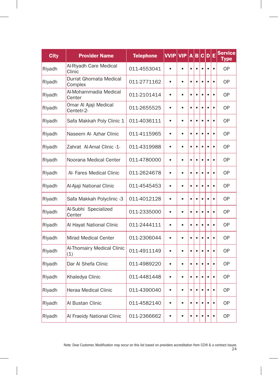| <b>City</b> | <b>Provider Name</b>                | <b>Telephone</b> | $V$ VIP   | <b>VIP</b> | A         | B         | $\mathbf{c}$ | D         | Ε         | <b>Service</b><br><b>Type</b> |
|-------------|-------------------------------------|------------------|-----------|------------|-----------|-----------|--------------|-----------|-----------|-------------------------------|
| Riyadh      | Al-Riyadh Care Medical<br>Clinic    | 011-4553041      | $\bullet$ | $\bullet$  | $\bullet$ | $\bullet$ | $\bullet$    |           | $\bullet$ | <b>OP</b>                     |
| Riyadh      | Durrat Ghornata Medical<br>Complex  | 011-2771162      | $\bullet$ | $\bullet$  | $\bullet$ | $\bullet$ | $\bullet$    |           | $\bullet$ | 0P                            |
| Riyadh      | Al-Mohammadia Medical<br>Center     | 011-2101414      | $\bullet$ | $\bullet$  | $\bullet$ | $\bullet$ | $\bullet$    |           | $\bullet$ | <b>OP</b>                     |
| Riyadh      | Omar Al Ajaji Medical<br>Centetr-2- | 011-2655525      | $\bullet$ | $\bullet$  | $\bullet$ | $\bullet$ | $\bullet$    | ٠         | $\bullet$ | <b>OP</b>                     |
| Riyadh      | Safa Makkah Poly Clinic 1           | 011-4036111      | $\bullet$ | $\bullet$  | $\bullet$ | $\bullet$ | $\bullet$    | ó         | $\bullet$ | <b>OP</b>                     |
| Riyadh      | Naseem Al- Azhar Clinic             | 011-4115965      | $\bullet$ | $\bullet$  | $\bullet$ | $\bullet$ | ٠            | ó         | $\bullet$ | 0P                            |
| Riyadh      | Zahrat Al-Amal Clinic -1-           | 011-4319988      | $\bullet$ | $\bullet$  | $\bullet$ | $\bullet$ | $\bullet$    | $\bullet$ | $\bullet$ | <b>OP</b>                     |
| Riyadh      | Noorana Medical Center              | 011-4780000      | $\bullet$ | $\bullet$  | $\bullet$ | $\bullet$ | $\bullet$    | Ċ         | $\bullet$ | 0P                            |
| Riyadh      | Al- Fares Medical Clinic            | 011-2624678      | $\bullet$ | $\bullet$  | $\bullet$ | $\bullet$ |              | ó         | $\bullet$ | <b>OP</b>                     |
| Riyadh      | Al-Ajaji National Clinic            | 011-4545453      | $\bullet$ | $\bullet$  | $\bullet$ | $\bullet$ | $\bullet$    |           | $\bullet$ | 0P                            |
| Riyadh      | Safa Makkah Polyclinic -3           | 011-4012128      | $\bullet$ | $\bullet$  | $\bullet$ | $\bullet$ | $\bullet$    |           | $\bullet$ | <b>OP</b>                     |
| Riyadh      | Al-Subhi Specialized<br>Center      | 011-2335000      | $\bullet$ | $\bullet$  | $\bullet$ | $\bullet$ | $\bullet$    | $\bullet$ | $\bullet$ | 0P                            |
| Riyadh      | Al Hayat National Clinic            | 011-2444111      | $\bullet$ | $\bullet$  | $\bullet$ | $\bullet$ |              |           | $\bullet$ | <b>OP</b>                     |
| Riyadh      | <b>Mirad Medical Center</b>         | 011-2306044      | $\bullet$ | $\bullet$  | $\bullet$ | $\bullet$ | $\bullet$    | ó         | $\bullet$ | <b>OP</b>                     |
| Riyadh      | Al-Thomairy Medical Clinic<br>(1)   | 011-4911149      | $\bullet$ | $\bullet$  | $\bullet$ | $\bullet$ | ė            |           | $\bullet$ | <b>OP</b>                     |
| Riyadh      | Dar Al Shefa Clinic                 | 011-4989220      | $\bullet$ | $\bullet$  | $\bullet$ | $\bullet$ | $\bullet$    | $\bullet$ | $\bullet$ | <b>OP</b>                     |
| Riyadh      | Khaledya Clinic                     | 011-4481448      | $\bullet$ | $\bullet$  | $\bullet$ | $\bullet$ |              |           | $\bullet$ | 0P                            |
| Riyadh      | <b>Heraa Medical Clinic</b>         | 011-4390040      | $\bullet$ | $\bullet$  | $\bullet$ | $\bullet$ | ٠            |           | $\bullet$ | <b>OP</b>                     |
| Riyadh      | Al Bustan Clinic                    | 011-4582140      | $\bullet$ | $\bullet$  | $\bullet$ | $\bullet$ | $\bullet$    |           | $\bullet$ | <b>OP</b>                     |
| Riyadh      | Al Fraeidy National Clinic          | 011-2366662      | $\bullet$ | $\bullet$  | ė         | $\bullet$ |              |           | $\bullet$ | <b>OP</b>                     |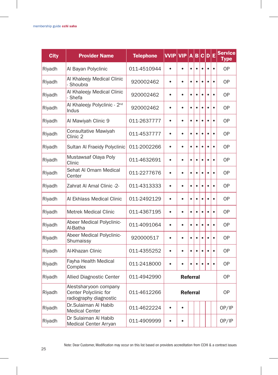| <b>City</b> | <b>Provider Name</b>                                                     | <b>Telephone</b> | <b>VVIP</b> | <b>VIP</b>      | A         | B         | $\mathbf c$ | $\mathbf{D}$ | E         | <b>Service</b><br><b>Type</b> |
|-------------|--------------------------------------------------------------------------|------------------|-------------|-----------------|-----------|-----------|-------------|--------------|-----------|-------------------------------|
| Riyadh      | Al Bayan Polyclinic                                                      | 011-4510944      | $\bullet$   | $\bullet$       | $\bullet$ | $\bullet$ | $\bullet$   | $\bullet$    | $\bullet$ | <b>OP</b>                     |
| Riyadh      | Al Khaleejy Medical Clinic<br>- Shoubra                                  | 920002462        | $\bullet$   | $\bullet$       | $\bullet$ | $\bullet$ | $\bullet$   | $\bullet$    | $\bullet$ | 0P                            |
| Riyadh      | Al Khaleejy Medical Clinic<br>- Shefa                                    | 920002462        | $\bullet$   | $\bullet$       | $\bullet$ | $\bullet$ | $\bullet$   | Ċ            | $\bullet$ | 0P                            |
| Riyadh      | Al Khaleejy Polyclinic - 2 <sup>nd</sup><br>Indus                        | 920002462        | $\bullet$   | $\bullet$       | $\bullet$ | $\bullet$ | $\bullet$   | $\bullet$    | $\bullet$ | 0P                            |
| Riyadh      | Al Mawiyah Clinic 9                                                      | 011-2637777      | $\bullet$   | $\bullet$       | $\bullet$ | $\bullet$ | $\bullet$   | ó            | $\bullet$ | 0P                            |
| Riyadh      | Consultative Mawiyah<br>Clinic 2                                         | 011-4537777      | $\bullet$   | $\bullet$       | $\bullet$ | $\bullet$ | $\bullet$   | $\bullet$    | $\bullet$ | <b>OP</b>                     |
| Riyadh      | Sultan Al Fraeidy Polyclinic                                             | 011-2002266      | $\bullet$   | $\bullet$       | $\bullet$ | $\bullet$ | $\bullet$   | Ċ            | $\bullet$ | <b>OP</b>                     |
| Riyadh      | Mustawsaf Olaya Poly<br>Clinic                                           | 011-4632691      | $\bullet$   | $\bullet$       | $\bullet$ | $\bullet$ | $\bullet$   | $\bullet$    | $\bullet$ | <b>OP</b>                     |
| Riyadh      | Sehat Al Omam Medical<br>Center                                          | 011-2277676      | $\bullet$   | $\bullet$       | $\bullet$ | $\bullet$ | ٠           | ٠            | $\bullet$ | 0P                            |
| Riyadh      | Zahrat Al Amal Clinic -2-                                                | 011-4313333      | $\bullet$   | $\bullet$       | $\bullet$ | $\bullet$ | $\bullet$   | $\bullet$    | $\bullet$ | <b>OP</b>                     |
| Riyadh      | Al Ekhlass Medical Clinic                                                | 011-2492129      | $\bullet$   | $\bullet$       | $\bullet$ | $\bullet$ | $\bullet$   | ė            | $\bullet$ | 0P                            |
| Riyadh      | <b>Metrek Medical Clinic</b>                                             | 011-4367195      | $\bullet$   | $\bullet$       | $\bullet$ | $\bullet$ | $\bullet$   | $\bullet$    | $\bullet$ | <b>OP</b>                     |
| Riyadh      | Abeer Medical Polyclinic-<br>Al-Batha                                    | 011-4091064      | $\bullet$   | $\bullet$       | $\bullet$ | $\bullet$ | $\bullet$   | $\bullet$    | $\bullet$ | 0P                            |
| Riyadh      | Abeer Medical Polyclinic-<br>Shumaissy                                   | 920000517        | $\bullet$   | $\bullet$       | $\bullet$ | $\bullet$ | ٠           | ٠            | $\bullet$ | <b>OP</b>                     |
| Riyadh      | Al-Khazan Clinic                                                         | 011-4355252      | $\bullet$   | $\bullet$       | $\bullet$ | $\bullet$ | $\bullet$   |              | $\bullet$ | 0P                            |
| Riyadh      | Fayha Health Medical<br>Complex                                          | 011-2418000      | $\bullet$   | ٠               | ٠         | $\bullet$ |             |              | $\bullet$ | <b>OP</b>                     |
| Riyadh      | <b>Allied Diagnostic Center</b>                                          | 011-4942990      |             | <b>Referral</b> |           |           |             |              |           | 0P                            |
| Riyadh      | Alestsharyoon company<br>Center Polyclinic for<br>radiography diagnostic | 011-4612266      |             | <b>OP</b>       |           |           |             |              |           |                               |
| Riyadh      | Dr.Sulaiman Al Habib<br><b>Medical Center</b>                            | 011-4622224      | $\bullet$   | $\bullet$       |           |           |             |              |           | OP/IP                         |
| Riyadh      | Dr Sulaiman Al Habib<br>Medical Center Arryan                            | 011-4909999      | $\bullet$   | ٠               |           |           |             |              |           | OP/IP                         |

 $\overline{\phantom{a}}$ 

 $\overline{1}$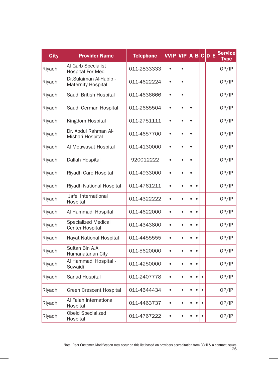| <b>City</b> | <b>Provider Name</b>                                 | <b>Telephone</b> | <b>VVIP</b> | <b>VIP</b> | A         | в         | $ {\bf C} {\bf D} $ | Ε | <b>Service</b><br><b>Type</b> |
|-------------|------------------------------------------------------|------------------|-------------|------------|-----------|-----------|---------------------|---|-------------------------------|
| Riyadh      | Al Garb Specialist<br><b>Hospital For Med</b>        | 011-2833333      | $\bullet$   | $\bullet$  |           |           |                     |   | OP/IP                         |
| Riyadh      | Dr.Sulaiman Al-Habib -<br>Maternity Hospital         | 011-4622224      | $\bullet$   | $\bullet$  |           |           |                     |   | OP/IP                         |
| Riyadh      | Saudi British Hospital                               | 011-4636666      | $\bullet$   |            |           |           |                     |   | OP/IP                         |
| Riyadh      | Saudi German Hospital                                | 011-2685504      | $\bullet$   | $\bullet$  | $\bullet$ |           |                     |   | OP/IP                         |
| Riyadh      | Kingdom Hospital                                     | 011-2751111      | $\bullet$   | $\bullet$  | $\bullet$ |           |                     |   | OP/IP                         |
| Riyadh      | Dr. Abdul Rahman Al-<br>Mishari Hospital             | 011-4657700      | $\bullet$   | $\bullet$  | $\bullet$ |           |                     |   | OP/IP                         |
| Riyadh      | Al Mouwasat Hospital                                 | 011-4130000      | $\bullet$   | $\bullet$  | $\bullet$ |           |                     |   | OP/IP                         |
| Riyadh      | Dallah Hospital                                      | 920012222        | ė           | ٠          | $\bullet$ |           |                     |   | OP/IP                         |
| Riyadh      | Riyadh Care Hospital                                 | 011-4933000      | $\bullet$   | $\bullet$  | $\bullet$ |           |                     |   | OP/IP                         |
| Riyadh      | Riyadh National Hospital                             | 011-4761211      | $\bullet$   | $\bullet$  | $\bullet$ | $\bullet$ |                     |   | OP/IP                         |
| Riyadh      | Jafel International<br>Hospital                      | 011-4322222      | $\bullet$   | $\bullet$  | $\bullet$ | $\bullet$ |                     |   | OP/IP                         |
| Riyadh      | Al Hammadi Hospital                                  | 011-4622000      | $\bullet$   | $\bullet$  | $\bullet$ | $\bullet$ |                     |   | OP/IP                         |
| Riyadh      | <b>Specialized Medical</b><br><b>Center Hospital</b> | 011-4343800      | $\bullet$   | $\bullet$  | $\bullet$ | $\bullet$ |                     |   | OP/IP                         |
| Riyadh      | Hayat National Hospital                              | 011-4455555      | $\bullet$   | $\bullet$  | $\bullet$ | $\bullet$ |                     |   | OP/IP                         |
| Riyadh      | Sultan Bin A.A<br>Humanatarian City                  | 011-5620000      | $\bullet$   | $\bullet$  | $\bullet$ | $\bullet$ |                     |   | OP/IP                         |
| Riyadh      | Al Hammadi Hospital -<br>Suwaidi                     | 011-4250000      | $\bullet$   | $\bullet$  | $\bullet$ | $\bullet$ |                     |   | OP/IP                         |
| Riyadh      | Sanad Hospital                                       | 011-2407778      | $\bullet$   | $\bullet$  | $\bullet$ | $\bullet$ | $\bullet$           |   | OP/IP                         |
| Riyadh      | Green Crescent Hospital                              | 011-4644434      | $\bullet$   | $\bullet$  | $\bullet$ | $\bullet$ |                     |   | OP/IP                         |
| Riyadh      | Al Falah International<br>Hospital                   | 011-4463737      | $\bullet$   | $\bullet$  | $\bullet$ | $\bullet$ |                     |   | OP/IP                         |
| Riyadh      | Obeid Specialized<br>Hospital                        | 011-4767222      | $\bullet$   | $\bullet$  | $\bullet$ | $\bullet$ | $\bullet$           |   | OP/IP                         |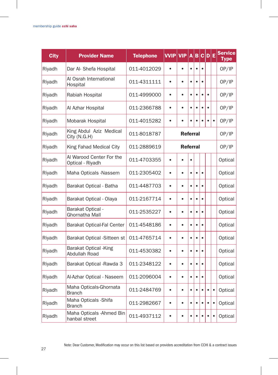| <b>City</b> | <b>Provider Name</b>                         | <b>Telephone</b> | <b>VVIP</b> | <b>VIP</b>      | A         | B         |           | C D E     |           | <b>Service</b><br>Type |
|-------------|----------------------------------------------|------------------|-------------|-----------------|-----------|-----------|-----------|-----------|-----------|------------------------|
| Riyadh      | Dar Al- Shefa Hospital                       | 011-4012029      | $\bullet$   | $\bullet$       | $\bullet$ | $\bullet$ | $\bullet$ |           |           | OP/IP                  |
| Riyadh      | Al Osrah International<br>Hospital           | 011-4311111      | $\bullet$   | $\bullet$       | $\bullet$ | $\bullet$ | $\bullet$ |           |           | OP/IP                  |
| Riyadh      | Rabiah Hospital                              | 011-4999000      | $\bullet$   | $\bullet$       | $\bullet$ | $\bullet$ | $\bullet$ | $\bullet$ |           | OP/IP                  |
| Riyadh      | Al Azhar Hospital                            | 011-2366788      | $\bullet$   | ė               | $\bullet$ | $\bullet$ |           |           |           | OP/IP                  |
| Riyadh      | Mobarak Hospital                             | 011-4015282      | $\bullet$   | $\bullet$       |           |           |           |           | $\bullet$ | OP/IP                  |
| Riyadh      | King Abdul Aziz Medical<br>City (N.G.H)      | 011-8018787      |             | <b>Referral</b> |           |           |           |           |           | OP/IP                  |
| Riyadh      | King Fahad Medical City                      | 011-2889619      |             | <b>Referral</b> |           |           |           |           |           | OP/IP                  |
| Riyadh      | Al Warood Center For the<br>Optical - Riyadh | 011-4703355      | $\bullet$   |                 | $\bullet$ |           |           |           |           | Optical                |
| Riyadh      | Maha Opticals -Nassem                        | 011-2305402      | $\bullet$   | $\bullet$       | $\bullet$ | $\bullet$ |           |           |           | Optical                |
| Riyadh      | Barakat Optical - Batha                      | 011-4487703      | $\bullet$   | $\bullet$       | $\bullet$ | $\bullet$ | $\bullet$ |           |           | Optical                |
| Riyadh      | Barakat Optical - Olaya                      | 011-2167714      | $\bullet$   | $\bullet$       | $\bullet$ | $\bullet$ | $\bullet$ |           |           | Optical                |
| Riyadh      | Barakat Optical -<br>Ghornatha Mall          | 011-2535227      | $\bullet$   | $\bullet$       | $\bullet$ | $\bullet$ | $\bullet$ |           |           | Optical                |
| Riyadh      | Barakat Optical-Fal Center                   | 011-4548186      | $\bullet$   | $\bullet$       |           | $\bullet$ |           |           |           | Optical                |
| Riyadh      | Barakat Optical -Sitteen st                  | 011-4765714      | $\bullet$   | $\bullet$       | $\bullet$ | $\bullet$ |           |           |           | Optical                |
| Riyadh      | Barakat Optical - King<br>Abdullah Road      | 011-4530382      | $\bullet$   | $\bullet$       | $\bullet$ | $\bullet$ |           |           |           | Optical                |
| Riyadh      | Barakat Optical - Rawda 3                    | 011-2348122      | $\bullet$   | $\bullet$       | $\bullet$ | $\bullet$ | ٠         |           |           | Optical                |
| Riyadh      | Al-Azhar Optical - Naseem                    | 011-2096004      | $\bullet$   | $\bullet$       | $\bullet$ | $\bullet$ | $\bullet$ |           |           | Optical                |
| Riyadh      | Maha Opticals-Ghornata<br><b>Branch</b>      | 011-2484769      | $\bullet$   | $\bullet$       | $\bullet$ | $\bullet$ |           |           | $\bullet$ | Optical                |
| Riyadh      | Maha Opticals - Shifa<br><b>Branch</b>       | 011-2982667      | $\bullet$   | $\bullet$       | $\bullet$ | $\bullet$ | $\bullet$ |           | $\bullet$ | Optical                |
| Riyadh      | Maha Opticals - Ahmed Bin<br>hanbal street   | 011-4937112      | $\bullet$   | $\bullet$       | $\bullet$ | $\bullet$ | $\bullet$ | $\bullet$ | $\bullet$ | Optical                |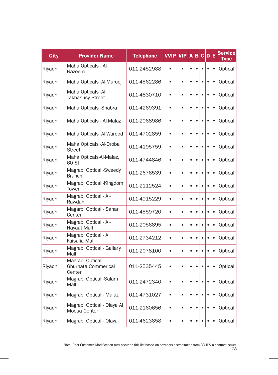| <b>City</b> | <b>Provider Name</b>                               | <b>Telephone</b> | <b>VVIP</b> | <b>VIP</b> | A         | B         | $\mathbf c$ | D         | Е         | <b>Service</b><br><b>Type</b> |
|-------------|----------------------------------------------------|------------------|-------------|------------|-----------|-----------|-------------|-----------|-----------|-------------------------------|
| Riyadh      | Maha Opticals - Al-<br>Nazeem                      | 011-2452988      | $\bullet$   | $\bullet$  | $\bullet$ | $\bullet$ | $\bullet$   | $\bullet$ | $\bullet$ | Optical                       |
| Riyadh      | Maha Opticals - Al-Murooj                          | 011-4562286      | $\bullet$   | $\bullet$  | $\bullet$ | $\bullet$ |             | $\bullet$ | $\bullet$ | Optical                       |
| Riyadh      | Maha Opticals -Al-<br><b>Takhasusy Street</b>      | 011-4830710      | $\bullet$   | $\bullet$  | $\bullet$ | $\bullet$ |             | $\bullet$ | $\bullet$ | Optical                       |
| Riyadh      | Maha Opticals - Shabra                             | 011-4269391      | $\bullet$   | $\bullet$  | $\bullet$ | $\bullet$ | $\bullet$   | $\bullet$ | $\bullet$ | Optical                       |
| Riyadh      | Maha Opticals - Al-Malaz                           | 011-2068986      | $\bullet$   | $\bullet$  | $\bullet$ | $\bullet$ | $\bullet$   | $\bullet$ | $\bullet$ | Optical                       |
| Riyadh      | Maha Opticals -Al-Warood                           | 011-4702859      | $\bullet$   | $\bullet$  | $\bullet$ | $\bullet$ | $\bullet$   | $\bullet$ | $\bullet$ | Optical                       |
| Riyadh      | Maha Opticals -Al-Oroba<br><b>Street</b>           | 011-4195759      | $\bullet$   | $\bullet$  | $\bullet$ | $\bullet$ | $\bullet$   | $\bullet$ | $\bullet$ | Optical                       |
| Riyadh      | Maha Opticals-Al-Malaz,<br>60 St                   | 011-4744846      | $\bullet$   | $\bullet$  | $\bullet$ | $\bullet$ |             | $\bullet$ | $\bullet$ | Optical                       |
| Riyadh      | Magrabi Optical -Sweedy<br><b>Branch</b>           | 011-2676539      | $\bullet$   | $\bullet$  | $\bullet$ | $\bullet$ | é           | $\bullet$ | $\bullet$ | Optical                       |
| Riyadh      | Magrabi Optical -Kingdom<br>Tower                  | 011-2112524      | $\bullet$   | $\bullet$  | $\bullet$ | $\bullet$ |             | $\bullet$ | $\bullet$ | Optical                       |
| Riyadh      | Magrabi Optical - Al-<br>Rawdah                    | 011-4915229      | $\bullet$   | $\bullet$  | $\bullet$ | $\bullet$ |             |           | $\bullet$ | Optical                       |
| Riyadh      | Magarbi Optical - Sahari<br>Center                 | 011-4559720      | $\bullet$   | $\bullet$  | $\bullet$ | $\bullet$ |             | $\bullet$ | $\bullet$ | Optical                       |
| Riyadh      | Magrabi Optical - Al-<br>Hayaat Mall               | 011-2056895      | $\bullet$   | $\bullet$  | $\bullet$ | $\bullet$ |             | $\bullet$ | $\bullet$ | Optical                       |
| Riyadh      | Magrabi Optical - Al<br>Faisalia Mall              | 011-2734212      | $\bullet$   | $\bullet$  | $\bullet$ | $\bullet$ |             | $\bullet$ | $\bullet$ | Optical                       |
| Riyadh      | Magrabi Optical - Gallary<br>Mall                  | 011-2078100      | $\bullet$   | $\bullet$  | $\bullet$ | $\bullet$ |             | $\bullet$ | $\bullet$ | Optical                       |
| Riyadh      | Magrabi Optical -<br>Ghurnata Commerical<br>Center | 011-2535445      | $\bullet$   | $\bullet$  | $\bullet$ | $\bullet$ |             |           | $\bullet$ | Optical                       |
| Riyadh      | Magrabi Optical -Salam<br>Mall                     | 011-2472340      | $\bullet$   | $\bullet$  | $\bullet$ | $\bullet$ | $\bullet$   | $\bullet$ | $\bullet$ | Optical                       |
| Riyadh      | Magrabi Optical - Malaz                            | 011-4731027      | $\bullet$   | $\bullet$  | ٠         | $\bullet$ | ٠           | ٠         | ٠         | Optical                       |
| Riyadh      | Magrabi Optical - Olaya Al<br>Moosa Center         | 011-2160656      | $\bullet$   | $\bullet$  | $\bullet$ | $\bullet$ | $\bullet$   | $\bullet$ | $\bullet$ | Optical                       |
| Riyadh      | Magrabi Optical - Olaya                            | 011-4623858      | $\bullet$   | $\bullet$  | $\bullet$ | $\bullet$ | $\bullet$   | $\bullet$ | $\bullet$ | Optical                       |

28 Note: Dear Customer, Modification may occur on this list based on providers accreditation from CCHI & a contract issues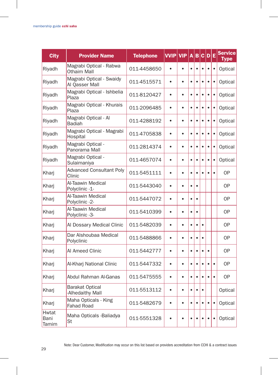| <b>City</b>            | <b>Provider Name</b>                          | <b>Telephone</b> | <b>VVIP</b> | <b>VIP</b> | A         | B         |           | c D       | E         | Service<br>Type |
|------------------------|-----------------------------------------------|------------------|-------------|------------|-----------|-----------|-----------|-----------|-----------|-----------------|
| Riyadh                 | Magrabi Optical - Rabwa<br><b>Othaim Mall</b> | 011-4458650      | $\bullet$   |            | $\bullet$ | $\bullet$ | $\bullet$ | $\bullet$ | $\bullet$ | Optical         |
| Riyadh                 | Magrabi Optical - Swaidy<br>Al Qasser Mall    | 011-4515571      | $\bullet$   | $\bullet$  | $\bullet$ | $\bullet$ |           | $\bullet$ | $\bullet$ | Optical         |
| Riyadh                 | Magrabi Optical - Ishbelia<br>Plaza           | 011-8120427      | $\bullet$   | ٠          | $\bullet$ | $\bullet$ | $\bullet$ | ò         | $\bullet$ | Optical         |
| Riyadh                 | Magrabi Optical - Khurais<br>Plaza            | 011-2096485      | $\bullet$   | $\bullet$  | $\bullet$ | $\bullet$ |           | $\bullet$ | $\bullet$ | Optical         |
| Riyadh                 | Magrabi Optical - Al<br><b>Badiah</b>         | 011-4288192      | $\bullet$   | $\bullet$  | $\bullet$ | $\bullet$ |           | $\bullet$ | $\bullet$ | Optical         |
| Riyadh                 | Magrabi Optical - Magrabi<br>Hospital         | 011-4705838      | $\bullet$   | $\bullet$  | $\bullet$ | $\bullet$ | ė         | $\bullet$ | $\bullet$ | Optical         |
| Riyadh                 | Magrabi Optical -<br>Panorama Mall            | 011-2814374      | $\bullet$   | $\bullet$  | $\bullet$ | $\bullet$ | $\bullet$ | $\bullet$ | $\bullet$ | Optical         |
| Riyadh                 | Magrabi Optical -<br>Sulaimaniya              | 011-4657074      | $\bullet$   | $\bullet$  | $\bullet$ | $\bullet$ |           | $\bullet$ | $\bullet$ | Optical         |
| Kharj                  | <b>Advanced Consultant Poly</b><br>Clinic     | 011-5451111      | $\bullet$   | $\bullet$  | $\bullet$ | $\bullet$ | ė         |           | $\bullet$ | <b>OP</b>       |
| Kharj                  | Al-Taawin Medical<br>Polyclinic -1-           | 011-5443040      | $\bullet$   | $\bullet$  | $\bullet$ | $\bullet$ |           |           |           | 0P              |
| Kharj                  | Al-Taawin Medical<br>Polyclinic -2-           | 011-5447072      | $\bullet$   | $\bullet$  | $\bullet$ | $\bullet$ |           |           |           | <b>OP</b>       |
| Kharj                  | Al-Taawin Medical<br>Polyclinic -3-           | 011-5410399      | $\bullet$   | $\bullet$  | $\bullet$ | $\bullet$ |           |           |           | <b>OP</b>       |
| Kharj                  | Al Dossary Medical Clinic                     | 011-5482039      | $\bullet$   | $\bullet$  | $\bullet$ | $\bullet$ | $\bullet$ |           |           | 0P              |
| Kharj                  | Dar Alshoubaa Medical<br>Polyclinic           | 011-5488866      | $\bullet$   | $\bullet$  | $\bullet$ | $\bullet$ | $\bullet$ |           |           | <b>OP</b>       |
| Kharj                  | Al Ameed Clinic                               | 011-5442777      | $\bullet$   | $\bullet$  | ä         | $\bullet$ | ٠         | $\bullet$ |           | <b>OP</b>       |
| Kharj                  | Al-Kharj National Clinic                      | 011-5447332      | $\bullet$   | $\bullet$  | $\bullet$ | $\bullet$ | $\bullet$ | $\bullet$ | $\bullet$ | <b>OP</b>       |
| Kharj                  | Abdul Rahman Al-Ganas                         | 011-5475555      | $\bullet$   | $\bullet$  | $\bullet$ | $\bullet$ | $\bullet$ |           | $\bullet$ | 0P              |
| Kharj                  | <b>Barakat Optical</b><br>-Alhedaithy Mall    | 011-5513112      | $\bullet$   | $\bullet$  | $\bullet$ | $\bullet$ | $\bullet$ |           |           | Optical         |
| Kharj                  | Maha Opticals - King<br><b>Fahad Road</b>     | 011-5482679      | $\bullet$   | $\bullet$  | $\bullet$ | $\bullet$ | $\bullet$ | ٠         | $\bullet$ | Optical         |
| Hwtat<br>Bani<br>Tamim | Maha Opticals -Baliadya<br>St                 | 011-5551328      |             |            |           | $\bullet$ |           |           | ٠         | Optical         |

 $\overline{1}$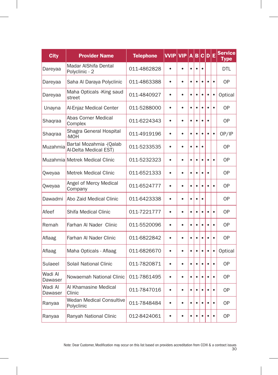| <b>City</b>        | <b>Provider Name</b>                              | <b>Telephone</b> | <b>VVIP</b> | <b>VIP</b> | A         | B         | $\mathbf{c}$ | D         | Е         | <b>Service</b><br><b>Type</b> |
|--------------------|---------------------------------------------------|------------------|-------------|------------|-----------|-----------|--------------|-----------|-----------|-------------------------------|
| Dareyaa            | Madar AlShifa Dental<br>Polyclinic - 2            | 011-4862828      | $\bullet$   | $\bullet$  | $\bullet$ | $\bullet$ | $\bullet$    |           |           | <b>DTL</b>                    |
| Dareyaa            | Saha Al Daraya Polyclinic                         | 011-4863388      | $\bullet$   | $\bullet$  | $\bullet$ | $\bullet$ | ٠            | $\bullet$ | $\bullet$ | <b>OP</b>                     |
| Dareyaa            | Maha Opticals - King saud<br>street               | 011-4840927      | $\bullet$   | $\bullet$  | $\bullet$ | $\bullet$ | $\bullet$    | ó         | $\bullet$ | Optical                       |
| Unayna             | Al-Enjaz Medical Center                           | 011-5288000      | ė           | $\bullet$  | $\bullet$ | $\bullet$ | $\bullet$    | ٠         | $\bullet$ | 0P                            |
| Shaqraa            | Abas Corner Medical<br>Complex                    | 011-6224343      | $\bullet$   | $\bullet$  | $\bullet$ | $\bullet$ | $\bullet$    | $\bullet$ |           | <b>OP</b>                     |
| Shaqraa            | Shagra General Hospital<br>-MOH                   | 011-4919196      | $\bullet$   | $\bullet$  | $\bullet$ | $\bullet$ | ė            | ٠         | $\bullet$ | OP/IP                         |
| Muzahmia           | Bartal Mozahmia - (Qalab<br>Al-Delta Medical EST) | 011-5233535      | $\bullet$   | $\bullet$  | $\bullet$ | $\bullet$ | $\bullet$    |           |           | <b>OP</b>                     |
|                    | Muzahmia Metrek Medical Clinic                    | 011-5232323      | ė           | ٠          | $\bullet$ | $\bullet$ | é            |           | $\bullet$ | 0P                            |
| Qweyaa             | <b>Metrek Medical Clinic</b>                      | 011-6521333      | $\bullet$   | $\bullet$  | $\bullet$ | $\bullet$ | $\bullet$    | $\bullet$ |           | <b>OP</b>                     |
| Qweyaa             | Angel of Mercy Medical<br>Company                 | 011-6524777      | $\bullet$   | $\bullet$  | $\bullet$ | $\bullet$ |              |           | $\bullet$ | 0P                            |
| Dawadmi            | Abo Zaid Medical Clinic                           | 011-6423338      | $\bullet$   | $\bullet$  | $\bullet$ | $\bullet$ | $\bullet$    |           |           | 0P                            |
| Afeef              | Shifa Medical Clinic                              | 011-7221777      | $\bullet$   | $\bullet$  | $\bullet$ | $\bullet$ | $\bullet$    | ٠         | $\bullet$ | <b>OP</b>                     |
| Remah              | Farhan Al Nader Clinic                            | 011-5520096      | $\bullet$   | $\bullet$  | $\bullet$ | $\bullet$ | $\bullet$    | $\bullet$ | $\bullet$ | <b>OP</b>                     |
| Aflaag             | Farhan Al Nader Clinic                            | 011-6822842      | $\bullet$   | $\bullet$  | $\bullet$ | $\bullet$ | $\bullet$    | $\bullet$ | $\bullet$ | <b>OP</b>                     |
| Aflaag             | Maha Opticals - Aflaag                            | 011-6826670      | $\bullet$   | $\bullet$  | $\bullet$ | $\bullet$ | $\bullet$    | $\bullet$ | $\bullet$ | Optical                       |
| Sulaeel            | Solail National Clinic                            | 011-7820871      | $\bullet$   | $\bullet$  | $\bullet$ | $\bullet$ | $\bullet$    | $\bullet$ | $\bullet$ | <b>OP</b>                     |
| Wadi Al<br>Dawaser | Nowaemah National Clinic                          | 011-7861495      | $\bullet$   | $\bullet$  | $\bullet$ | $\bullet$ | $\bullet$    | Ċ         | $\bullet$ | <b>OP</b>                     |
| Wadi Al<br>Dawaser | Al Khamasine Medical<br>Clinic                    | 011-7847016      | $\bullet$   | $\bullet$  | $\bullet$ | $\bullet$ |              |           | $\bullet$ | <b>OP</b>                     |
| Ranyaa             | <b>Wedan Medical Consultive</b><br>Polyclinic     | 011-7848484      | $\bullet$   | $\bullet$  | $\bullet$ | $\bullet$ | $\bullet$    |           | $\bullet$ | 0P                            |
| Ranyaa             | Ranyah National Clinic                            | 012-8424061      | $\bullet$   | $\bullet$  | $\bullet$ | $\bullet$ | $\bullet$    | $\bullet$ | $\bullet$ | <b>OP</b>                     |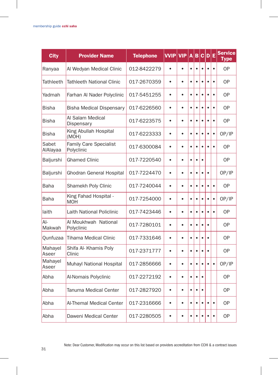| <b>City</b>       | <b>Provider Name</b>                 | <b>Telephone</b> | <b>VVIP</b> | <b>VIP</b> | A         | B         |           | C D E     |           | <b>Service</b><br><b>Type</b> |
|-------------------|--------------------------------------|------------------|-------------|------------|-----------|-----------|-----------|-----------|-----------|-------------------------------|
| Ranyaa            | Al Wedyan Medical Clinic             | 012-8422279      | $\bullet$   | $\bullet$  | $\bullet$ | $\bullet$ | $\bullet$ | $\bullet$ | $\bullet$ | <b>OP</b>                     |
| <b>Tathleeth</b>  | <b>Tathleeth National Clinic</b>     | 017-2670359      | $\bullet$   | $\bullet$  | $\bullet$ | $\bullet$ | $\bullet$ | $\bullet$ | $\bullet$ | <b>OP</b>                     |
| Yadmah            | Farhan Al Nader Polyclinic           | 017-5451255      | $\bullet$   | $\bullet$  | $\bullet$ | $\bullet$ | $\bullet$ | $\bullet$ | $\bullet$ | <b>OP</b>                     |
| <b>Bisha</b>      | <b>Bisha Medical Dispensary</b>      | 017-6226560      | $\bullet$   | $\bullet$  | $\bullet$ | $\bullet$ | $\bullet$ | ó         | $\bullet$ | <b>OP</b>                     |
| <b>Bisha</b>      | Al Salam Medical<br>Dispensary       | 017-6223575      | $\bullet$   | $\bullet$  | $\bullet$ | $\bullet$ | $\bullet$ | $\bullet$ | $\bullet$ | 0P                            |
| <b>Bisha</b>      | King Abullah Hospital<br>(MOH)       | 017-6223333      | $\bullet$   | $\bullet$  | $\bullet$ | $\bullet$ | $\bullet$ | $\bullet$ | $\bullet$ | OP/IP                         |
| Sabet<br>AlAlayaa | Family Care Specialist<br>Polyclinic | 017-6300084      | $\bullet$   | $\bullet$  | $\bullet$ | $\bullet$ | $\bullet$ | ٠         | $\bullet$ | 0P                            |
| Baljurshi         | <b>Ghamed Clinic</b>                 | 017-7220540      | $\bullet$   | $\bullet$  | $\bullet$ | $\bullet$ | $\bullet$ |           |           | <b>OP</b>                     |
| Baljurshi         | Ghodran General Hospital             | 017-7224470      | $\bullet$   | $\bullet$  | $\bullet$ | $\bullet$ | $\bullet$ |           |           | OP/IP                         |
| Baha              | Shamekh Poly Clinic                  | 017-7240044      | $\bullet$   | $\bullet$  | $\bullet$ | $\bullet$ | $\bullet$ | $\bullet$ | $\bullet$ | <b>OP</b>                     |
| <b>Baha</b>       | King Fahad Hospital -<br><b>MOH</b>  | 017-7254000      | $\bullet$   | $\bullet$  | $\bullet$ | $\bullet$ | $\bullet$ | $\bullet$ | $\bullet$ | OP/IP                         |
| laith             | Laith National Policlinic            | 017-7423446      | $\bullet$   | $\bullet$  | $\bullet$ | $\bullet$ | $\bullet$ | $\bullet$ | $\bullet$ | <b>OP</b>                     |
| $Al-$<br>Makwah   | Al Moukhwah National<br>Polyclinic   | 017-7280101      | $\bullet$   | ٠          | $\bullet$ | $\bullet$ | ٠         |           |           | 0P                            |
| Qunfuzaa          | <b>Tihama Medical Clinic</b>         | 017-7331646      | $\bullet$   | $\bullet$  | $\bullet$ | $\bullet$ | $\bullet$ | $\bullet$ |           | <b>OP</b>                     |
| Mahayel<br>Aseer  | Shifa Al- Khamis Poly<br>Clinic      | 017-2371777      | $\bullet$   | $\bullet$  | $\bullet$ | $\bullet$ | $\bullet$ | $\bullet$ |           | <b>OP</b>                     |
| Mahayel<br>Aseer  | Muhayl National Hospital             | 017-2856666      | $\bullet$   | $\bullet$  | $\bullet$ | $\bullet$ | $\bullet$ |           | $\bullet$ | OP/IP                         |
| Abha              | Al-Nomais Polyclinic                 | 017-2272192      | $\bullet$   | $\bullet$  | $\bullet$ | $\bullet$ | $\bullet$ |           |           | 0P                            |
| Abha              | Tanuma Medical Center                | 017-2827920      | $\bullet$   | $\bullet$  | $\bullet$ | $\bullet$ | $\bullet$ |           |           | <b>OP</b>                     |
| Abha              | Al-Themal Medical Center             | 017-2316666      | $\bullet$   | $\bullet$  | $\bullet$ | $\bullet$ | $\bullet$ | $\bullet$ | $\bullet$ | <b>OP</b>                     |
| Abha              | Daweni Medical Center                | 017-2280505      |             | $\bullet$  | $\bullet$ | $\bullet$ |           |           | $\bullet$ | <b>OP</b>                     |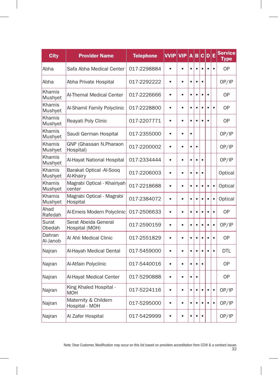| <b>City</b>        | <b>Provider Name</b>                   | <b>Telephone</b> | <b>VVIP</b> | <b>VIP</b> | A         | B         | c         | $\mathbf{D}$ | Ε         | <b>Service</b><br><b>Type</b> |
|--------------------|----------------------------------------|------------------|-------------|------------|-----------|-----------|-----------|--------------|-----------|-------------------------------|
| Abha               | Safa Abha Medical Center               | 017-2298884      |             |            | $\bullet$ | $\bullet$ |           |              | $\bullet$ | <b>OP</b>                     |
| Abha               | Abha Private Hospital                  | 017-2292222      | $\bullet$   | $\bullet$  | $\bullet$ | $\bullet$ |           |              |           | OP/IP                         |
| Khamis<br>Mushyet  | Al-Themal Medical Center               | 017-2226666      | $\bullet$   | $\bullet$  | $\bullet$ | $\bullet$ | $\bullet$ | $\bullet$    |           | <b>OP</b>                     |
| Khamis<br>Mushyet  | Al-Shamil Family Polyclinic            | 017-2228800      | $\bullet$   | $\bullet$  | $\bullet$ | $\bullet$ | $\bullet$ | $\bullet$    | $\bullet$ | 0P                            |
| Khamis<br>Mushyet  | Reayati Poly Clinic                    | 017-2207771      | $\bullet$   | $\bullet$  | $\bullet$ | $\bullet$ |           | $\bullet$    |           | <b>OP</b>                     |
| Khamis<br>Mushyet  | Saudi German Hospital                  | 017-2355000      | $\bullet$   | $\bullet$  | $\bullet$ |           |           |              |           | OP/IP                         |
| Khamis<br>Mushyet  | GNP (Ghassan N.Pharaon<br>Hospital)    | 017-2200002      | $\bullet$   | $\bullet$  | $\bullet$ | $\bullet$ |           |              |           | OP/IP                         |
| Khamis<br>Mushyet  | Al-Hayat National Hospital             | 017-2334444      | $\bullet$   | $\bullet$  | $\bullet$ | $\bullet$ | $\bullet$ |              |           | OP/IP                         |
| Khamis<br>Mushyet  | Barakat Optical -Al-Sooq<br>Al-Khairy  | 017-2206003      | $\bullet$   | $\bullet$  | $\bullet$ | $\bullet$ |           |              |           | Optical                       |
| Khamis<br>Mushyet  | Magrabi Optical - Khairiyah<br>center  | 017-2218688      | $\bullet$   | $\bullet$  | $\bullet$ | $\bullet$ | $\bullet$ | $\bullet$    | $\bullet$ | Optical                       |
| Khamis<br>Mushyet  | Magrabi Optical - Magrabi<br>Hospital  | 017-2384072      | $\bullet$   | $\bullet$  | $\bullet$ | $\bullet$ | $\bullet$ | ٠            | $\bullet$ | Optical                       |
| Ahad<br>Rafedah    | Al-Emeis Modern Polyclinic             | 017-2506633      | $\bullet$   | $\bullet$  | $\bullet$ | $\bullet$ |           | $\bullet$    | $\bullet$ | <b>OP</b>                     |
| Surat<br>Obedah    | Serat Abeida General<br>Hospital (MOH) | 017-2590159      | $\bullet$   | ė          | $\bullet$ | $\bullet$ |           |              | $\bullet$ | OP/IP                         |
| Dahran<br>Al-Janob | Al Ahli Medical Clinic                 | 017-2551829      | $\bullet$   | $\bullet$  | $\bullet$ | $\bullet$ | ė         | $\bullet$    | $\bullet$ | 0P                            |
| Najran             | Al-Hayah Medical Dental                | 017-5459000      | $\bullet$   | $\bullet$  | $\bullet$ | $\bullet$ | ė         |              | $\bullet$ | DTI                           |
| Najran             | Al-Atfain Polyclinic                   | 017-5440016      | $\bullet$   | $\bullet$  | $\bullet$ | $\bullet$ |           |              |           | 0P                            |
| Najran             | Al-Hayat Medical Center                | 017-5290888      | $\bullet$   | $\bullet$  | $\bullet$ | $\bullet$ |           |              |           | <b>OP</b>                     |
| Najran             | King Khaled Hospital -<br><b>MOH</b>   | 017-5224116      | $\bullet$   | $\bullet$  | $\bullet$ | $\bullet$ | ٠         | $\bullet$    | $\bullet$ | OP/IP                         |
| Najran             | Maternity & Childern<br>Hospital - MOH | 017-5295000      | $\bullet$   | $\bullet$  | $\bullet$ | $\bullet$ | $\bullet$ | $\bullet$    | $\bullet$ | OP/IP                         |
| Najran             | Al Zafer Hospital                      | 017-5429999      |             | ė          | ٠         | $\bullet$ | ٠         |              |           | OP/IP                         |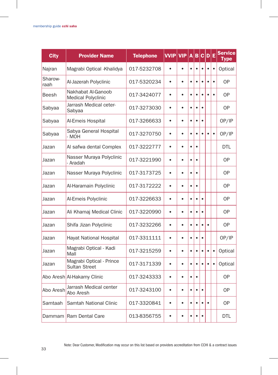| <b>City</b>     | <b>Provider Name</b>                             | <b>Telephone</b> | <b>VVIP</b> | <b>VIP</b> | A         | в         | C.        | D         | E         | Service<br>Type |
|-----------------|--------------------------------------------------|------------------|-------------|------------|-----------|-----------|-----------|-----------|-----------|-----------------|
| Najran          | Magrabi Optical - Khalidya                       | 017-5232708      | $\bullet$   | $\bullet$  | $\bullet$ | $\bullet$ | $\bullet$ | $\bullet$ | $\bullet$ | Optical         |
| Sharow-<br>raah | Al-Jazerah Polyclinic                            | 017-5320234      | $\bullet$   | $\bullet$  | $\bullet$ | $\bullet$ | $\bullet$ | ٠         | $\bullet$ | <b>OP</b>       |
| Beesh           | Nakhabat Al-Ganoob<br><b>Medical Polyclinic</b>  | 017-3424077      | $\bullet$   | $\bullet$  | $\bullet$ | $\bullet$ | $\bullet$ | $\bullet$ | $\bullet$ | <b>OP</b>       |
| Sabyaa          | Jarrash Medical ceter-<br>Sabyaa                 | 017-3273030      | $\bullet$   | ė          | $\bullet$ | $\bullet$ | ٠         |           |           | 0P              |
| Sabyaa          | Al-Emeis Hospital                                | 017-3266633      | $\bullet$   | $\bullet$  | $\bullet$ | $\bullet$ | $\bullet$ |           |           | OP/IP           |
| Sabyaa          | Sabya General Hospital<br>- MOH                  | 017-3270750      | $\bullet$   | $\bullet$  | $\bullet$ | $\bullet$ | $\bullet$ |           | $\bullet$ | OP/IP           |
| Jazan           | Al safwa dental Complex                          | 017-3222777      | $\bullet$   | $\bullet$  | $\bullet$ | $\bullet$ |           |           |           | DTL             |
| Jazan           | Nasser Muraya Polyclinic<br>- Aradah             | 017-3221990      | $\bullet$   |            | ė         | $\bullet$ |           |           |           | <b>OP</b>       |
| Jazan           | Nasser Muraya Polyclinic                         | 017-3173725      | $\bullet$   | $\bullet$  | $\bullet$ | $\bullet$ |           |           |           | 0P              |
| Jazan           | Al-Haramain Polyclinic                           | 017-3172222      | $\bullet$   | $\bullet$  | $\bullet$ | $\bullet$ |           |           |           | 0P              |
| Jazan           | Al-Emeis Polyclinic                              | 017-3226633      | $\bullet$   | $\bullet$  | $\bullet$ | $\bullet$ | $\bullet$ |           |           | <b>OP</b>       |
| Jazan           | Ali Khamaj Medical Clinic                        | 017-3220990      | $\bullet$   | $\bullet$  | $\bullet$ | $\bullet$ | $\bullet$ |           |           | <b>OP</b>       |
| Jazan           | Shifa Jizan Polyclinic                           | 017-3232266      | $\bullet$   |            | $\bullet$ | $\bullet$ |           |           |           | 0P              |
| Jazan           | Hayat National Hospital                          | 017-3311111      | $\bullet$   | $\bullet$  | $\bullet$ | $\bullet$ | $\bullet$ |           |           | OP/IP           |
| Jazan           | Magrabi Optical - Kadi<br>Mall                   | 017-3215259      | $\bullet$   | $\bullet$  | $\bullet$ | $\bullet$ | $\bullet$ | $\bullet$ | $\bullet$ | Optical         |
| Jazan           | Magrabi Optical - Prince<br><b>Sultan Street</b> | 017-3171339      | $\bullet$   | $\bullet$  | $\bullet$ | $\bullet$ | $\bullet$ | $\bullet$ | $\bullet$ | Optical         |
|                 | Abo Aresh Al-Hakamy Clinic                       | 017-3243333      | $\bullet$   | $\bullet$  | $\bullet$ | $\bullet$ |           |           |           | <b>OP</b>       |
| Abo Aresh       | Jarrash Medical center<br>Abo Aresh              | 017-3243100      | $\bullet$   | $\bullet$  | $\bullet$ | $\bullet$ |           |           |           | 0P              |
| Samtaah         | Samtah National Clinic                           | 017-3320841      | $\bullet$   | $\bullet$  | $\bullet$ | $\bullet$ |           |           |           | 0P              |
|                 | Dammam Ram Dental Care                           | 013-8356755      | $\bullet$   | $\bullet$  | $\bullet$ | $\bullet$ | $\bullet$ |           |           | <b>DTL</b>      |

Note: Dear Customer, Modification may occur on this list based on providers accreditation from CCHI & a contract issues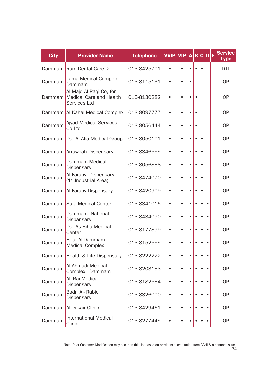| <b>City</b> | <b>Provider Name</b>                                               | <b>Telephone</b> | <b>VVIP</b> | <b>VIP</b> | A         | в         |           | C D       | Е | <b>Service</b><br><b>Type</b> |
|-------------|--------------------------------------------------------------------|------------------|-------------|------------|-----------|-----------|-----------|-----------|---|-------------------------------|
| Dammam      | Ram Dental Care -2-                                                | 013-8425701      | $\bullet$   | $\bullet$  | $\bullet$ | $\bullet$ | $\bullet$ |           |   | <b>DTL</b>                    |
| Dammam      | Lama Medical Complex -<br>Dammam                                   | 013-8115131      | $\bullet$   | $\bullet$  | $\bullet$ |           |           |           |   | <b>OP</b>                     |
| Dammam      | Al Majd Al Raqi Co, for<br>Medical Care and Health<br>Services Ltd | 013-8130282      | é           | ٠          | ٠         |           |           |           |   | 0P                            |
| Dammam      | Al Kahal Medical Complex                                           | 013-8097777      | $\bullet$   | $\bullet$  | $\bullet$ | $\bullet$ |           |           |   | OP                            |
| Dammam      | <b>Ajyad Medical Services</b><br>Co Ltd                            | 013-8056444      | $\bullet$   | $\bullet$  | $\bullet$ | $\bullet$ |           |           |   | OP                            |
| Dammam      | Dar Al Afia Medical Group                                          | 013-8050101      | $\bullet$   | $\bullet$  | $\bullet$ | $\bullet$ | $\bullet$ |           |   | <b>OP</b>                     |
|             | Dammam Arrawdah Dispensary                                         | 013-8346555      | $\bullet$   | $\bullet$  | $\bullet$ | $\bullet$ | $\bullet$ |           |   | OP                            |
| Dammam      | Dammam Medical<br>Dispensary                                       | 013-8056888      | $\bullet$   | $\bullet$  | $\bullet$ | $\bullet$ | $\bullet$ |           |   | <b>OP</b>                     |
| Dammam      | Al Faraby Dispensary<br>(1 <sup>st</sup> , Industrial Area)        | 013-8474070      | $\bullet$   | $\bullet$  | $\bullet$ | $\bullet$ | $\bullet$ |           |   | OP                            |
| Dammam      | Al Faraby Dispensary                                               | 013-8420909      | $\bullet$   | $\bullet$  | $\bullet$ | $\bullet$ | $\bullet$ |           |   | OP                            |
| Dammam      | Safa Medical Center                                                | 013-8341016      | $\bullet$   | $\bullet$  | $\bullet$ | $\bullet$ | $\bullet$ | $\bullet$ |   | OP                            |
| Dammam      | Dammam National<br>Dispansary                                      | 013-8434090      | $\bullet$   | $\bullet$  | $\bullet$ | $\bullet$ | $\bullet$ | $\bullet$ |   | OP                            |
| Dammam      | Dar As Siha Medical<br>Center                                      | 013-8177899      | $\bullet$   | $\bullet$  | $\bullet$ | $\bullet$ |           | $\bullet$ |   | OP                            |
| Dammam      | Fajar Al-Dammam<br><b>Medical Complex</b>                          | 013-8152555      | $\bullet$   | $\bullet$  | $\bullet$ | $\bullet$ |           |           |   | <b>OP</b>                     |
|             | Dammam Health & Life Dispensary                                    | 013-8222222      | $\bullet$   | $\bullet$  | $\bullet$ | $\bullet$ | ė         | $\bullet$ |   | <b>OP</b>                     |
| Dammam      | Al Ahmadi Medical<br>Complex - Dammam                              | 013-8203183      | $\bullet$   | $\bullet$  | $\bullet$ | $\bullet$ | $\bullet$ | $\bullet$ |   | <b>OP</b>                     |
| Dammam      | Al -Rai Medical<br>Dispensary                                      | 013-8182584      | $\bullet$   | $\bullet$  | $\bullet$ | $\bullet$ |           | $\bullet$ |   | <b>OP</b>                     |
| Dammam      | Badr Al-Rabie<br>Dispensary                                        | 013-8326000      | $\bullet$   | $\bullet$  | $\bullet$ | $\bullet$ |           |           |   | 0P                            |
| Dammam      | Al-Dukair Clinic                                                   | 013-8429461      | $\bullet$   | $\bullet$  | $\bullet$ | $\bullet$ |           | $\bullet$ |   | <b>OP</b>                     |
| Dammam      | <b>International Medical</b><br>Clinic                             | 013-8277445      |             |            |           |           |           |           |   | 0P                            |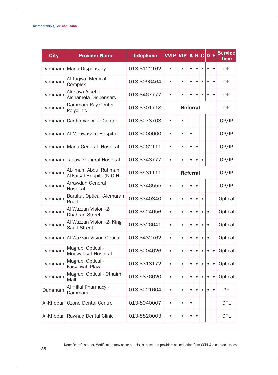| <b>City</b> | <b>Provider Name</b>                              | <b>Telephone</b> | <b>VVIP</b> | <b>VIP</b>      | A         | B         | c         | $\mathsf{D}$ | Е         | <b>Service</b><br>Type |
|-------------|---------------------------------------------------|------------------|-------------|-----------------|-----------|-----------|-----------|--------------|-----------|------------------------|
| Dammam      | Mana Dispensary                                   | 013-8122162      | ۵           | $\blacksquare$  | $\bullet$ | $\bullet$ | $\bullet$ |              | $\bullet$ | <b>OP</b>              |
| Dammam      | Al Taqwa Medical<br>Complex                       | 013-8096464      | $\bullet$   | $\bullet$       | $\bullet$ | $\bullet$ | $\bullet$ |              | $\bullet$ | 0P                     |
| Dammam      | Alenaya Alsehia<br>Alshamela Dispensary           | 013-8467777      | $\bullet$   | $\bullet$       | $\bullet$ | $\bullet$ | $\bullet$ |              | $\bullet$ | <b>OP</b>              |
| Dammam      | Dammam Ray Center<br>Polyclinic                   | 013-8301718      |             | <b>Referral</b> |           |           |           |              |           | <b>OP</b>              |
| Dammam      | Cardio Vascular Center                            | 013-8273703      | $\bullet$   | $\bullet$       |           |           |           |              |           | OP/IP                  |
| Dammam      | Al Mouwassat Hospital                             | 013-8200000      | $\bullet$   | ٠               | $\bullet$ |           |           |              |           | OP/IP                  |
| Dammam      | Mana General Hospital                             | 013-8262111      | $\bullet$   | $\bullet$       | $\bullet$ | $\bullet$ |           |              |           | OP/IP                  |
| Dammam      | Tadawi General Hospital                           | 013-8348777      | $\bullet$   |                 |           | $\bullet$ |           |              |           | OP/IP                  |
| Dammam      | AL-Imam Abdul Rahman<br>Al-Faisal Hospital(N.G.H) | 013-8581111      |             | <b>Referral</b> |           |           |           |              |           | OP/IP                  |
| Dammam      | Arrawdah General<br>Hospital                      | 013-8346555      | $\bullet$   |                 | $\bullet$ | $\bullet$ |           |              |           | OP/IP                  |
| Dammam      | Barakat Optical - Alemarah<br>Road                | 013-8340340      | $\bullet$   | $\bullet$       | ٠         | $\bullet$ | ٠         |              |           | Optical                |
| Dammam      | Al Wazzan Vision -2-<br><b>Dhahran Street</b>     | 013-8524056      | $\bullet$   | $\bullet$       | $\bullet$ | $\bullet$ | $\bullet$ | $\bullet$    |           | Optical                |
| Dammam      | Al Wazzan Vision -2- King<br><b>Saud Street</b>   | 013-8326641      | $\bullet$   | $\bullet$       | $\bullet$ | $\bullet$ |           | $\bullet$    |           | Optical                |
| Dammam      | Al Wazzan Vision Optical                          | 013-8432762      | $\bullet$   | ė               | $\bullet$ | $\bullet$ | $\bullet$ | $\bullet$    |           | Optical                |
| Dammam      | Magrabi Optical -<br>Mouwassat Hospital           | 013-8204626      | $\bullet$   | $\bullet$       | $\bullet$ | $\bullet$ | $\bullet$ | $\bullet$    | $\bullet$ | Optical                |
| Dammam      | Magrabi Optical -<br>Faisaliyah Plaza             | 013-8318172      | $\bullet$   | $\bullet$       | $\bullet$ | $\bullet$ | ٠         | $\bullet$    | $\bullet$ | Optical                |
| Dammam      | Magrabi Optical - Othaim<br>Mall                  | 013-5876620      | $\bullet$   | $\bullet$       | $\bullet$ | $\bullet$ | $\bullet$ | $\bullet$    | $\bullet$ | Optical                |
| Dammam      | Al Hillal Pharmacy -<br>Dammam                    | 013-8221604      | $\bullet$   | $\bullet$       | $\bullet$ |           |           |              | $\bullet$ | <b>PH</b>              |
| Al-Khobar   | Ozone Dental Centre                               | 013-8940007      | $\bullet$   | ٠               | $\bullet$ |           |           |              |           | <b>DTL</b>             |
|             | Al-Khobar Rawnaq Dental Clinic                    | 013-8820003      | ò           | $\bullet$       | $\bullet$ | $\bullet$ |           |              |           | <b>DTL</b>             |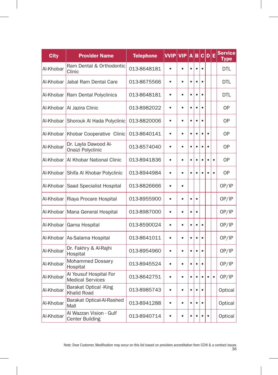| <b>City</b> | <b>Provider Name</b>                               | <b>Telephone</b> | <b>VVIP</b> | <b>VIP</b> | A         | B         | $\mathbf{c}$ | D         | Е         | <b>Service</b><br><b>Type</b> |
|-------------|----------------------------------------------------|------------------|-------------|------------|-----------|-----------|--------------|-----------|-----------|-------------------------------|
| Al-Khobar   | Ram Dental & Orthodontic<br>Clinic                 | 013-8648181      | $\bullet$   | $\bullet$  | $\bullet$ | $\bullet$ | $\bullet$    |           |           | <b>DTL</b>                    |
| Al-Khobar   | Jabal Ram Dental Care                              | 013-8675566      | $\bullet$   | $\bullet$  | $\bullet$ | $\bullet$ | ٠            |           |           | <b>DTL</b>                    |
| Al-Khobar   | <b>Ram Dental Polyclinics</b>                      | 013-8648181      | $\bullet$   | $\bullet$  | $\bullet$ | $\bullet$ | $\bullet$    |           |           | <b>DTL</b>                    |
| Al-Khobar   | Al Jazira Clinic                                   | 013-8982022      | ė           | $\bullet$  | $\bullet$ | $\bullet$ | ٠            |           |           | 0P                            |
| Al-Khobar   | Shorouk Al Hada Polyclinic                         | 013-8820006      | $\bullet$   | $\bullet$  | $\bullet$ | $\bullet$ | $\bullet$    |           |           | <b>OP</b>                     |
| Al-Khobar   | Khobar Cooperative Clinic                          | 013-8640141      | $\bullet$   | $\bullet$  | $\bullet$ | $\bullet$ | ė            | $\bullet$ |           | <b>OP</b>                     |
| Al-Khobar   | Dr. Layla Dawood Al-<br>Onaizi Polyclinic          | 013-8574040      | $\bullet$   | $\bullet$  | $\bullet$ | $\bullet$ | $\bullet$    | $\bullet$ |           | <b>OP</b>                     |
| Al-Khobar   | Al Khobar National Clinic                          | 013-8941836      | $\bullet$   | ٠          | $\bullet$ | $\bullet$ | ٠            | ٠         | $\bullet$ | 0P                            |
| Al-Khobar   | Shifa Al Khobar Polyclinic                         | 013-8944984      | $\bullet$   | $\bullet$  | $\bullet$ | $\bullet$ | $\bullet$    | é         | $\bullet$ | <b>OP</b>                     |
| Al-Khobar   | Saad Specialist Hospital                           | 013-8826666      | $\bullet$   | $\bullet$  |           |           |              |           |           | OP/IP                         |
| Al-Khobar   | Riaya Procare Hospital                             | 013-8955900      | $\bullet$   | $\bullet$  | $\bullet$ | $\bullet$ |              |           |           | OP/IP                         |
| Al-Khobar   | Mana General Hospital                              | 013-8987000      | $\bullet$   | $\bullet$  | $\bullet$ | $\bullet$ |              |           |           | OP/IP                         |
| Al-Khobar   | Gama Hospital                                      | 013-8590024      | $\bullet$   | $\bullet$  | $\bullet$ | $\bullet$ | $\bullet$    |           |           | OP/IP                         |
| Al-Khobar   | As-Salama Hospital                                 | 013-8641011      | $\bullet$   | $\bullet$  | $\bullet$ | $\bullet$ | $\bullet$    |           |           | OP/IP                         |
| Al-Khobar   | Dr. Fakhry & Al-Rajhi<br>Hospital                  | 013-8954960      | $\bullet$   | $\bullet$  | $\bullet$ | $\bullet$ | $\bullet$    |           |           | OP/IP                         |
| Al-Khobar   | Mohammed Dossary<br>Hospital                       | 013-8945524      | $\bullet$   | $\bullet$  | $\bullet$ | $\bullet$ | $\bullet$    |           |           | OP/IP                         |
| Al-Khobar   | Al Yousuf Hospital For<br><b>Medical Services</b>  | 013-8642751      | $\bullet$   | $\bullet$  | $\bullet$ | $\bullet$ | ٠            | ٠         | $\bullet$ | OP/IP                         |
| Al-Khobar   | <b>Barakat Optical -King</b><br><b>Khalid Road</b> | 013-8985743      | $\bullet$   | $\bullet$  | $\bullet$ | $\bullet$ |              |           |           | Optical                       |
| Al-Khobar   | Barakat Optical-Al-Rashed<br>Mall                  | 013-8941288      | $\bullet$   | $\bullet$  | $\bullet$ | $\bullet$ | $\bullet$    |           |           | Optical                       |
| Al-Khobar   | Al Wazzan Vision - Gulf<br><b>Center Building</b>  | 013-8940714      | $\bullet$   | $\bullet$  | $\bullet$ | $\bullet$ | $\bullet$    |           |           | Optical                       |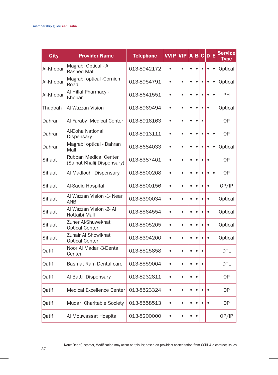| <b>City</b> | <b>Provider Name</b>                                | <b>Telephone</b> | <b>VVIP</b> | <b>VIP</b> | A         | B         | c         | D         | Ε         | <b>Service</b><br>Type |
|-------------|-----------------------------------------------------|------------------|-------------|------------|-----------|-----------|-----------|-----------|-----------|------------------------|
| Al-Khobar   | Magrabi Optical - Al<br><b>Rashed Mall</b>          | 013-8942172      | $\bullet$   | $\bullet$  | $\bullet$ | $\bullet$ | $\bullet$ | $\bullet$ | $\bullet$ | Optical                |
| Al-Khobar   | Magrabi optical -Cornich<br>Road                    | 013-8954791      | $\bullet$   | $\bullet$  | $\bullet$ | $\bullet$ | $\bullet$ | $\bullet$ | $\bullet$ | Optical                |
| Al-Khobar   | Al Hillal Pharmacy -<br>Khobar                      | 013-8641551      | $\bullet$   | $\bullet$  | $\bullet$ | $\bullet$ | $\bullet$ | $\bullet$ | $\bullet$ | PH                     |
| Thuqbah     | Al Wazzan Vision                                    | 013-8969494      | ٠           | ė          | $\bullet$ | $\bullet$ | ٠         | $\bullet$ |           | Optical                |
| Dahran      | Al Faraby Medical Center                            | 013-8916163      | $\bullet$   | $\bullet$  | $\bullet$ | $\bullet$ | $\bullet$ |           |           | <b>OP</b>              |
| Dahran      | Al-Doha National<br>Dispensary                      | 013-8913111      | $\bullet$   | $\bullet$  | $\bullet$ | $\bullet$ | $\bullet$ | $\bullet$ | $\bullet$ | 0P                     |
| Dahran      | Magrabi optical - Dahran<br>Mall                    | 013-8684033      | $\bullet$   | $\bullet$  | $\bullet$ | $\bullet$ | $\bullet$ | $\bullet$ | $\bullet$ | Optical                |
| Sihaat      | Rubban Medical Center<br>(Saihat Khalij Dispensary) | 013-8387401      | $\bullet$   | $\bullet$  | ė         | $\bullet$ |           | $\bullet$ |           | <b>OP</b>              |
| Sihaat      | Al Madlouh Dispensary                               | 013-8500208      | $\bullet$   | $\bullet$  | $\bullet$ | $\bullet$ | $\bullet$ |           | $\bullet$ | 0P                     |
| Sihaat      | Al-Sadiq Hospital                                   | 013-8500156      | $\bullet$   | $\bullet$  | $\bullet$ | $\bullet$ | $\bullet$ | $\bullet$ |           | OP/IP                  |
| Sihaat      | Al Wazzan Vision -1- Near<br><b>ANB</b>             | 013-8390034      | $\bullet$   | $\bullet$  | $\bullet$ | $\bullet$ | $\bullet$ | $\bullet$ |           | Optical                |
| Sihaat      | Al Wazzan Vision -2- Al<br>Hottaibi Mall            | 013-8564554      | $\bullet$   | $\bullet$  | $\bullet$ | $\bullet$ | $\bullet$ | $\bullet$ |           | Optical                |
| Sihaat      | Zuher Al-Shuwekhat<br><b>Optical Center</b>         | 013-8505205      | $\bullet$   | $\bullet$  |           | $\bullet$ |           | $\bullet$ |           | Optical                |
| Sihaat      | Zuhair Al Showikhat<br><b>Optical Center</b>        | 013-8394200      | $\bullet$   | $\bullet$  | $\bullet$ | $\bullet$ | $\bullet$ | $\bullet$ |           | Optical                |
| Qatif       | Noor Al Madar -3-Dental<br>Center                   | 013-8525858      | $\bullet$   | $\bullet$  | $\bullet$ | $\bullet$ | $\bullet$ |           |           | <b>DTL</b>             |
| Qatif       | <b>Basmat Ram Dental care</b>                       | 013-8559004      | $\bullet$   | $\bullet$  | $\bullet$ | $\bullet$ | ٠         |           |           | <b>DTL</b>             |
| Qatif       | Al Batti Dispensary                                 | 013-8232811      | $\bullet$   |            | $\bullet$ | $\bullet$ |           |           |           | <b>OP</b>              |
| Qatif       | Medical Excellence Center                           | 013-8523324      | $\bullet$   | $\bullet$  | $\bullet$ | $\bullet$ | $\bullet$ |           |           | 0P                     |
| Qatif       | Mudar Charitable Society                            | 013-8558513      | $\bullet$   | ٠          | $\bullet$ | $\bullet$ |           |           |           | <b>OP</b>              |
| Qatif       | Al Mouwassat Hospital                               | 013-8200000      | $\bullet$   | $\bullet$  | $\bullet$ | $\bullet$ |           |           |           | OP/IP                  |

Note: Dear Customer, Modification may occur on this list based on providers accreditation from CCHI & a contract issues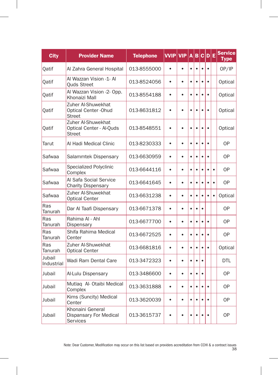| <b>City</b>          | <b>Provider Name</b>                                                   | <b>Telephone</b> | <b>VVIP</b> | <b>VIP</b> | A         | в         |           | C D       | Ε         | <b>Service</b><br><b>Type</b> |
|----------------------|------------------------------------------------------------------------|------------------|-------------|------------|-----------|-----------|-----------|-----------|-----------|-------------------------------|
| Qatif                | Al Zahra General Hospital                                              | 013-8555000      | $\bullet$   | $\bullet$  | $\bullet$ | $\bullet$ | $\bullet$ | $\bullet$ |           | OP/IP                         |
| Qatif                | Al Wazzan Vision -1- Al<br>Quds Street                                 | 013-8524056      | $\bullet$   | $\bullet$  | $\bullet$ | $\bullet$ | $\bullet$ | $\bullet$ |           | Optical                       |
| Qatif                | Al Wazzan Vision -2- Opp.<br>Khonaizi Mall                             | 013-8554188      | $\bullet$   | $\bullet$  | $\bullet$ | $\bullet$ | é         | $\bullet$ |           | Optical                       |
| Qatif                | Zuher Al-Shuwekhat<br><b>Optical Center - Ohud</b><br><b>Street</b>    | 013-8631812      | $\bullet$   | ٠          | $\bullet$ | $\bullet$ | $\bullet$ | $\bullet$ |           | Optical                       |
| Oatif                | Zuher Al-Shuwekhat<br><b>Optical Center - Al-Quds</b><br><b>Street</b> | 013-8548551      | $\bullet$   | ó          | $\bullet$ | $\bullet$ |           |           |           | Optical                       |
| Tarut                | Al Hadi Medical Clinic                                                 | 013-8230333      | $\bullet$   | $\bullet$  | $\bullet$ | $\bullet$ | $\bullet$ | $\bullet$ |           | <b>OP</b>                     |
| Safwaa               | Salammtek Dispensary                                                   | 013-6630959      | $\bullet$   | $\bullet$  | $\bullet$ | $\bullet$ |           | $\bullet$ |           | 0P                            |
| Safwaa               | Specialized Polyclinic<br>Complex                                      | 013-6644116      | $\bullet$   | $\bullet$  | $\bullet$ | $\bullet$ | ٠         | $\bullet$ | $\bullet$ | <b>OP</b>                     |
| Safwaa               | Al Safa Social Service<br><b>Charity Dispensary</b>                    | 013-6641645      | $\bullet$   | $\bullet$  | $\bullet$ | $\bullet$ | ٠         | ٠         | $\bullet$ | 0P                            |
| Safwaa               | Zuher Al-Shuwekhat<br><b>Optical Center</b>                            | 013-6631238      | $\bullet$   | $\bullet$  | $\bullet$ | $\bullet$ | $\bullet$ | $\bullet$ | $\bullet$ | Optical                       |
| Ras<br>Tanurah       | Dar Al Taafi Dispensary                                                | 013-6671378      | $\bullet$   | $\bullet$  | $\bullet$ | $\bullet$ | $\bullet$ |           |           | <b>OP</b>                     |
| Ras<br>Tanurah       | Rahima AI - Ahl<br>Dispensary                                          | 013-6677700      | $\bullet$   | $\bullet$  | $\bullet$ | $\bullet$ | $\bullet$ | $\bullet$ |           | 0P                            |
| Ras<br>Tanurah       | Shifa Rahima Medical<br>Center                                         | 013-6672525      | $\bullet$   | $\bullet$  | $\bullet$ | $\bullet$ | ٠         | $\bullet$ |           | 0P                            |
| Ras<br>Tanurah       | Zuher Al-Shuwekhat<br><b>Optical Center</b>                            | 013-6681816      | $\bullet$   | $\bullet$  | $\bullet$ | $\bullet$ |           |           |           | Optical                       |
| Jubail<br>Industrial | Wadi Ram Dental Care                                                   | 013-3472323      | $\bullet$   | $\bullet$  | $\bullet$ | $\bullet$ | $\bullet$ |           |           | <b>DTL</b>                    |
| Jubail               | Al-Lulu Dispensary                                                     | 013-3486600      | $\bullet$   | $\bullet$  | $\bullet$ | $\bullet$ | $\bullet$ |           |           | 0P                            |
| Jubail               | Mutlaq Al- Otaibi Medical<br>Complex                                   | 013-3631888      | $\bullet$   | $\bullet$  | $\bullet$ | $\bullet$ | $\bullet$ | $\bullet$ |           | 0P                            |
| Jubail               | Kims (Suncity) Medical<br>Center                                       | 013-3620039      | $\bullet$   | $\bullet$  | $\bullet$ | $\bullet$ |           | $\bullet$ |           | <b>OP</b>                     |
| Jubail               | Khonaini General<br>Dispansary For Medical<br>Services                 | 013-3615737      |             |            |           |           |           |           |           | <b>OP</b>                     |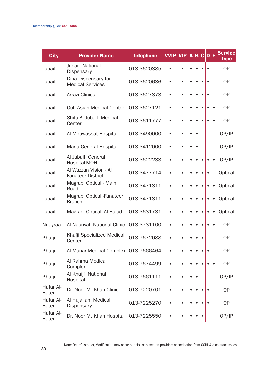| <b>City</b>               | <b>Provider Name</b>                              | <b>Telephone</b> | <b>VVIP</b> | <b>VIP</b> | A         | B         | c         | D E       |           | <b>Service</b><br>Type |
|---------------------------|---------------------------------------------------|------------------|-------------|------------|-----------|-----------|-----------|-----------|-----------|------------------------|
| Jubail                    | Jubail National<br>Dispensary                     | 013-3620385      | $\bullet$   |            | $\bullet$ | $\bullet$ | $\bullet$ |           |           | <b>OP</b>              |
| Jubail                    | Dina Dispensary for<br><b>Medical Services</b>    | 013-3620636      | $\bullet$   | $\bullet$  | $\bullet$ | $\bullet$ | $\bullet$ |           |           | <b>OP</b>              |
| Jubail                    | Arrazi Clinics                                    | 013-3627373      | $\bullet$   | $\bullet$  | $\bullet$ | $\bullet$ | $\bullet$ | $\bullet$ |           | <b>OP</b>              |
| Jubail                    | <b>Gulf Asian Medical Center</b>                  | 013-3627121      | $\bullet$   | $\bullet$  | $\bullet$ | $\bullet$ | $\bullet$ | $\bullet$ | $\bullet$ | <b>OP</b>              |
| Jubail                    | Shifa Al Jubail Medical<br>Center                 | 013-3611777      | $\bullet$   | $\bullet$  | $\bullet$ | $\bullet$ | $\bullet$ |           | $\bullet$ | <b>OP</b>              |
| Jubail                    | Al Mouwassat Hospital                             | 013-3490000      | $\bullet$   | $\bullet$  | $\bullet$ | $\bullet$ |           |           |           | OP/IP                  |
| Jubail                    | Mana General Hospital                             | 013-3412000      | $\bullet$   | $\bullet$  | $\bullet$ | $\bullet$ |           |           |           | OP/IP                  |
| Jubail                    | Al Jubail General<br>Hospital-MOH                 | 013-3622233      | $\bullet$   | $\bullet$  | $\bullet$ | $\bullet$ | $\bullet$ | $\bullet$ | $\bullet$ | OP/IP                  |
| Jubail                    | Al Wazzan Vision - Al<br><b>Fanateer District</b> | 013-3477714      | $\bullet$   | $\bullet$  | $\bullet$ | $\bullet$ | $\bullet$ | $\bullet$ |           | Optical                |
| Jubail                    | Magrabi Optical - Main<br>Road                    | 013-3471311      | $\bullet$   | $\bullet$  | $\bullet$ | $\bullet$ | $\bullet$ | $\bullet$ | $\bullet$ | Optical                |
| Jubail                    | Magrabi Optical -Fanateer<br><b>Branch</b>        | 013-3471311      | $\bullet$   | $\bullet$  | $\bullet$ | $\bullet$ | $\bullet$ | $\bullet$ | $\bullet$ | Optical                |
| Jubail                    | Magrabi Optical -Al Balad                         | 013-3631731      | $\bullet$   | $\bullet$  | $\bullet$ | $\bullet$ | $\bullet$ | $\bullet$ | $\bullet$ | Optical                |
| Nuayraa                   | Al Nauriyah National Clinic                       | 013-3731100      | $\bullet$   | $\bullet$  | $\bullet$ | $\bullet$ | $\bullet$ |           | $\bullet$ | <b>OP</b>              |
| Khafji                    | Khafji Specialized Medical<br>Center              | 013-7672088      | $\bullet$   | $\bullet$  | $\bullet$ | $\bullet$ | $\bullet$ |           |           | <b>OP</b>              |
| Khafji                    | Al Manar Medical Complex                          | 013-7666464      | $\bullet$   | $\bullet$  | $\bullet$ | $\bullet$ | $\bullet$ | $\bullet$ |           | <b>OP</b>              |
| Khafji                    | Al Rahma Medical<br>Complex                       | 013-7674499      | $\bullet$   | $\bullet$  | $\bullet$ | $\bullet$ | ٠         | ٠         | $\bullet$ | 0P                     |
| Khafji                    | Al Khafji National<br>Hospital                    | 013-7661111      | $\bullet$   | $\bullet$  | $\bullet$ | $\bullet$ |           |           |           | OP/IP                  |
| Hafar Al-<br><b>Baten</b> | Dr. Noor M. Khan Clinic                           | 013-7220701      | $\bullet$   | $\bullet$  | $\bullet$ | $\bullet$ | $\bullet$ |           |           | <b>OP</b>              |
| Hafar Al-<br><b>Baten</b> | Al Hujailan Medical<br>Dispensary                 | 013-7225270      | $\bullet$   | $\bullet$  | $\bullet$ | $\bullet$ |           |           |           | <b>OP</b>              |
| Hafar Al-<br><b>Baten</b> | Dr. Noor M. Khan Hospital                         | 013-7225550      | $\bullet$   | $\bullet$  | ٠         | $\bullet$ | ٠         |           |           | OP/IP                  |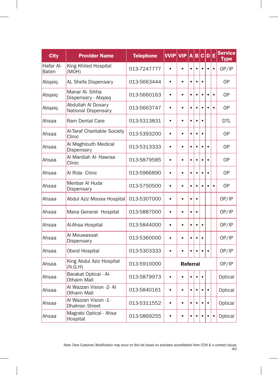| <b>City</b>        | <b>Provider Name</b>                          | <b>Telephone</b> | <b>VVIP</b> | <b>VIP</b>      | A         | B         |           | C D       | Ε         | <b>Service</b><br><b>Type</b> |
|--------------------|-----------------------------------------------|------------------|-------------|-----------------|-----------|-----------|-----------|-----------|-----------|-------------------------------|
| Hafar Al-<br>Baten | King Khiled Hospital<br>(MOH)                 | 013-7247777      | $\bullet$   | $\bullet$       | $\bullet$ | $\bullet$ | $\bullet$ |           | $\bullet$ | OP/IP                         |
| Abqaiq             | AL Shefa Dispensary                           | 013-5663444      | $\bullet$   | $\bullet$       | $\bullet$ | $\bullet$ |           |           |           | <b>OP</b>                     |
| Abqaiq             | Manar Al- Sihha<br>Dispensary - Abqaiq        | 013-5660163      | $\bullet$   | $\bullet$       | $\bullet$ | $\bullet$ |           |           | $\bullet$ | <b>OP</b>                     |
| Abqaiq             | Abdullah Al Dosary<br>National Dispensary     | 013-5663747      | $\bullet$   | $\bullet$       | $\bullet$ | $\bullet$ |           |           | $\bullet$ | <b>OP</b>                     |
| Ahsaa              | <b>Ram Dental Care</b>                        | 013-5313831      | $\bullet$   | $\bullet$       | $\bullet$ | $\bullet$ | $\bullet$ |           |           | <b>DTL</b>                    |
| Ahsaa              | Al-Taraf Charitable Society<br>Clinic         | 013-5393200      | $\bullet$   | $\bullet$       | $\bullet$ | $\bullet$ | $\bullet$ |           |           | <b>OP</b>                     |
| Ahsaa              | Al Maghlouth Medical<br>Dispensary            | 013-5313333      | $\bullet$   | $\bullet$       | $\bullet$ | $\bullet$ | $\bullet$ |           |           | <b>OP</b>                     |
| Ahsaa              | Al Mardiah Al- Hawraa<br>Clinic               | 013-5879585      | $\bullet$   | ٠               | $\bullet$ | $\bullet$ | é         |           |           | 0P                            |
| Ahsaa              | Al Rida Clinic                                | 013-5966890      | $\bullet$   | $\bullet$       | $\bullet$ | $\bullet$ | $\bullet$ | $\bullet$ |           | <b>OP</b>                     |
| Ahsaa              | Menbar Al Huda<br>Dispensary                  | 013-5750500      | $\bullet$   | $\bullet$       | $\bullet$ | $\bullet$ |           |           | $\bullet$ | <b>OP</b>                     |
| Ahsaa              | Abdul Aziz Moosa Hospital                     | 013-5307000      | $\bullet$   | $\bullet$       | $\bullet$ | $\bullet$ |           |           |           | OP/IP                         |
| Ahsaa              | Mana General Hospital                         | 013-5887000      | $\bullet$   | ٠               | $\bullet$ | $\bullet$ |           |           |           | OP/IP                         |
| Ahsaa              | Al-Ahsa Hospital                              | 013-5844000      | $\bullet$   | $\bullet$       | $\bullet$ | $\bullet$ | $\bullet$ |           |           | OP/IP                         |
| Ahsaa              | Al Mouwassat<br>Dispensary                    | 013-5360000      | $\bullet$   | $\bullet$       | $\bullet$ | $\bullet$ | $\bullet$ |           |           | OP/IP                         |
| Ahsaa              | Obeid Hospital                                | 013-5303333      | $\bullet$   |                 | $\bullet$ |           |           |           |           | OP/IP                         |
| Ahsaa              | King Abdul Aziz Hospital<br>(N.G.H)           | 013-5910000      |             | <b>Referral</b> |           |           |           |           |           | OP/IP                         |
| Ahsaa              | Barakat Optical - Al-<br><b>Othaim Mall</b>   | 013-5879973      | $\bullet$   | ٠               | $\bullet$ | $\bullet$ | $\bullet$ |           |           | Optical                       |
| Ahsaa              | Al Wazzan Vision -2- Al<br><b>Othaim Mall</b> | 013-5840161      | $\bullet$   | $\bullet$       | $\bullet$ | $\bullet$ |           |           |           | Optical                       |
| Ahsaa              | Al Wazzan Vision -1-<br>Dhahran Street        | 013-5311552      | $\bullet$   | $\bullet$       | $\bullet$ | $\bullet$ |           | $\bullet$ |           | Optical                       |
| Ahsaa              | Magrabi Optical - Ahsa<br>Hospital            | 013-5869255      | $\bullet$   | $\bullet$       | $\bullet$ | $\bullet$ |           | $\bullet$ | $\bullet$ | Optical                       |

 $\overline{\phantom{a}}$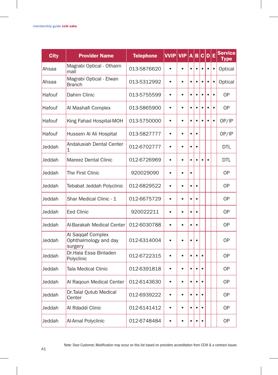| <b>City</b> | <b>Provider Name</b>                                  | <b>Telephone</b> | <b>VVIP</b> | <b>VIP</b> | A         | в         |           | c D       | E         | <b>Service</b><br>Type |
|-------------|-------------------------------------------------------|------------------|-------------|------------|-----------|-----------|-----------|-----------|-----------|------------------------|
| Ahsaa       | Magrabi Optical - Othaim<br>mall                      | 013-5876620      | $\bullet$   | $\bullet$  | $\bullet$ | $\bullet$ | $\bullet$ | $\bullet$ | $\bullet$ | Optical                |
| Ahsaa       | Magrabi Optical - Elwan<br><b>Branch</b>              | 013-5312992      | $\bullet$   | $\bullet$  | $\bullet$ | $\bullet$ |           |           | $\bullet$ | Optical                |
| Hafouf      | Dahim Clinic                                          | 013-5755599      | $\bullet$   | $\bullet$  | $\bullet$ | $\bullet$ |           |           | $\bullet$ | <b>OP</b>              |
| Hafouf      | Al Mashafi Complex                                    | 013-5865900      | $\bullet$   | $\bullet$  | $\bullet$ | $\bullet$ | $\bullet$ |           | $\bullet$ | 0P                     |
| Hafouf      | King Fahad Hospital-MOH                               | 013-5750000      | $\bullet$   | $\bullet$  | $\bullet$ | $\bullet$ |           |           | $\bullet$ | OP/IP                  |
| Hafouf      | Hussein Al Ali Hospital                               | 013-5827777      | $\bullet$   | $\bullet$  | $\bullet$ | $\bullet$ |           |           |           | OP/IP                  |
| Jeddah      | Andalusiah Dental Center<br>1                         | 012-6702777      | $\bullet$   |            | ė         | $\bullet$ |           |           |           | <b>DTL</b>             |
| Jeddah      | Mareez Dental Clinic                                  | 012-6726969      | $\bullet$   | $\bullet$  | $\bullet$ | $\bullet$ |           |           |           | DTL                    |
| Jeddah      | The First Clinic                                      | 920029090        | $\bullet$   | $\bullet$  | $\bullet$ |           |           |           |           | <b>OP</b>              |
| Jeddah      | Tebabat Jeddah Polyclinic                             | 012-6829522      | $\bullet$   | $\bullet$  | $\bullet$ | $\bullet$ |           |           |           | 0P                     |
| Jeddah      | Shar Medical Clinic - 1                               | 012-6675729      | $\bullet$   |            | $\bullet$ | $\bullet$ |           |           |           | <b>OP</b>              |
| Jeddah      | <b>Eed Clinic</b>                                     | 920022211        | $\bullet$   | $\bullet$  | $\bullet$ | $\bullet$ |           |           |           | 0P                     |
| Jeddah      | Al-Barakah Medical Center                             | 012-6030788      | $\bullet$   | $\bullet$  | $\bullet$ | $\bullet$ |           |           |           | <b>OP</b>              |
| Jeddah      | Al Saqqaf Complex<br>Ophthalmology and day<br>surgery | 012-6314004      | $\bullet$   | $\bullet$  | $\bullet$ | $\bullet$ |           |           |           | <b>OP</b>              |
| Jeddah      | Dr.Hala Essa Binladen<br>Polyclinic                   | 012-6722315      | $\bullet$   | $\bullet$  | $\bullet$ | $\bullet$ |           |           |           | <b>OP</b>              |
| Jeddah      | Tala Medical Clinic                                   | 012-6391818      | $\bullet$   | $\bullet$  | $\bullet$ | $\bullet$ |           |           |           | 0P                     |
| Jeddah      | Al Ragoun Medical Center                              | 012-6143630      | $\bullet$   | $\bullet$  | $\bullet$ | $\bullet$ | $\bullet$ |           |           | 0P                     |
| Jeddah      | Dr.Talal Qutub Medical<br>Center                      | 012-6939222      | $\bullet$   | $\bullet$  | $\bullet$ | $\bullet$ | $\bullet$ |           |           | 0P                     |
| Jeddah      | Al Rdaddi Clinic                                      | 012-6141412      | $\bullet$   | $\bullet$  | $\bullet$ | $\bullet$ |           |           |           | 0P                     |
| Jeddah      | Al-Amal Polyclinic                                    | 012-6748484      |             |            | $\bullet$ | $\bullet$ |           |           |           | 0P                     |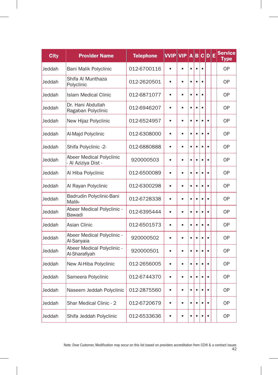| <b>City</b> | <b>Provider Name</b>                          | <b>Telephone</b> | <b>VVIP</b> | <b>VIP</b> | A         | B         |           | C D       | Ε | <b>Service</b><br><b>Type</b> |
|-------------|-----------------------------------------------|------------------|-------------|------------|-----------|-----------|-----------|-----------|---|-------------------------------|
| Jeddah      | Bani Malik Polyclinic                         | 012-6700116      |             | $\bullet$  | $\bullet$ | $\bullet$ | $\bullet$ |           |   | <b>OP</b>                     |
| Jeddah      | Shifa Al Munthaza<br>Polyclinic               | 012-2620501      | $\bullet$   | $\bullet$  | $\bullet$ | $\bullet$ |           |           |   | 0P                            |
| Jeddah      | <b>Islam Medical Clinic</b>                   | 012-6871077      | $\bullet$   | $\bullet$  | $\bullet$ | $\bullet$ | $\bullet$ |           |   | <b>OP</b>                     |
| Jeddah      | Dr. Hani Abdullah<br>Ragaban Polyclinic       | 012-6946207      | $\bullet$   | $\bullet$  | $\bullet$ | $\bullet$ | $\bullet$ |           |   | <b>OP</b>                     |
| Jeddah      | New Hijaz Polyclinic                          | 012-6524957      | $\bullet$   | $\bullet$  | $\bullet$ | $\bullet$ | $\bullet$ | $\bullet$ |   | <b>OP</b>                     |
| Jeddah      | Al-Majd Polyclinic                            | 012-6308000      | $\bullet$   | $\bullet$  | $\bullet$ | $\bullet$ | ė         |           |   | <b>OP</b>                     |
| Jeddah      | Shifa Polyclinic -2-                          | 012-6880888      | $\bullet$   | $\bullet$  | $\bullet$ | $\bullet$ | $\bullet$ | $\bullet$ |   | 0P                            |
| Jeddah      | Abeer Medical Polyclinic<br>Al Aziziya Dist - | 920000503        | $\bullet$   | $\bullet$  | $\bullet$ | $\bullet$ | ė         | ٠         |   | <b>OP</b>                     |
| Jeddah      | Al Hiba Polyclinic                            | 012-6500089      | $\bullet$   | $\bullet$  | $\bullet$ | $\bullet$ | $\bullet$ | $\bullet$ |   | 0P                            |
| Jeddah      | Al Rayan Polyclinic                           | 012-6300298      | $\bullet$   | $\bullet$  | $\bullet$ | $\bullet$ |           |           |   | <b>OP</b>                     |
| Jeddah      | Badrudin Polyclinic-Bani<br>Malik-            | 012-6728338      | $\bullet$   | $\bullet$  | $\bullet$ | $\bullet$ | $\bullet$ |           |   | 0P                            |
| Jeddah      | Abeer Medical Polyclinic -<br>Bawadi          | 012-6395444      | $\bullet$   | $\bullet$  | $\bullet$ | $\bullet$ | $\bullet$ | $\bullet$ |   | <b>OP</b>                     |
| Jeddah      | Asian Clinic                                  | 012-6501573      | $\bullet$   | ٠          | $\bullet$ | $\bullet$ | $\bullet$ | ٠         |   | <b>OP</b>                     |
| Jeddah      | Abeer Medical Polyclinic -<br>Al-Sanyaia      | 920000502        | $\bullet$   | $\bullet$  | $\bullet$ | $\bullet$ | $\bullet$ | $\bullet$ |   | <b>OP</b>                     |
| Jeddah      | Abeer Medical Polyclinic -<br>Al-Sharafiyah   | 920000501        | $\bullet$   | $\bullet$  | $\bullet$ | $\bullet$ | é         | $\bullet$ |   | 0P                            |
| Jeddah      | New Al-Hiba Polyclinic                        | 012-2656005      | $\bullet$   | $\bullet$  | $\bullet$ | $\bullet$ | $\bullet$ | $\bullet$ |   | <b>OP</b>                     |
| Jeddah      | Sameera Polyclinic                            | 012-6744370      | $\bullet$   | ٠          | $\bullet$ | $\bullet$ | ė         | ٠         |   | 0P                            |
| Jeddah      | Naseem Jeddah Polyclinic                      | 012-2875560      | $\bullet$   | $\bullet$  | $\bullet$ | $\bullet$ |           |           |   | <b>OP</b>                     |
| Jeddah      | Shar Medical Clinic - 2                       | 012-6720679      | $\bullet$   | $\bullet$  | $\bullet$ | $\bullet$ | $\bullet$ |           |   | 0P                            |
| Jeddah      | Shifa Jeddah Polyclinic                       | 012-6533636      | $\bullet$   | $\bullet$  | $\bullet$ | $\bullet$ | $\bullet$ | $\bullet$ |   | <b>OP</b>                     |

 $\overline{\phantom{a}}$ 

H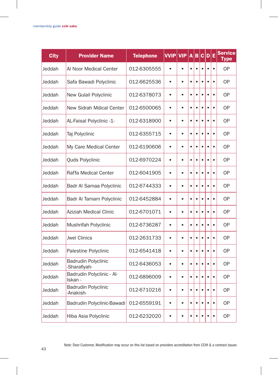| <b>City</b> | <b>Provider Name</b>                       | <b>Telephone</b> | <b>VVIP</b> | <b>VIP</b> | A         | B         |           | C D       | Е         | <b>Service</b><br><b>Type</b> |
|-------------|--------------------------------------------|------------------|-------------|------------|-----------|-----------|-----------|-----------|-----------|-------------------------------|
| Jeddah      | Al Noor Medical Center                     | 012-6305555      | $\bullet$   | $\bullet$  | $\bullet$ | $\bullet$ | $\bullet$ | $\bullet$ | $\bullet$ | OP                            |
| Jeddah      | Safa Bawadi Polyclinic                     | 012-6625536      | $\bullet$   | $\bullet$  | $\bullet$ | $\bullet$ | $\bullet$ | $\bullet$ | $\bullet$ | <b>OP</b>                     |
| Jeddah      | New Gulail Polyclinic                      | 012-6378073      | $\bullet$   | $\bullet$  | $\bullet$ | $\bullet$ | $\bullet$ | $\bullet$ | $\bullet$ | <b>OP</b>                     |
| Jeddah      | New Sidrah Mdical Center                   | 012-6500065      | $\bullet$   | $\bullet$  | $\bullet$ | $\bullet$ | $\bullet$ | $\bullet$ | $\bullet$ | <b>OP</b>                     |
| Jeddah      | AL-Faisal Polyclinic -1-                   | 012-6318900      | $\bullet$   | $\bullet$  | $\bullet$ | $\bullet$ | ٠         | ó         | $\bullet$ | 0P                            |
| Jeddah      | Taj Polyclinic                             | 012-6355715      | $\bullet$   | $\bullet$  | $\bullet$ | $\bullet$ | $\bullet$ | Ċ         | $\bullet$ | <b>OP</b>                     |
| Jeddah      | My Care Medical Center                     | 012-6190606      | $\bullet$   | $\bullet$  | $\bullet$ | $\bullet$ | $\bullet$ | $\bullet$ | $\bullet$ | <b>OP</b>                     |
| Jeddah      | Quds Polyclinic                            | 012-6970224      | $\bullet$   | $\bullet$  | $\bullet$ | $\bullet$ | $\bullet$ |           | $\bullet$ | <b>OP</b>                     |
| Jeddah      | Raffa Medical Center                       | 012-6041905      | $\bullet$   | $\bullet$  | $\bullet$ | $\bullet$ | ٠         | Ċ         | $\bullet$ | 0P                            |
| Jeddah      | Badr Al Samaa Polyclinic                   | 012-6744333      | $\bullet$   | $\bullet$  | $\bullet$ | $\bullet$ | $\bullet$ | $\bullet$ | $\bullet$ | <b>OP</b>                     |
| Jeddah      | Badr Al Tamam Polyclinic                   | 012-6452884      | $\bullet$   | $\bullet$  | $\bullet$ | $\bullet$ | $\bullet$ | ٠         | $\bullet$ | <b>OP</b>                     |
| Jeddah      | <b>Aziziah Medical Clinic</b>              | 012-6701071      | $\bullet$   | $\bullet$  | $\bullet$ | $\bullet$ | $\bullet$ | $\bullet$ | $\bullet$ | <b>OP</b>                     |
| Jeddah      | Mushrifah Polyclinic                       | 012-6736287      | $\bullet$   | ė          | $\bullet$ | $\bullet$ | ٠         | ٠         | $\bullet$ | 0P                            |
| Jeddah      | <b>Jwel Clinics</b>                        | 012-2631733      | $\bullet$   | $\bullet$  | $\bullet$ | $\bullet$ | $\bullet$ | ó         | $\bullet$ | <b>OP</b>                     |
| Jeddah      | Palestine Polyclinic                       | 012-6541418      | $\bullet$   | $\bullet$  | $\bullet$ | $\bullet$ | $\bullet$ | ٠         | $\bullet$ | <b>OP</b>                     |
| Jeddah      | <b>Badrudin Polyclinic</b><br>-Sharafiyah- | 012-6436053      | $\bullet$   | $\bullet$  | $\bullet$ | $\bullet$ | $\bullet$ |           | $\bullet$ | <b>OP</b>                     |
| Jeddah      | Badrudin Polyclinic - Al-<br>Iskan -       | 012-6896009      | $\bullet$   | $\bullet$  | $\bullet$ | $\bullet$ | $\bullet$ | Ċ         | $\bullet$ | 0P                            |
| Jeddah      | <b>Badrudin Polyclinic</b><br>-Anakish-    | 012-6710216      | $\bullet$   | $\bullet$  | $\bullet$ | $\bullet$ | $\bullet$ | Ċ         | $\bullet$ | <b>OP</b>                     |
| Jeddah      | Badrudin Polyclinic-Bawadi                 | 012-6559191      | $\bullet$   | $\bullet$  | $\bullet$ | $\bullet$ | $\bullet$ | $\bullet$ | $\bullet$ | <b>OP</b>                     |
| Jeddah      | Hiba Asia Polyclinic                       | 012-6232020      |             | $\bullet$  | $\bullet$ | $\bullet$ |           | $\bullet$ | $\bullet$ | <b>OP</b>                     |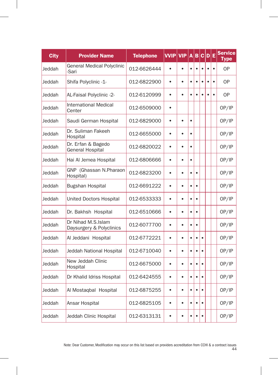| <b>City</b> | <b>Provider Name</b>                           | <b>Telephone</b> | <b>VVIP</b> | <b>VIP</b> | A         | B         | c         | $\mathbf{D}$ | Е         | <b>Service</b><br><b>Type</b> |
|-------------|------------------------------------------------|------------------|-------------|------------|-----------|-----------|-----------|--------------|-----------|-------------------------------|
| Jeddah      | General Medical Polyclinic<br>-Sari            | 012-6626444      | $\bullet$   | $\bullet$  | $\bullet$ | $\bullet$ | $\bullet$ |              | $\bullet$ | <b>OP</b>                     |
| Jeddah      | Shifa Polyclinic -1-                           | 012-6822900      | $\bullet$   | $\bullet$  | $\bullet$ | $\bullet$ |           |              | $\bullet$ | <b>OP</b>                     |
| Jeddah      | AL-Faisal Polyclinic -2-                       | 012-6120999      | $\bullet$   | $\bullet$  | $\bullet$ | $\bullet$ |           |              | $\bullet$ | <b>OP</b>                     |
| Jeddah      | International Medical<br>Center                | 012-6509000      | $\bullet$   |            |           |           |           |              |           | OP/IP                         |
| Jeddah      | Saudi German Hospital                          | 012-6829000      | $\bullet$   | $\bullet$  | $\bullet$ |           |           |              |           | OP/IP                         |
| Jeddah      | Dr. Suliman Fakeeh<br>Hospital                 | 012-6655000      | $\bullet$   | $\bullet$  | $\bullet$ |           |           |              |           | OP/IP                         |
| Jeddah      | Dr. Erfan & Bagedo<br><b>General Hospital</b>  | 012-6820022      | $\bullet$   | $\bullet$  | $\bullet$ |           |           |              |           | OP/IP                         |
| Jeddah      | Hai Al Jemea Hospital                          | 012-6806666      | $\bullet$   | ٠          | $\bullet$ |           |           |              |           | OP/IP                         |
| Jeddah      | GNP (Ghassan N.Pharaon<br>Hospital)            | 012-6823200      | $\bullet$   | $\bullet$  | $\bullet$ | $\bullet$ |           |              |           | OP/IP                         |
| Jeddah      | <b>Bugshan Hospital</b>                        | 012-6691222      | $\bullet$   | $\bullet$  | $\bullet$ | $\bullet$ |           |              |           | OP/IP                         |
| Jeddah      | United Doctors Hospital                        | 012-6533333      | $\bullet$   | $\bullet$  | $\bullet$ | $\bullet$ |           |              |           | OP/IP                         |
| Jeddah      | Dr. Bakhsh Hospital                            | 012-6510666      | $\bullet$   | ٠          | $\bullet$ | $\bullet$ |           |              |           | OP/IP                         |
| Jeddah      | Dr Nihad M.S.Islam<br>Daysurgery & Polyclinics | 012-6077700      | $\bullet$   | $\bullet$  | $\bullet$ | $\bullet$ |           |              |           | OP/IP                         |
| Jeddah      | Al Jeddani Hospital                            | 012-6772221      | $\bullet$   | $\bullet$  | $\bullet$ | $\bullet$ | $\bullet$ |              |           | OP/IP                         |
| Jeddah      | Jeddah National Hospital                       | 012-6710040      | $\bullet$   | $\bullet$  | $\bullet$ | $\bullet$ |           |              |           | OP/IP                         |
| Jeddah      | New Jeddah Clinic<br>Hospital                  | 012-6675000      | $\bullet$   | $\bullet$  | $\bullet$ | $\bullet$ | ٠         |              |           | OP/IP                         |
| Jeddah      | Dr Khalid Idriss Hospital                      | 012-6424555      | $\bullet$   | ٠          | $\bullet$ | $\bullet$ | $\bullet$ |              |           | OP/IP                         |
| Jeddah      | Al Mostaqbal Hospital                          | 012-6875255      | $\bullet$   | $\bullet$  | $\bullet$ | $\bullet$ |           |              |           | OP/IP                         |
| Jeddah      | Ansar Hospital                                 | 012-6825105      | $\bullet$   | $\bullet$  | $\bullet$ | $\bullet$ |           |              |           | OP/IP                         |
| Jeddah      | Jeddah Clinic Hospital                         | 012-6313131      | $\bullet$   | $\bullet$  | $\bullet$ | $\bullet$ | $\bullet$ |              |           | OP/IP                         |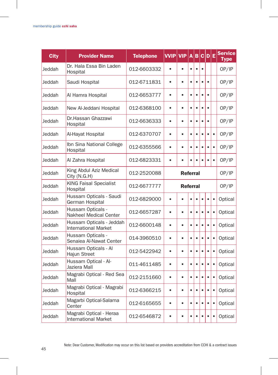| <b>City</b> | <b>Provider Name</b>                                    | <b>Telephone</b> | <b>VVIP</b> | <b>VIP</b>      | A         | B         |           | C D E     |           | <b>Service</b><br>Type |
|-------------|---------------------------------------------------------|------------------|-------------|-----------------|-----------|-----------|-----------|-----------|-----------|------------------------|
| Jeddah      | Dr. Hala Essa Bin Laden<br>Hospital                     | 012-6603332      | $\bullet$   | $\bullet$       | $\bullet$ | $\bullet$ | $\bullet$ |           |           | OP/IP                  |
| Jeddah      | Saudi Hospital                                          | 012-6711831      | $\bullet$   | $\bullet$       | $\bullet$ | $\bullet$ | $\bullet$ | $\bullet$ |           | OP/IP                  |
| Jeddah      | Al Hamra Hospital                                       | 012-6653777      | $\bullet$   | $\bullet$       | $\bullet$ | $\bullet$ | $\bullet$ | $\bullet$ |           | OP/IP                  |
| Jeddah      | New Al-Jeddani Hospital                                 | 012-6368100      | $\bullet$   | ٠               | $\bullet$ | $\bullet$ | $\bullet$ |           |           | OP/IP                  |
| Jeddah      | Dr.Hassan Ghazzawi<br>Hospital                          | 012-6636333      | $\bullet$   | $\bullet$       | $\bullet$ | $\bullet$ | $\bullet$ | $\bullet$ |           | OP/IP                  |
| Jeddah      | Al-Hayat Hospital                                       | 012-6370707      | $\bullet$   | $\bullet$       | $\bullet$ | $\bullet$ | ٠         | $\bullet$ | $\bullet$ | OP/IP                  |
| Jeddah      | Ibn Sina National College<br>Hospital                   | 012-6355566      | $\bullet$   | $\bullet$       | $\bullet$ | $\bullet$ |           |           | $\bullet$ | OP/IP                  |
| Jeddah      | Al Zahra Hospital                                       | 012-6823331      | $\bullet$   |                 | ė         | $\bullet$ |           |           | $\bullet$ | OP/IP                  |
| Jeddah      | King Abdul Aziz Medical<br>City (N.G.H)                 | 012-2520088      |             | <b>Referral</b> |           |           |           |           |           | OP/IP                  |
| Jeddah      | <b>KING Faisal Specialist</b><br>Hospital               | 012-6677777      |             | <b>Referral</b> |           |           |           |           |           | OP/IP                  |
| Jeddah      | Hussam Opticals - Saudi<br>German Hospital              | 012-6829000      | $\bullet$   | $\bullet$       | $\bullet$ | $\bullet$ | $\bullet$ | $\bullet$ | $\bullet$ | Optical                |
| Jeddah      | Hussam Opticals -<br>Nakheel Medical Center             | 012-6657287      | $\bullet$   | $\bullet$       | $\bullet$ | $\bullet$ |           | $\bullet$ | $\bullet$ | Optical                |
| Jeddah      | Hussam Opticals - Jeddah<br><b>International Market</b> | 012-6600148      | $\bullet$   | $\bullet$       | $\bullet$ | $\bullet$ | $\bullet$ | $\bullet$ | $\bullet$ | Optical                |
| Jeddah      | Hussam Opticals -<br>Senaiea Al-Nawat Center            | 014-3960510      | $\bullet$   | $\bullet$       | $\bullet$ | $\bullet$ | $\bullet$ | $\bullet$ | $\bullet$ | Optical                |
| Jeddah      | Hussam Opticals - Al<br>Hajun Street                    | 012-5422942      | $\bullet$   | $\bullet$       | $\bullet$ | $\bullet$ | $\bullet$ | $\bullet$ | $\bullet$ | Optical                |
| Jeddah      | Hussam Optical - Al-<br>Jaziera Mall                    | 011-4611485      | $\bullet$   | $\bullet$       | $\bullet$ | $\bullet$ | ٠         | $\bullet$ | $\bullet$ | Optical                |
| Jeddah      | Magrabi Optical - Red Sea<br>Mall                       | 012-2151660      | $\bullet$   | $\bullet$       | $\bullet$ | $\bullet$ |           |           | $\bullet$ | Optical                |
| Jeddah      | Magrabi Optical - Magrabi<br>Hospital                   | 012-6366215      | $\bullet$   | $\bullet$       | $\bullet$ | $\bullet$ | $\bullet$ | $\bullet$ | $\bullet$ | Optical                |
| Jeddah      | Magarbi Optical-Salama<br>Center                        | 012-6165655      | $\bullet$   | $\bullet$       | $\bullet$ | $\bullet$ | $\bullet$ | $\bullet$ | $\bullet$ | Optical                |
| Jeddah      | Magrabi Optical - Heraa<br><b>International Market</b>  | 012-6546872      | $\bullet$   | $\bullet$       | $\bullet$ | $\bullet$ |           |           | $\bullet$ | Optical                |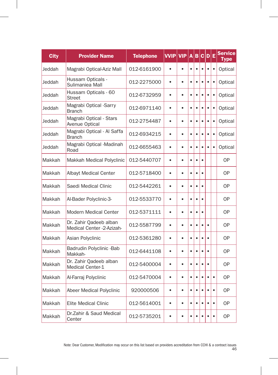| <b>City</b> | <b>Provider Name</b>                                | <b>Telephone</b> | <b>VVIP</b> | <b>VIP</b> | A         | $\overline{\mathbf{B}}$ |           | C D       | Ε         | <b>Service</b><br><b>Type</b> |
|-------------|-----------------------------------------------------|------------------|-------------|------------|-----------|-------------------------|-----------|-----------|-----------|-------------------------------|
| Jeddah      | Magrabi Optical-Aziz Mall                           | 012-6161900      | $\bullet$   | $\bullet$  | $\bullet$ | $\bullet$               | $\bullet$ | $\bullet$ | $\bullet$ | Optical                       |
| Jeddah      | Hussam Opticals -<br>Sulimaniea Mall                | 012-2275000      | $\bullet$   | $\bullet$  | $\bullet$ | $\bullet$               |           | $\bullet$ | $\bullet$ | Optical                       |
| Jeddah      | Hussam Opticals - 60<br><b>Street</b>               | 012-6732959      | $\bullet$   | $\bullet$  | $\bullet$ | $\bullet$               | $\bullet$ | $\bullet$ | $\bullet$ | Optical                       |
| Jeddah      | Magrabi Optical -Sarry<br><b>Branch</b>             | 012-6971140      | $\bullet$   | $\bullet$  | $\bullet$ | $\bullet$               |           | $\bullet$ | $\bullet$ | Optical                       |
| Jeddah      | Magrabi Optical - Stars<br>Avenue Optical           | 012-2754487      | $\bullet$   | $\bullet$  | $\bullet$ | $\bullet$               |           | $\bullet$ | $\bullet$ | Optical                       |
| Jeddah      | Magrabi Optical - Al Saffa<br><b>Branch</b>         | 012-6934215      | $\bullet$   | $\bullet$  | $\bullet$ | $\bullet$               | ė         | $\bullet$ | $\bullet$ | Optical                       |
| Jeddah      | Magrabi Optical -Madinah<br>Road                    | 012-6655463      | $\bullet$   | $\bullet$  | $\bullet$ | $\bullet$               | $\bullet$ | $\bullet$ | $\bullet$ | Optical                       |
| Makkah      | Makkah Medical Polyclinic                           | 012-5440707      | $\bullet$   | $\bullet$  | $\bullet$ | $\bullet$               | ٠         |           |           | 0P                            |
| Makkah      | Albayt Medical Center                               | 012-5718400      | $\bullet$   | $\bullet$  | $\bullet$ | $\bullet$               |           |           |           | <b>OP</b>                     |
| Makkah      | Saedi Medical Clinic                                | 012-5442261      | $\bullet$   | $\bullet$  | $\bullet$ | $\bullet$               |           |           |           | 0P                            |
| Makkah      | Al-Bader Polyclinic-3-                              | 012-5533770      | $\bullet$   | $\bullet$  | $\bullet$ | $\bullet$               | $\bullet$ |           |           | <b>OP</b>                     |
| Makkah      | <b>Modern Medical Center</b>                        | 012-5371111      | $\bullet$   | ٠          | $\bullet$ | $\bullet$               | $\bullet$ |           |           | 0P                            |
| Makkah      | Dr. Zahir Qadeeb alban<br>Medical Center -2-Azizah- | 012-5587799      | $\bullet$   | $\bullet$  | $\bullet$ | $\bullet$               |           |           |           | 0P                            |
| Makkah      | Asian Polyclinic                                    | 012-5361280      | $\bullet$   | $\bullet$  | $\bullet$ | $\bullet$               |           | $\bullet$ |           | 0P                            |
| Makkah      | Badrudin Polyclinic -Bab<br>Makkah-                 | 012-6441108      | $\bullet$   | $\bullet$  | $\bullet$ | $\bullet$               | ė         | $\bullet$ |           | 0P                            |
| Makkah      | Dr. Zahir Qadeeb alban<br><b>Medical Center-1</b>   | 012-5400004      | $\bullet$   | $\bullet$  | $\bullet$ | $\bullet$               | $\bullet$ | $\bullet$ |           | <b>OP</b>                     |
| Makkah      | Al-Farraj Polyclinic                                | 012-5470004      | $\bullet$   | $\bullet$  | $\bullet$ | $\bullet$               | ė         | $\bullet$ | $\bullet$ | 0P                            |
| Makkah      | Abeer Medical Polyclinic                            | 920000506        | $\bullet$   | $\bullet$  | $\bullet$ | $\bullet$               |           |           | $\bullet$ | <b>OP</b>                     |
| Makkah      | <b>Elite Medical Clinic</b>                         | 012-5614001      | $\bullet$   | $\bullet$  | $\bullet$ | $\bullet$               |           |           | $\bullet$ | 0P                            |
| Makkah      | Dr.Zahir & Saud Medical<br>Center                   | 012-5735201      | $\bullet$   | $\bullet$  | $\bullet$ | $\bullet$               | $\bullet$ | $\bullet$ | $\bullet$ | <b>OP</b>                     |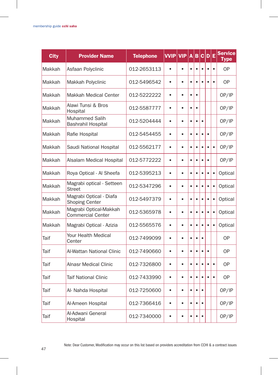| <b>City</b> | <b>Provider Name</b>                               | <b>Telephone</b> | VVIP      | <b>VIP</b> | A         | B         |           | C D E     |           | <b>Service</b><br>Type |
|-------------|----------------------------------------------------|------------------|-----------|------------|-----------|-----------|-----------|-----------|-----------|------------------------|
| Makkah      | Asfaan Polyclinic                                  | 012-2653113      | $\bullet$ | $\bullet$  | $\bullet$ | $\bullet$ | $\bullet$ |           | $\bullet$ | <b>OP</b>              |
| Makkah      | Makkah Polyclinic                                  | 012-5496542      | $\bullet$ | $\bullet$  | $\bullet$ | $\bullet$ | $\bullet$ | $\bullet$ | $\bullet$ | 0P                     |
| Makkah      | Makkah Medical Center                              | 012-5222222      | $\bullet$ | ٠          | $\bullet$ | $\bullet$ |           |           |           | OP/IP                  |
| Makkah      | Alawi Tunsi & Bros<br>Hospital                     | 012-5587777      | $\bullet$ | $\bullet$  | $\bullet$ | $\bullet$ |           |           |           | OP/IP                  |
| Makkah      | Muhammed Salih<br>Bashrahil Hospital               | 012-5204444      | $\bullet$ | $\bullet$  | $\bullet$ | $\bullet$ | $\bullet$ |           |           | OP/IP                  |
| Makkah      | Rafie Hospital                                     | 012-5454455      | $\bullet$ | $\bullet$  | $\bullet$ | $\bullet$ | ė         |           |           | OP/IP                  |
| Makkah      | Saudi National Hospital                            | 012-5562177      | $\bullet$ | $\bullet$  | $\bullet$ | $\bullet$ |           | $\bullet$ | $\bullet$ | OP/IP                  |
| Makkah      | Alsalam Medical Hospital                           | 012-5772222      | $\bullet$ | $\bullet$  | $\bullet$ | $\bullet$ |           |           |           | OP/IP                  |
| Makkah      | Roya Optical - Al Sheefa                           | 012-5395213      | $\bullet$ | $\bullet$  | $\bullet$ | $\bullet$ |           |           | $\bullet$ | Optical                |
| Makkah      | Magrabi optical - Setteen<br><b>Street</b>         | 012-5347296      | $\bullet$ | $\bullet$  | $\bullet$ | $\bullet$ | $\bullet$ | $\bullet$ | $\bullet$ | Optical                |
| Makkah      | Magrabi Optical - Diafa<br><b>Shoping Center</b>   | 012-5497379      | $\bullet$ | $\bullet$  | $\bullet$ | $\bullet$ | $\bullet$ | $\bullet$ | $\bullet$ | Optical                |
| Makkah      | Magrabi Optical-Makkah<br><b>Commercial Center</b> | 012-5365978      | $\bullet$ | $\bullet$  | $\bullet$ | $\bullet$ | ٠         | $\bullet$ | $\bullet$ | Optical                |
| Makkah      | Magrabi Optical - Azizia                           | 012-5565576      | $\bullet$ | ٠          | $\bullet$ | $\bullet$ |           |           | $\bullet$ | Optical                |
| Taif        | Your Health Medical<br>Center                      | 012-7499099      | $\bullet$ | $\bullet$  | $\bullet$ | $\bullet$ | $\bullet$ |           |           | 0P                     |
| Taif        | Al-Wattan National Clinic                          | 012-7490660      | $\bullet$ | $\bullet$  | $\bullet$ | $\bullet$ | $\bullet$ | $\bullet$ |           | 0P                     |
| Taif        | Alnasr Medical Clinic                              | 012-7326800      | $\bullet$ | $\bullet$  | $\bullet$ | $\bullet$ | $\bullet$ | $\bullet$ | $\bullet$ | <b>OP</b>              |
| Taif        | Taif National Clinic                               | 012-7433990      | $\bullet$ | $\bullet$  | $\bullet$ | $\bullet$ |           |           | $\bullet$ | 0P                     |
| Taif        | Al- Nahda Hospital                                 | 012-7250600      | $\bullet$ | $\bullet$  | $\bullet$ | $\bullet$ | $\bullet$ |           |           | OP/IP                  |
| Taif        | Al-Ameen Hospital                                  | 012-7366416      | $\bullet$ | $\bullet$  | $\bullet$ | $\bullet$ | $\bullet$ |           |           | OP/IP                  |
| Taif        | Al-Adwani General<br>Hospital                      | 012-7340000      | $\bullet$ | $\bullet$  |           | $\bullet$ |           |           |           | OP/IP                  |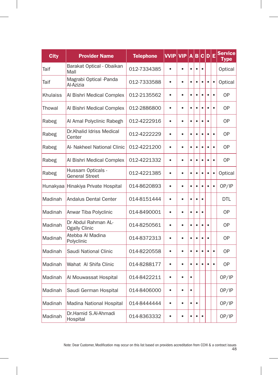| <b>City</b> | <b>Provider Name</b>                        | <b>Telephone</b> | <b>VVIP</b> | <b>VIP</b> | A         | B         |           | C D       | Ε         | <b>Service</b><br><b>Type</b> |
|-------------|---------------------------------------------|------------------|-------------|------------|-----------|-----------|-----------|-----------|-----------|-------------------------------|
| Taif        | Barakat Optical - Obaikan<br>Mall           | 012-7334385      |             | $\bullet$  | $\bullet$ | $\bullet$ | $\bullet$ |           |           | Optical                       |
| Taif        | Magrabi Optical -Panda<br>Al-Azizia         | 012-7333588      | $\bullet$   | $\bullet$  | $\bullet$ | $\bullet$ |           | $\bullet$ | $\bullet$ | Optical                       |
| Khulaiss    | Al Bishri Medical Complex                   | 012-2135562      | $\bullet$   | $\bullet$  | $\bullet$ | $\bullet$ | $\bullet$ | ٠         | $\bullet$ | <b>OP</b>                     |
| Thowal      | Al Bishri Medical Complex                   | 012-2886800      | $\bullet$   | $\bullet$  | $\bullet$ | $\bullet$ | $\bullet$ | $\bullet$ | $\bullet$ | 0P                            |
| Rabeg       | Al Amal Polyclinic Rabegh                   | 012-4222916      | $\bullet$   | $\bullet$  | $\bullet$ | $\bullet$ | $\bullet$ | $\bullet$ |           | <b>OP</b>                     |
| Rabeg       | Dr.Khalid Idriss Medical<br>Center          | 012-4222229      | $\bullet$   | $\bullet$  | $\bullet$ | $\bullet$ |           | $\bullet$ | $\bullet$ | <b>OP</b>                     |
| Rabeg       | Al- Nakheel National Clinic                 | 012-4221200      | $\bullet$   | $\bullet$  | $\bullet$ | $\bullet$ | ٠         | ٠         | $\bullet$ | 0P                            |
| Rabeg       | Al Bishri Medical Complex                   | 012-4221332      | $\bullet$   | $\bullet$  | $\bullet$ | $\bullet$ | $\bullet$ | $\bullet$ | $\bullet$ | <b>OP</b>                     |
| Rabeg       | Hussam Opticals -<br><b>General Street</b>  | 012-4221385      | $\bullet$   | $\bullet$  | $\bullet$ | $\bullet$ |           | $\bullet$ | $\bullet$ | Optical                       |
|             | Hunakyaa Hinakiya Private Hospital          | 014-8620893      | $\bullet$   | $\bullet$  | $\bullet$ | $\bullet$ |           |           | $\bullet$ | OP/IP                         |
| Madinah     | Andalus Dental Center                       | 014-8151444      | $\bullet$   | $\bullet$  | $\bullet$ | $\bullet$ | ٠         |           |           | DTL                           |
| Madinah     | Anwar Tiba Polyclinic                       | 014-8490001      | $\bullet$   | $\bullet$  | $\bullet$ | $\bullet$ | $\bullet$ |           |           | <b>OP</b>                     |
| Madinah     | Dr Abdul Rahman AL-<br><b>Ogally Clinic</b> | 014-8250561      | $\bullet$   | $\bullet$  | $\bullet$ | $\bullet$ |           | $\bullet$ |           | <b>OP</b>                     |
| Madinah     | Atebba Al Madina<br>Polyclinic              | 014-8372313      | $\bullet$   | $\bullet$  | $\bullet$ | $\bullet$ | $\bullet$ | $\bullet$ |           | <b>OP</b>                     |
| Madinah     | Saudi National Clinic                       | 014-8220558      | $\bullet$   | $\bullet$  | $\bullet$ | $\bullet$ | é         | $\bullet$ | $\bullet$ | 0P                            |
| Madinah     | Wahat Al Shifa Clinic                       | 014-8288177      | $\bullet$   | $\bullet$  | $\bullet$ | $\bullet$ | $\bullet$ | $\bullet$ | $\bullet$ | <b>OP</b>                     |
| Madinah     | Al Mouwassat Hospital                       | 014-8422211      | $\bullet$   | $\bullet$  | $\bullet$ |           |           |           |           | OP/IP                         |
| Madinah     | Saudi German Hospital                       | 014-8406000      | $\bullet$   | $\bullet$  | $\bullet$ |           |           |           |           | OP/IP                         |
| Madinah     | Madina National Hospital                    | 014-8444444      | $\bullet$   | $\bullet$  | $\bullet$ | $\bullet$ |           |           |           | OP/IP                         |
| Madinah     | Dr.Hamid S.Al-Ahmadi<br>Hospital            | 014-8363332      | $\bullet$   | $\bullet$  | $\bullet$ | $\bullet$ | $\bullet$ |           |           | OP/IP                         |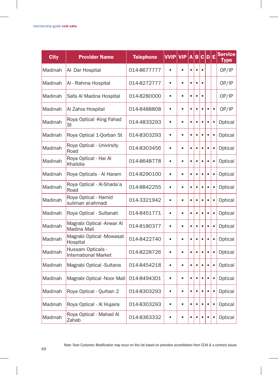| <b>City</b> | <b>Provider Name</b>                             | <b>Telephone</b> | <b>VVIP</b> | <b>VIP</b> | A         | B         |           | C D E     |           | <b>Service</b><br>Type |
|-------------|--------------------------------------------------|------------------|-------------|------------|-----------|-----------|-----------|-----------|-----------|------------------------|
| Madinah     | Al- Dar Hospital                                 | 014-8677777      | $\bullet$   |            | $\bullet$ | $\bullet$ | $\bullet$ |           |           | OP/IP                  |
| Madinah     | Al - Rahma Hospital                              | 014-8272777      | $\bullet$   | $\bullet$  | $\bullet$ | $\bullet$ | $\bullet$ |           |           | OP/IP                  |
| Madinah     | Safa Al Madina Hospital                          | 014-8280000      | $\bullet$   | $\bullet$  | $\bullet$ | $\bullet$ | $\bullet$ |           |           | OP/IP                  |
| Madinah     | Al Zahra Hospital                                | 014-8488808      | $\bullet$   | $\bullet$  | $\bullet$ | $\bullet$ |           | $\bullet$ | $\bullet$ | OP/IP                  |
| Madinah     | Roya Optical - King Fahad<br>St                  | 014-4833293      | $\bullet$   | $\bullet$  | $\bullet$ | $\bullet$ | $\bullet$ | $\bullet$ | $\bullet$ | Optical                |
| Madinah     | Roya Optical 1-Qorban St                         | 014-8303293      | $\bullet$   | $\bullet$  | $\bullet$ | $\bullet$ | ٠         | $\bullet$ | $\bullet$ | Optical                |
| Madinah     | Roya Optical - Univirsity<br>Road                | 014-8303456      | $\bullet$   | $\bullet$  | $\bullet$ | $\bullet$ | $\bullet$ | $\bullet$ | $\bullet$ | Optical                |
| Madinah     | Roya Optical - Hai Al<br>Khalidia                | 014-8648778      | $\bullet$   | $\bullet$  | $\bullet$ | $\bullet$ |           |           | $\bullet$ | Optical                |
| Madinah     | Roya Opticals - Al Haram                         | 014-8290100      | $\bullet$   | $\bullet$  | $\bullet$ | $\bullet$ |           | $\bullet$ | $\bullet$ | Optical                |
| Madinah     | Roya Optical - Al-Shada'a<br>Road                | 014-8842255      | $\bullet$   | $\bullet$  | $\bullet$ | $\bullet$ | $\bullet$ |           | $\bullet$ | Optical                |
| Madinah     | Roya Optical - Hamid<br>suliman al-ahmadi        | 014-3321942      | $\bullet$   | $\bullet$  | $\bullet$ | $\bullet$ | ٠         | ٠         | $\bullet$ | Optical                |
| Madinah     | Roya Optical - Sultanah                          | 014-8451771      | $\bullet$   | $\bullet$  | $\bullet$ | $\bullet$ | $\bullet$ | $\bullet$ | $\bullet$ | Optical                |
| Madinah     | Magrabi Optical - Anwar Al<br><b>Madina Mall</b> | 014-8180377      | $\bullet$   | $\bullet$  | $\bullet$ | $\bullet$ |           | $\bullet$ | $\bullet$ | Optical                |
| Madinah     | Magrabi Optical -Mowasat<br>Hospital             | 014-8422740      | $\bullet$   | ė          | $\bullet$ | $\bullet$ | ٠         | $\bullet$ | $\bullet$ | Optical                |
| Madinah     | Hussam Opticals -<br><b>International Market</b> | 014-8228726      | $\bullet$   | $\bullet$  | $\bullet$ | $\bullet$ | $\bullet$ | $\bullet$ | $\bullet$ | Optical                |
| Madinah     | Magrabi Optical -Sultana                         | 014-8454218      | $\bullet$   | $\bullet$  | $\bullet$ | $\bullet$ | ٠         | $\bullet$ | $\bullet$ | Optical                |
| Madinah     | Magrabi Optical -Noor Mall                       | 014-8494301      | $\bullet$   | $\bullet$  | $\bullet$ | $\bullet$ | $\bullet$ |           | $\bullet$ | Optical                |
| Madinah     | Roya Optical - Qurban 2                          | 014-8303293      | $\bullet$   | $\bullet$  | $\bullet$ | $\bullet$ |           | $\bullet$ | $\bullet$ | Optical                |
| Madinah     | Roya Optical - Al Hujaira                        | 014-8303293      | $\bullet$   | $\bullet$  | $\bullet$ | $\bullet$ | $\bullet$ |           | $\bullet$ | Optical                |
| Madinah     | Roya Optical - Mahad Al<br>Zahab                 | 014-8363332      | $\bullet$   | $\bullet$  | ٠         | $\bullet$ | $\bullet$ | $\bullet$ | $\bullet$ | Optical                |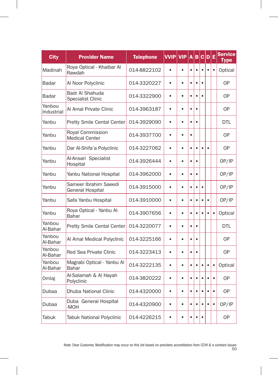| <b>City</b>          | <b>Provider Name</b>                             | <b>Telephone</b> | <b>VVIP</b> | <b>VIP</b> | A         | B         |           | C D       | Е         | <b>Service</b><br><b>Type</b> |
|----------------------|--------------------------------------------------|------------------|-------------|------------|-----------|-----------|-----------|-----------|-----------|-------------------------------|
| Madinah              | Roya Optical - Khaibar Al<br>Rawdah              | 014-8822102      | $\bullet$   | $\bullet$  | $\bullet$ | $\bullet$ | $\bullet$ | $\bullet$ | $\bullet$ | Optical                       |
| Badar                | Al Noor Polyclinic                               | 014-3320227      | $\bullet$   | $\bullet$  | $\bullet$ | $\bullet$ |           |           |           | 0P                            |
| Badar                | Badr Al Shahuda<br><b>Specialist Clinic</b>      | 014-3322900      | $\bullet$   | $\bullet$  | $\bullet$ | $\bullet$ | $\bullet$ |           |           | <b>OP</b>                     |
| Yanbou<br>Industrial | Al Amal Private Clinic                           | 014-3963187      | $\bullet$   | $\bullet$  | $\bullet$ | $\bullet$ |           |           |           | <b>OP</b>                     |
| Yanbu                | Pretty Smile Cental Center                       | 014-3929090      | $\bullet$   | $\bullet$  | $\bullet$ | $\bullet$ |           |           |           | <b>DTL</b>                    |
| Yanbu                | Royal Commission<br><b>Medical Center</b>        | 014-3937700      | $\bullet$   | $\bullet$  | $\bullet$ |           |           |           |           | 0P                            |
| Yanbu                | Dar Al-Shifa'a Polyclinic                        | 014-3227062      | $\bullet$   | ٠          | $\bullet$ | $\bullet$ | ٠         |           |           | 0P                            |
| Yanbu                | Al-Ansari Specialist<br>Hospital                 | 014-3926444      | $\bullet$   | $\bullet$  | $\bullet$ | $\bullet$ |           |           |           | OP/IP                         |
| Yanbu                | Yanbu National Hospital                          | 014-3962000      | $\bullet$   | $\bullet$  | $\bullet$ | $\bullet$ |           |           |           | OP/IP                         |
| Yanbu                | Sameer Ibrahim Saeedi<br><b>General Hospital</b> | 014-3915000      | $\bullet$   | $\bullet$  | $\bullet$ | $\bullet$ | $\bullet$ |           |           | OP/IP                         |
| Yanbu                | Safa Yanbu Hospital                              | 014-3910000      | $\bullet$   | $\bullet$  | $\bullet$ | $\bullet$ | $\bullet$ | $\bullet$ |           | OP/IP                         |
| Yanbu                | Roya Optical - Yanbu Al-<br>Bahar                | 014-3907656      | $\bullet$   | $\bullet$  | $\bullet$ | $\bullet$ |           | $\bullet$ | $\bullet$ | Optical                       |
| Yanbou<br>Al-Bahar   | <b>Pretty Smile Cental Center</b>                | 014-3220077      | ٠           | ٠          | $\bullet$ | $\bullet$ |           |           |           | <b>DTL</b>                    |
| Yanbou<br>Al-Bahar   | Al Amal Medical Polyclinic                       | 014-3225166      | $\bullet$   | $\bullet$  | $\bullet$ | $\bullet$ |           |           |           | <b>OP</b>                     |
| Yanbou<br>Al-Bahar   | Red Sea Private Clinic                           | 014-3223413      | $\bullet$   | $\bullet$  | $\bullet$ | $\bullet$ |           |           |           | 0P                            |
| Yanbou<br>Al-Bahar   | Magrabi Optical - Yanbu Al<br>Bahar              | 014-3222135      | $\bullet$   | $\bullet$  | $\bullet$ | $\bullet$ | $\bullet$ | $\bullet$ | $\bullet$ | Optical                       |
| Omlaj                | Al-Salamah & Al Hayah<br>Polyclinic              | 014-3820222      | $\bullet$   | $\bullet$  | $\bullet$ | $\bullet$ | $\bullet$ |           | $\bullet$ | <b>OP</b>                     |
| Dubaa                | <b>Dhuba National Clinic</b>                     | 014-4320000      | $\bullet$   | $\bullet$  | ٠         | $\bullet$ | ٠         |           | $\bullet$ | 0P                            |
| Dubaa                | Duba General Hospital<br>-MOH                    | 014-4320900      | $\bullet$   | $\bullet$  | $\bullet$ | $\bullet$ |           |           | $\bullet$ | OP/IP                         |
| Tabuk                | <b>Tabuk National Polyclinic</b>                 | 014-4226215      |             | ė          | $\bullet$ | $\bullet$ |           |           |           | <b>OP</b>                     |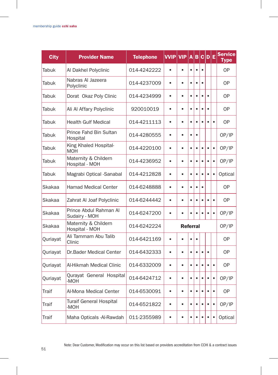| <b>City</b>  | <b>Provider Name</b>                    | <b>Telephone</b> | <b>VVIP</b> | <b>VIP</b>      | $\overline{A}$ | B         |           | C D E     |           | <b>Service</b><br><b>Type</b> |
|--------------|-----------------------------------------|------------------|-------------|-----------------|----------------|-----------|-----------|-----------|-----------|-------------------------------|
| Tabuk        | Al Dakhel Polyclinic                    | 014-4242222      | $\bullet$   | $\bullet$       | $\bullet$      | $\bullet$ | $\bullet$ |           |           | 0P                            |
| Tabuk        | Nabras Al Jazeera<br>Polyclinic         | 014-4237009      | $\bullet$   | $\bullet$       | $\bullet$      | $\bullet$ | $\bullet$ |           |           | 0P                            |
| Tabuk        | Dorat Okaz Poly Clinic                  | 014-4234999      | $\bullet$   | $\bullet$       | $\bullet$      | $\bullet$ | $\bullet$ | $\bullet$ |           | <b>OP</b>                     |
| Tabuk        | Ali Al Affary Polyclinic                | 920010019        | $\bullet$   | $\bullet$       | $\bullet$      | $\bullet$ |           |           |           | <b>OP</b>                     |
| Tabuk        | <b>Health Gulf Medical</b>              | 014-4211113      | $\bullet$   | $\bullet$       | $\bullet$      | $\bullet$ |           | $\bullet$ | $\bullet$ | 0P                            |
| Tabuk        | Prince Fahd Bin Sultan<br>Hospital      | 014-4280555      | $\bullet$   | $\bullet$       | $\bullet$      | $\bullet$ |           |           |           | OP/IP                         |
| Tabuk        | King Khaled Hospital-<br><b>MOH</b>     | 014-4220100      | $\bullet$   | $\bullet$       | $\bullet$      | $\bullet$ | $\bullet$ | $\bullet$ | $\bullet$ | OP/IP                         |
| Tabuk        | Maternity & Childern<br>Hospital - MOH  | 014-4236952      | $\bullet$   | $\bullet$       | $\bullet$      | $\bullet$ | $\bullet$ |           | $\bullet$ | OP/IP                         |
| Tabuk        | Magrabi Optical -Sanabal                | 014-4212828      | $\bullet$   | $\bullet$       | $\bullet$      | $\bullet$ | $\bullet$ |           | $\bullet$ | Optical                       |
| Skakaa       | <b>Hamad Medical Center</b>             | 014-6248888      | $\bullet$   | $\bullet$       | $\bullet$      | $\bullet$ | $\bullet$ |           |           | <b>OP</b>                     |
| Skakaa       | Zahrat Al Joaf Polyclinic               | 014-6244442      | $\bullet$   | $\bullet$       | $\bullet$      | $\bullet$ | $\bullet$ | $\bullet$ | $\bullet$ | 0P                            |
| Skakaa       | Prince Abdul Rahman Al<br>Sudairy - MOH | 014-6247200      | $\bullet$   | $\bullet$       | $\bullet$      | $\bullet$ | $\bullet$ | $\bullet$ | $\bullet$ | OP/IP                         |
| Skakaa       | Maternity & Childern<br>Hospital - MOH  | 014-6242224      |             | <b>Referral</b> |                |           |           |           |           | OP/IP                         |
| Quriayat     | Ali Tammam Abu Talib<br>Clinic          | 014-6421169      | $\bullet$   | $\bullet$       | $\bullet$      | $\bullet$ |           |           |           | <b>OP</b>                     |
| Quriayat     | Dr.Bader Medical Center                 | 014-6432333      | $\bullet$   | $\bullet$       | $\bullet$      | $\bullet$ | $\bullet$ | $\bullet$ |           | 0P                            |
| Quriayat     | Al-Hikmah Medical Clinic                | 014-6332009      | $\bullet$   | $\bullet$       | $\bullet$      | $\bullet$ | $\bullet$ | $\bullet$ | $\bullet$ | <b>OP</b>                     |
| Quriayat     | Qurayat General Hospital<br>-MOH        | 014-6424712      | $\bullet$   | $\bullet$       | $\bullet$      | $\bullet$ | $\bullet$ |           | $\bullet$ | OP/IP                         |
| <b>Traif</b> | Al-Mona Medical Center                  | 014-6530091      | $\bullet$   | $\bullet$       | $\bullet$      | $\bullet$ | $\bullet$ | ٠         | $\bullet$ | 0P                            |
| Traif        | <b>Turaif General Hospital</b><br>-MOH  | 014-6521822      | $\bullet$   | $\bullet$       | $\bullet$      | $\bullet$ | $\bullet$ | $\bullet$ | $\bullet$ | OP/IP                         |
| Traif        | Maha Opticals -Al-Rawdah                | 011-2355989      | $\bullet$   | $\bullet$       | $\bullet$      | $\bullet$ |           | $\bullet$ | $\bullet$ | Optical                       |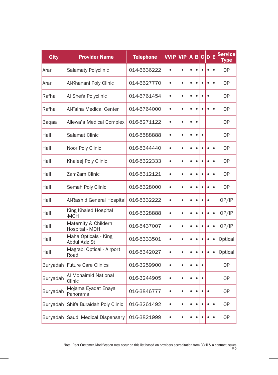| <b>City</b> | <b>Provider Name</b>                   | <b>Telephone</b> | <b>VVIP</b> | <b>VIP</b> | $\overline{\mathsf{A}}$ | $\overline{B}$ |           | C D       | Ε         | <b>Service</b><br>Type |
|-------------|----------------------------------------|------------------|-------------|------------|-------------------------|----------------|-----------|-----------|-----------|------------------------|
| Arar        | <b>Salamaty Polyclinic</b>             | 014-6636222      |             | $\bullet$  | $\bullet$               | $\bullet$      |           |           | $\bullet$ | <b>OP</b>              |
| Arar        | Al-Khanani Poly Clinic                 | 014-6627770      | $\bullet$   | $\bullet$  | $\bullet$               | $\bullet$      |           |           | $\bullet$ | 0P                     |
| Rafha       | Al Shefa Polyclinic                    | 014-6761454      | $\bullet$   | $\bullet$  | $\bullet$               | $\bullet$      | $\bullet$ | $\bullet$ |           | <b>OP</b>              |
| Rafha       | Al-Faiha Medical Center                | 014-6764000      | $\bullet$   | $\bullet$  | $\bullet$               | $\bullet$      |           |           | $\bullet$ | <b>OP</b>              |
| Baqaa       | Allewa'a Medical Complex               | 016-5271122      | $\bullet$   | $\bullet$  | $\bullet$               | $\bullet$      |           |           |           | <b>OP</b>              |
| Hail        | Salamat Clinic                         | 016-5588888      | $\bullet$   | ٠          | $\bullet$               | $\bullet$      | $\bullet$ |           |           | 0P                     |
| Hail        | Noor Poly Clinic                       | 016-5344440      | $\bullet$   | $\bullet$  | $\bullet$               | $\bullet$      | $\bullet$ | $\bullet$ | $\bullet$ | <b>OP</b>              |
| Hail        | Khaleej Poly Clinic                    | 016-5322333      | $\bullet$   | $\bullet$  | $\bullet$               | $\bullet$      |           |           | $\bullet$ | <b>OP</b>              |
| Hail        | ZamZam Clinic                          | 016-5312121      | $\bullet$   | $\bullet$  | $\bullet$               | $\bullet$      |           |           | $\bullet$ | <b>OP</b>              |
| Hail        | Semah Poly Clinic                      | 016-5328000      | $\bullet$   | ė          | $\bullet$               | $\bullet$      | $\bullet$ |           | $\bullet$ | <b>OP</b>              |
| Hail        | Al-Rashid General Hospital             | 016-5332222      | $\bullet$   | $\bullet$  | $\bullet$               | $\bullet$      | $\bullet$ | $\bullet$ |           | OP/IP                  |
| Hail        | King Khaled Hospital<br>-MOH           | 016-5328888      | $\bullet$   | $\bullet$  | $\bullet$               | $\bullet$      |           | $\bullet$ | $\bullet$ | OP/IP                  |
| Hail        | Maternity & Childern<br>Hospital - MOH | 016-5437007      | $\bullet$   | ó          | $\bullet$               | $\bullet$      |           | $\bullet$ | $\bullet$ | OP/IP                  |
| Hail        | Maha Opticals - King<br>Abdul Aziz St  | 016-5333501      | $\bullet$   | ė          | $\bullet$               | $\bullet$      |           | $\bullet$ | $\bullet$ | Optical                |
| Hail        | Magrabi Optical - Airport<br>Road      | 016-5342027      | $\bullet$   | $\bullet$  | $\bullet$               | $\bullet$      | $\bullet$ | $\bullet$ | $\bullet$ | Optical                |
| Buryadah    | <b>Future Care Clinics</b>             | 016-3259900      | $\bullet$   | $\bullet$  | $\bullet$               | $\bullet$      |           |           |           | <b>OP</b>              |
| Buryadah    | Al Mohaimid National<br>Clinic         | 016-3244905      | $\bullet$   | $\bullet$  | $\bullet$               | $\bullet$      |           |           |           | 0P                     |
| Buryadah    | Mojama Eyadat Enaya<br>Panorama        | 016-3846777      | $\bullet$   | $\bullet$  | $\bullet$               | ٠              |           |           |           | 0P                     |
| Buryadah    | Shifa Buraidah Poly Clinic             | 016-3261492      | $\bullet$   | $\bullet$  | $\bullet$               | $\bullet$      | $\bullet$ | $\bullet$ | $\bullet$ | 0P                     |
|             | Buryadah Saudi Medical Dispensary      | 016-3821999      | $\bullet$   |            |                         |                |           |           | $\bullet$ | <b>OP</b>              |

 $\overline{\phantom{a}}$ 

H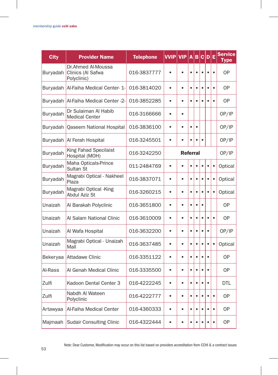| <b>City</b> | <b>Provider Name</b>                                   | <b>Telephone</b> | <b>VVIP VIP</b> |           | A         | B         | c         | $\mathbf{D}$ | Ε         | <b>Service</b><br>Type |
|-------------|--------------------------------------------------------|------------------|-----------------|-----------|-----------|-----------|-----------|--------------|-----------|------------------------|
| Buryadah    | Dr.Ahmed Al-Moussa<br>Clinics (Al Safwa<br>Polyclinic) | 016-3837777      |                 |           | $\bullet$ | $\bullet$ |           |              | $\bullet$ | <b>OP</b>              |
| Buryadah    | Al-Faiha Medical Center-1-                             | 016-3814020      | $\bullet$       | $\bullet$ | $\bullet$ | $\bullet$ | ٠         | $\bullet$    | $\bullet$ | <b>OP</b>              |
| Buryadah    | Al-Faiha Medical Center -2-                            | 016-3852285      | $\bullet$       | $\bullet$ | $\bullet$ | $\bullet$ |           |              | $\bullet$ | 0P                     |
| Buryadah    | Dr Sulaiman Al Habib<br><b>Medical Center</b>          | 016-3166666      | $\bullet$       | $\bullet$ |           |           |           |              |           | OP/IP                  |
| Buryadah    | Qaseem National Hospital                               | 016-3836100      | $\bullet$       | $\bullet$ | $\bullet$ | $\bullet$ |           |              |           | OP/IP                  |
| Buryadah    | Al Ferah Hospital                                      | 016-3245501      | $\bullet$       |           |           | $\bullet$ |           |              |           | OP/IP                  |
| Buryadah    | King Fahad Specilaist<br>Hospital (MOH)                | 016-3242250      | <b>Referral</b> |           |           |           |           |              | OP/IP     |                        |
| Buryadah    | Maha Opticals-Prince<br>Sultan St                      | 011-2484769      | $\bullet$       |           | $\bullet$ | $\bullet$ | $\bullet$ | $\bullet$    | $\bullet$ | Optical                |
| Buryadah    | Magrabi Optical - Nakheel<br>Plaza                     | 016-3837071      | $\bullet$       | $\bullet$ | $\bullet$ | $\bullet$ | $\bullet$ | $\bullet$    | $\bullet$ | Optical                |
| Buryadah    | Magrabi Optical -King<br>Abdul Aziz St                 | 016-3260215      | $\bullet$       | $\bullet$ | $\bullet$ | $\bullet$ |           |              | $\bullet$ | Optical                |
| Unaizah     | Al Barakah Polyclinic                                  | 016-3651800      | $\bullet$       | $\bullet$ | $\bullet$ | $\bullet$ | $\bullet$ |              |           | <b>OP</b>              |
| Unaizah     | Al Salam National Clinic                               | 016-3610009      | $\bullet$       | $\bullet$ | $\bullet$ | $\bullet$ | $\bullet$ | $\bullet$    | $\bullet$ | <b>OP</b>              |
| Unaizah     | Al Wafa Hospital                                       | 016-3632200      | $\bullet$       | $\bullet$ | $\bullet$ | $\bullet$ | $\bullet$ | $\bullet$    |           | OP/IP                  |
| Unaizah     | Magrabi Optical - Unaizah<br>Mall                      | 016-3637485      | $\bullet$       | $\bullet$ | $\bullet$ | $\bullet$ |           | $\bullet$    | $\bullet$ | Optical                |
| Bekeryaa    | <b>Attadawe Clinic</b>                                 | 016-3351122      | $\bullet$       | $\bullet$ | $\bullet$ | $\bullet$ | $\bullet$ | $\bullet$    |           | <b>OP</b>              |
| Al-Rass     | Al Genah Medical Clinic                                | 016-3335500      | $\bullet$       | $\bullet$ | $\bullet$ | $\bullet$ | $\bullet$ | $\bullet$    |           | 0P                     |
| Zulfi       | Kadoon Dental Center 3                                 | 016-4222245      | $\bullet$       | $\bullet$ | $\bullet$ | $\bullet$ | $\bullet$ | $\bullet$    |           | <b>DTL</b>             |
| Zulfi       | Nabdh Al Wateen<br>Polyclinic                          | 016-4222777      | $\bullet$       | $\bullet$ | $\bullet$ | $\bullet$ |           | $\bullet$    | $\bullet$ | 0P                     |
| Artawyaa    | Al-Faiha Medical Center                                | 016-4360333      | $\bullet$       | $\bullet$ | $\bullet$ | $\bullet$ |           | $\bullet$    | $\bullet$ | <b>OP</b>              |
| Majmaah     | <b>Sudair Consulting Clinic</b>                        | 016-4322444      |                 |           |           | $\bullet$ |           |              | $\bullet$ | 0P                     |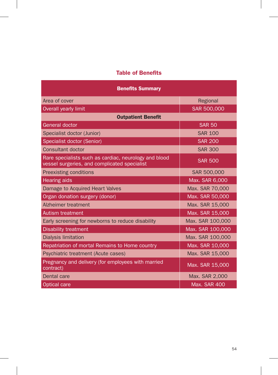## Table of Benefits

| <b>Benefits Summary</b>                                                                               |                     |  |  |  |  |  |  |
|-------------------------------------------------------------------------------------------------------|---------------------|--|--|--|--|--|--|
| Area of cover                                                                                         | Regional            |  |  |  |  |  |  |
| Overall yearly limit                                                                                  | SAR 500,000         |  |  |  |  |  |  |
| <b>Outpatient Benefit</b>                                                                             |                     |  |  |  |  |  |  |
| General doctor                                                                                        | <b>SAR 50</b>       |  |  |  |  |  |  |
| Specialist doctor (Junior)                                                                            | <b>SAR 100</b>      |  |  |  |  |  |  |
| Specialist doctor (Senior)                                                                            | <b>SAR 200</b>      |  |  |  |  |  |  |
| <b>Consultant doctor</b>                                                                              | <b>SAR 300</b>      |  |  |  |  |  |  |
| Rare specialists such as cardiac, neurology and blood<br>vessel surgeries, and complicated specialist | <b>SAR 500</b>      |  |  |  |  |  |  |
| <b>Preexisting conditions</b>                                                                         | SAR 500,000         |  |  |  |  |  |  |
| <b>Hearing aids</b>                                                                                   | Max. SAR 6,000      |  |  |  |  |  |  |
| Damage to Acquired Heart Valves                                                                       | Max. SAR 70,000     |  |  |  |  |  |  |
| Organ donation surgery (donor)                                                                        | Max. SAR 50,000     |  |  |  |  |  |  |
| Alzheimer treatment                                                                                   | Max. SAR 15,000     |  |  |  |  |  |  |
| <b>Autism treatment</b>                                                                               | Max. SAR 15,000     |  |  |  |  |  |  |
| Early screening for newborns to reduce disability                                                     | Max. SAR 100,000    |  |  |  |  |  |  |
| <b>Disability treatment</b>                                                                           | Max. SAR 100,000    |  |  |  |  |  |  |
| Dialysis limitation                                                                                   | Max. SAR 100,000    |  |  |  |  |  |  |
| Repatriation of mortal Remains to Home country                                                        | Max. SAR 10,000     |  |  |  |  |  |  |
| Psychiatric treatment (Acute cases)                                                                   | Max. SAR 15,000     |  |  |  |  |  |  |
| Pregnancy and delivery (for employees with married<br>contract)                                       | Max. SAR 15,000     |  |  |  |  |  |  |
| Dental care                                                                                           | Max. SAR 2,000      |  |  |  |  |  |  |
| <b>Optical care</b>                                                                                   | <b>Max. SAR 400</b> |  |  |  |  |  |  |